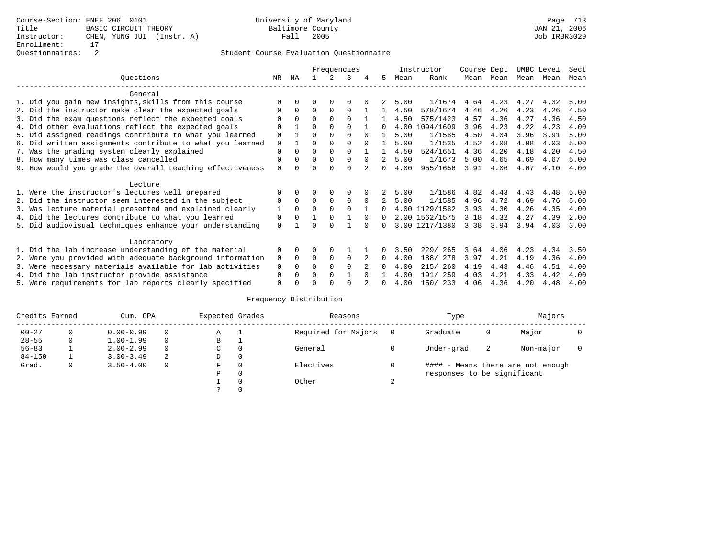|                                                           |             |          |          |          | Frequencies  |          |              |      | Instructor     | Course Dept |      | UMBC Level |      | Sect |
|-----------------------------------------------------------|-------------|----------|----------|----------|--------------|----------|--------------|------|----------------|-------------|------|------------|------|------|
| Ouestions                                                 | NR          | ΝA       |          |          | २            | 4        | 5            | Mean | Rank           | Mean        | Mean | Mean       | Mean | Mean |
| General                                                   |             |          |          |          |              |          |              |      |                |             |      |            |      |      |
| 1. Did you gain new insights, skills from this course     | $\Omega$    |          |          | O        | O            |          |              | 5.00 | 1/1674         | 4.64        | 4.23 | 4.27       | 4.32 | 5.00 |
| 2. Did the instructor make clear the expected goals       | $\Omega$    | 0        | $\Omega$ | $\Omega$ | $\Omega$     |          |              | 4.50 | 578/1674       | 4.46        | 4.26 | 4.23       | 4.26 | 4.50 |
| 3. Did the exam questions reflect the expected goals      | U           | $\Omega$ | $\Omega$ | $\Omega$ | $\Omega$     |          |              | 4.50 | 575/1423       | 4.57        | 4.36 | 4.27       | 4.36 | 4.50 |
| 4. Did other evaluations reflect the expected goals       | O           |          | 0        | $\Omega$ | <sup>n</sup> |          | $\cap$       |      | 4.00 1094/1609 | 3.96        | 4.23 | 4.22       | 4.23 | 4.00 |
| 5. Did assigned readings contribute to what you learned   | $\mathbf 0$ |          | O        | $\Omega$ | $\Omega$     | $\Omega$ |              | 5.00 | 1/1585         | 4.50        | 4.04 | 3.96       | 3.91 | 5.00 |
| 6. Did written assignments contribute to what you learned | $\mathbf 0$ |          | U        | $\Omega$ | $\Omega$     |          |              | 5.00 | 1/1535         | 4.52        | 4.08 | 4.08       | 4.03 | 5.00 |
| 7. Was the grading system clearly explained               | $\Omega$    | $\Omega$ | 0        | $\Omega$ | $\Omega$     |          |              | 4.50 | 524/1651       | 4.36        | 4.20 | 4.18       | 4.20 | 4.50 |
| 8. How many times was class cancelled                     | $\Omega$    | $\Omega$ | 0        | $\Omega$ | $\Omega$     | $\Omega$ | 2            | 5.00 | 1/1673         | 5.00        | 4.65 | 4.69       | 4.67 | 5.00 |
| 9. How would you grade the overall teaching effectiveness | $\Omega$    |          | U        | $\Omega$ | $\Omega$     |          | $\Omega$     | 4.00 | 955/1656       | 3.91        | 4.06 | 4.07       | 4.10 | 4.00 |
| Lecture                                                   |             |          |          |          |              |          |              |      |                |             |      |            |      |      |
| 1. Were the instructor's lectures well prepared           | O           | $\Omega$ | $\Omega$ | $\Omega$ | $\Omega$     |          |              | 5.00 | 1/1586         | 4.82        | 4.43 | 4.43       | 4.48 | 5.00 |
| 2. Did the instructor seem interested in the subject      | $\Omega$    | $\Omega$ | $\Omega$ | $\Omega$ | $\Omega$     | $\Omega$ |              | 5.00 | 1/1585         | 4.96        | 4.72 | 4.69       | 4.76 | 5.00 |
| 3. Was lecture material presented and explained clearly   | 1           | $\Omega$ | $\Omega$ | $\Omega$ | $\Omega$     |          | $\Omega$     |      | 4.00 1129/1582 | 3.93        | 4.30 | 4.26       | 4.35 | 4.00 |
| 4. Did the lectures contribute to what you learned        | 0           | $\Omega$ |          | $\Omega$ |              | $\Omega$ | $\Omega$     |      | 2.00 1562/1575 | 3.18        | 4.32 | 4.27       | 4.39 | 2.00 |
| 5. Did audiovisual techniques enhance your understanding  | $\Omega$    |          |          | U        |              |          | 0            |      | 3.00 1217/1380 | 3.38        | 3.94 | 3.94       | 4.03 | 3.00 |
| Laboratory                                                |             |          |          |          |              |          |              |      |                |             |      |            |      |      |
| 1. Did the lab increase understanding of the material     | 0           | $\Omega$ |          | $\Omega$ |              |          |              | 3.50 | 229/ 265       | 3.64        | 4.06 | 4.23       | 4.34 | 3.50 |
| 2. Were you provided with adequate background information | $\mathbf 0$ | $\Omega$ | $\Omega$ | $\Omega$ | $\Omega$     |          | $\Omega$     | 4.00 | 188/ 278       | 3.97        | 4.21 | 4.19       | 4.36 | 4.00 |
| 3. Were necessary materials available for lab activities  | $\Omega$    | $\Omega$ | U        | $\Omega$ | $\Omega$     |          | <sup>n</sup> | 4.00 | 260<br>215/    | 4.19        | 4.43 | 4.46       | 4.51 | 4.00 |
| 4. Did the lab instructor provide assistance              | $\Omega$    |          | U        | $\Omega$ |              | $\cap$   |              | 4.00 | 259<br>191/    | 4.03        | 4.21 | 4.33       | 4.42 | 4.00 |
| 5. Were requirements for lab reports clearly specified    | $\Omega$    |          |          |          |              |          | <sup>n</sup> | 4.00 | 150/233        | 4.06        | 4.36 | 4.20       | 4.48 | 4.00 |

| Credits Earned |   | Cum. GPA      |          | Expected Grades |              | Reasons             | Type                        |    | Majors                            |  |
|----------------|---|---------------|----------|-----------------|--------------|---------------------|-----------------------------|----|-----------------------------------|--|
| $00 - 27$      |   | $0.00 - 0.99$ | $\Omega$ | Α               |              | Required for Majors | Graduate                    | 0  | Major                             |  |
| $28 - 55$      | 0 | $1.00 - 1.99$ | $\Omega$ | В               | л.           |                     |                             |    |                                   |  |
| $56 - 83$      |   | $2.00 - 2.99$ | $\Omega$ | C               | 0            | General             | Under-grad                  | -2 | Non-major                         |  |
| $84 - 150$     |   | $3.00 - 3.49$ | -2       | D               | $\mathbf{0}$ |                     |                             |    |                                   |  |
| Grad.          | 0 | $3.50 - 4.00$ | $\Omega$ | F               | $\Omega$     | Electives           |                             |    | #### - Means there are not enough |  |
|                |   |               |          | Ρ               | 0            |                     | responses to be significant |    |                                   |  |
|                |   |               |          |                 | $\Omega$     | Other               |                             |    |                                   |  |
|                |   |               |          |                 | $\Omega$     |                     |                             |    |                                   |  |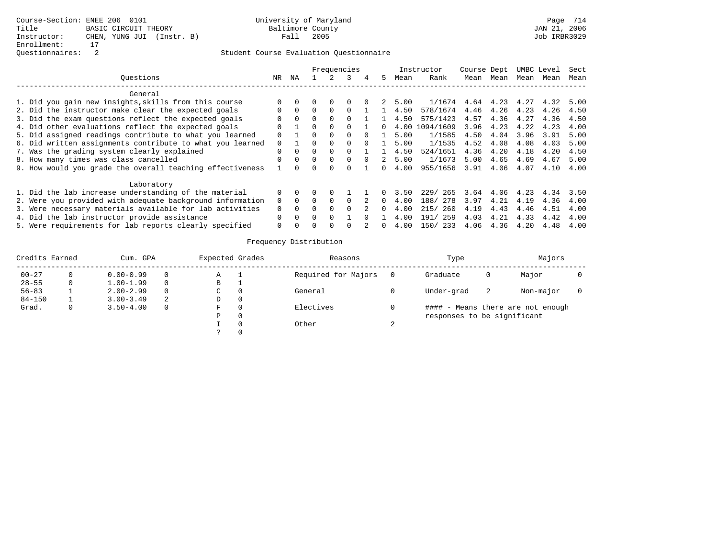|                                                           |          |          |              |              | Frequencies  |        |    |      | Instructor  | Course Dept |           |      | UMBC Level | Sect |
|-----------------------------------------------------------|----------|----------|--------------|--------------|--------------|--------|----|------|-------------|-------------|-----------|------|------------|------|
| Ouestions                                                 | NR       | ΝA       |              |              |              | 4      | 5. | Mean | Rank        | Mean        | Mean      | Mean | Mean       | Mean |
| General                                                   |          |          |              |              |              |        |    |      |             |             |           |      |            |      |
| 1. Did you gain new insights, skills from this course     |          |          |              | $\Omega$     |              |        |    | 5.00 | 1/1674      |             | 4.64 4.23 | 4.27 | 4.32       | 5.00 |
| 2. Did the instructor make clear the expected goals       | 0        | $\Omega$ | 0            |              |              |        |    | 4.50 | 578/1674    | 4.46        | 4.26      | 4.23 | 4.26       | 4.50 |
| 3. Did the exam questions reflect the expected goals      |          | $\Omega$ | <sup>n</sup> |              |              |        |    | 4.50 | 575/1423    | 4.57        | 4.36      | 4.27 | 4.36       | 4.50 |
| 4. Did other evaluations reflect the expected goals       | 0        |          | <sup>n</sup> |              |              |        |    | 4.00 | 1094/1609   | 3.96        | 4.23      | 4.22 | 4.23       | 4.00 |
| 5. Did assigned readings contribute to what you learned   | $\Omega$ |          | 0            | $\Omega$     | <sup>0</sup> |        |    | 5.00 | 1/1585      | 4.50        | 4.04      | 3.96 | 3.91       | 5.00 |
| 6. Did written assignments contribute to what you learned | $\Omega$ |          |              |              |              |        |    | 5.00 | 1/1535      | 4.52        | 4.08      | 4.08 | 4.03       | 5.00 |
| 7. Was the grading system clearly explained               | $\Omega$ |          | <sup>n</sup> |              |              |        |    | 4.50 | 524/1651    | 4.36        | 4.20      | 4.18 | 4.20       | 4.50 |
| 8. How many times was class cancelled                     | $\Omega$ | $\cap$   | $\Omega$     | $\Omega$     | $\cap$       | $\cap$ |    | 5.00 | 1/1673      | 5.00        | 4.65      | 4.69 | 4.67       | 5.00 |
| 9. How would you grade the overall teaching effectiveness |          |          |              |              |              |        |    | 4.00 | 955/1656    | 3.91        | 4.06      | 4.07 | 4.10       | 4.00 |
| Laboratory                                                |          |          |              |              |              |        |    |      |             |             |           |      |            |      |
| 1. Did the lab increase understanding of the material     | 0        |          |              |              |              |        |    | 3.50 | 229/<br>265 | 3.64        | 4.06      | 4.23 | 4.34       | 3.50 |
| 2. Were you provided with adequate background information | $\Omega$ |          |              |              |              |        |    | 4.00 | 278<br>188/ | 3.97        | 4.21      | 4.19 | 4.36       | 4.00 |
| 3. Were necessary materials available for lab activities  | 0        |          |              |              |              |        | 0  | 4.00 | 260<br>215/ | 4.19        | 4.43      | 4.46 | 4.51       | 4.00 |
| 4. Did the lab instructor provide assistance              | $\Omega$ | $\cap$   | <sup>n</sup> | <sup>n</sup> |              |        |    | 4.00 | 259<br>191/ | 4.03        | 4.21      | 4.33 | 4.42       | 4.00 |
| 5. Were requirements for lab reports clearly specified    | $\Omega$ |          |              |              |              |        | 0. | 4.00 | 150/ 233    | 4.06        | 4.36      | 4.20 | 4.48       | 4.00 |

| Credits Earned | Cum. GPA      |          | Expected Grades |   | Reasons             |   | Type                        |    | Majors                            |  |
|----------------|---------------|----------|-----------------|---|---------------------|---|-----------------------------|----|-----------------------------------|--|
| $00 - 27$      | $0.00 - 0.99$ | $\Omega$ | А               |   | Required for Majors |   | Graduate                    | U  | Major                             |  |
| $28 - 55$      | $1.00 - 1.99$ | $\Omega$ | В               |   |                     |   |                             |    |                                   |  |
| $56 - 83$      | $2.00 - 2.99$ | $\Omega$ | C               |   | General             |   | Under-grad                  | -2 | Non-major                         |  |
| $84 - 150$     | $3.00 - 3.49$ | -2       | D               | 0 |                     |   |                             |    |                                   |  |
| Grad.          | $3.50 - 4.00$ | $\Omega$ |                 |   | Electives           |   |                             |    | #### - Means there are not enough |  |
|                |               |          | D               |   |                     |   | responses to be significant |    |                                   |  |
|                |               |          |                 |   | Other               | ∠ |                             |    |                                   |  |
|                |               |          |                 |   |                     |   |                             |    |                                   |  |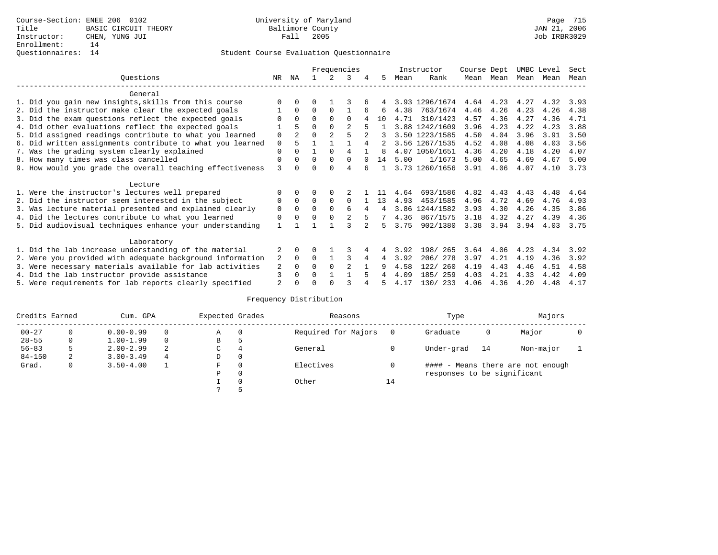|                                                           |              |                |          |                | Frequencies    |   |    |      | Instructor     | Course Dept |      | UMBC Level |      | Sect |
|-----------------------------------------------------------|--------------|----------------|----------|----------------|----------------|---|----|------|----------------|-------------|------|------------|------|------|
| Ouestions                                                 | NR.          | ΝA             |          |                | 3              | 4 | 5  | Mean | Rank           | Mean        | Mean | Mean Mean  |      | Mean |
| General                                                   |              |                |          |                |                |   |    |      |                |             |      |            |      |      |
| 1. Did you gain new insights, skills from this course     |              |                |          |                |                |   |    |      | 3.93 1296/1674 | 4.64        | 4.23 | 4.27       | 4.32 | 3.93 |
| 2. Did the instructor make clear the expected goals       |              | $\Omega$       | 0        | $\Omega$       |                |   | 6  | 4.38 | 763/1674       | 4.46        | 4.26 | 4.23       | 4.26 | 4.38 |
| 3. Did the exam questions reflect the expected goals      |              | 0              | U        | <sup>0</sup>   | U              |   | 10 | 4.71 | 310/1423       | 4.57        | 4.36 | 4.27       | 4.36 | 4.71 |
| 4. Did other evaluations reflect the expected goals       |              | 5              | 0        | $\Omega$       | $\mathfrak{D}$ |   |    |      | 3.88 1242/1609 | 3.96        | 4.23 | 4.22       | 4.23 | 3.88 |
| 5. Did assigned readings contribute to what you learned   | 0            | $\overline{a}$ | 0        | $\overline{2}$ | 5              |   |    |      | 3.50 1223/1585 | 4.50        | 4.04 | 3.96       | 3.91 | 3.50 |
| 6. Did written assignments contribute to what you learned | 0            | 5              |          |                |                | 4 |    |      | 3.56 1267/1535 | 4.52        | 4.08 | 4.08       | 4.03 | 3.56 |
| 7. Was the grading system clearly explained               | 0            | 0              |          | $\Omega$       | 4              |   | 8  |      | 4.07 1050/1651 | 4.36        | 4.20 | 4.18       | 4.20 | 4.07 |
| 8. How many times was class cancelled                     | O            | 0              | U        | $\Omega$       | O              |   | 14 | 5.00 | 1/1673         | 5.00        | 4.65 | 4.69       | 4.67 | 5.00 |
| 9. How would you grade the overall teaching effectiveness | 3            | 0              | U        | <sup>0</sup>   | 4              |   |    |      | 3.73 1260/1656 | 3.91        | 4.06 | 4.07       | 4.10 | 3.73 |
| Lecture                                                   |              |                |          |                |                |   |    |      |                |             |      |            |      |      |
| 1. Were the instructor's lectures well prepared           | 0            | $\Omega$       | 0        | $\Omega$       |                |   |    | 4.64 | 693/1586       | 4.82        | 4.43 | 4.43       | 4.48 | 4.64 |
| 2. Did the instructor seem interested in the subject      | 0            | $\Omega$       | $\Omega$ | $\Omega$       | $\Omega$       |   | 13 | 4.93 | 453/1585       | 4.96        | 4.72 | 4.69       | 4.76 | 4.93 |
| 3. Was lecture material presented and explained clearly   | 0            | $\Omega$       | 0        | $\Omega$       | 6              | 4 | 4  |      | 3.86 1244/1582 | 3.93        | 4.30 | 4.26       | 4.35 | 3.86 |
| 4. Did the lectures contribute to what you learned        | 0            | $\Omega$       | U        | $\Omega$       | 2              | 5 |    | 4.36 | 867/1575       | 3.18        | 4.32 | 4.27       | 4.39 | 4.36 |
| 5. Did audiovisual techniques enhance your understanding  | $\mathbf{1}$ |                |          |                |                |   | 5  | 3.75 | 902/1380       | 3.38        | 3.94 | 3.94       | 4.03 | 3.75 |
| Laboratory                                                |              |                |          |                |                |   |    |      |                |             |      |            |      |      |
| 1. Did the lab increase understanding of the material     | 2            | $\Omega$       |          |                |                |   | 4  | 3.92 | 198/ 265       | 3.64        | 4.06 | 4.23       | 4.34 | 3.92 |
| 2. Were you provided with adequate background information | 2            | $\Omega$       | 0        |                |                | 4 | 4  | 3.92 | 206/278        | 3.97        | 4.21 | 4.19       | 4.36 | 3.92 |
| 3. Were necessary materials available for lab activities  | 2            | 0              | U        | $\Omega$       |                |   | q  | 4.58 | 260<br>122/    | 4.19        | 4.43 | 4.46       | 4.51 | 4.58 |
| 4. Did the lab instructor provide assistance              | 3            | 0              | U        |                |                |   |    | 4.09 | 185/<br>259    | 4.03        | 4.21 | 4.33       | 4.42 | 4.09 |
| 5. Were requirements for lab reports clearly specified    | 2            |                |          |                |                |   |    | 4.17 | 130/233        | 4.06        | 4.36 | 4.20       | 4.48 | 4.17 |

| Credits Earned |   | Cum. GPA      |   | Expected Grades |          | Reasons             |    | Type                        |    | Majors                            |  |
|----------------|---|---------------|---|-----------------|----------|---------------------|----|-----------------------------|----|-----------------------------------|--|
| $00 - 27$      |   | $0.00 - 0.99$ |   | Α               | $\Omega$ | Required for Majors |    | Graduate                    | 0  | Major                             |  |
| $28 - 55$      |   | $1.00 - 1.99$ |   | B               |          |                     |    |                             |    |                                   |  |
| $56 - 83$      |   | $2.00 - 2.99$ | 2 | C               | 4        | General             |    | Under-grad                  | 14 | Non-major                         |  |
| $84 - 150$     | 2 | $3.00 - 3.49$ | 4 | D               | $\Omega$ |                     |    |                             |    |                                   |  |
| Grad.          | 0 | $3.50 - 4.00$ |   | F               |          | Electives           |    |                             |    | #### - Means there are not enough |  |
|                |   |               |   | Ρ               | $\Omega$ |                     |    | responses to be significant |    |                                   |  |
|                |   |               |   |                 | $\Omega$ | Other               | 14 |                             |    |                                   |  |
|                |   |               |   | $\mathcal{P}$   | ь        |                     |    |                             |    |                                   |  |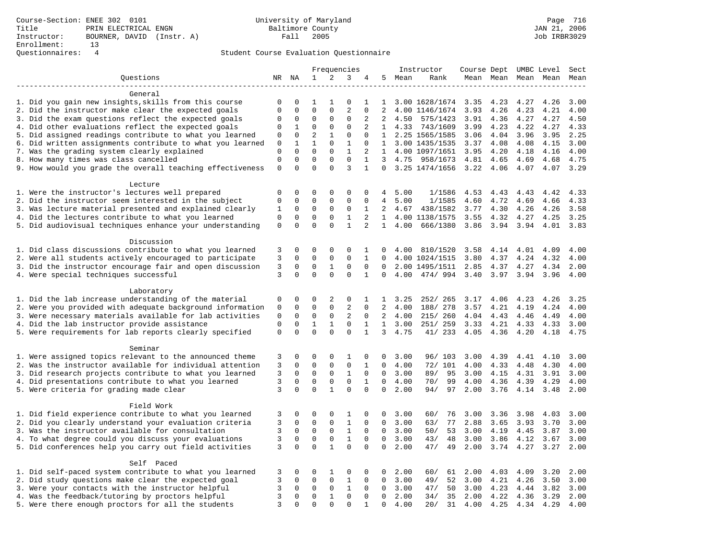### Questionnaires: 4 Student Course Evaluation Questionnaire

| Frequencies                                                        |                |             |              |              |                |                   | Instructor       | Course Dept UMBC Level |                |      |      | Sect         |                     |      |
|--------------------------------------------------------------------|----------------|-------------|--------------|--------------|----------------|-------------------|------------------|------------------------|----------------|------|------|--------------|---------------------|------|
| Ouestions                                                          |                | NR NA       | 1            | 2            | 3              | 4                 | 5                | Mean                   | Rank           |      |      |              | Mean Mean Mean Mean | Mean |
|                                                                    |                |             |              |              |                |                   |                  |                        |                |      |      |              |                     |      |
| General                                                            |                |             |              |              |                |                   |                  |                        |                |      |      |              |                     |      |
| 1. Did you gain new insights, skills from this course              | $\mathbf 0$    | 0           | 1            | 1            | $\mathbf 0$    | 1                 | 1                |                        | 3.00 1628/1674 | 3.35 | 4.23 | 4.27         | 4.26                | 3.00 |
| 2. Did the instructor make clear the expected goals                | $\mathbf 0$    | $\mathbf 0$ | $\mathbf 0$  | $\mathbf 0$  | $\overline{2}$ | $\mathbf 0$       | 2                |                        | 4.00 1146/1674 | 3.93 | 4.26 | 4.23         | 4.21                | 4.00 |
| 3. Did the exam questions reflect the expected goals               | 0              | 0           | $\mathbf{0}$ | $\mathbf 0$  | 0              | 2                 | 2                | 4.50                   | 575/1423       | 3.91 | 4.36 | 4.27         | 4.27                | 4.50 |
| 4. Did other evaluations reflect the expected goals                | $\mathbf 0$    | 1           | $\mathbf{0}$ | $\mathbf 0$  | $\mathbf{0}$   | 2                 | $\mathbf{1}$     | 4.33                   | 743/1609       | 3.99 | 4.23 | 4.22         | 4.27                | 4.33 |
| 5. Did assigned readings contribute to what you learned            | 0              | $\mathbf 0$ | 2            | $\mathbf{1}$ | $\mathbf{0}$   | $\mathbf 0$       | 1                |                        | 2.25 1565/1585 | 3.06 | 4.04 | 3.96         | 3.95                | 2.25 |
| 6. Did written assignments contribute to what you learned          | 0              | 1           | $\mathbf{1}$ | $\mathbf 0$  | $\mathbf{1}$   | $\Omega$          | $\mathbf{1}$     |                        | 3.00 1435/1535 | 3.37 | 4.08 | 4.08         | 4.15                | 3.00 |
| 7. Was the grading system clearly explained                        | $\mathbf 0$    | $\mathbf 0$ | $\mathbf{0}$ | $\mathbf 0$  | $\mathbf{1}$   | 2                 | $\mathbf{1}$     |                        | 4.00 1097/1651 | 3.95 | 4.20 | 4.18         | 4.16                | 4.00 |
| 8. How many times was class cancelled                              | $\mathbf 0$    | $\mathbf 0$ | $\mathbf{0}$ | $\mathbf 0$  | $\mathbf 0$    | $\mathbf{1}$      | 3                | 4.75                   | 958/1673       | 4.81 | 4.65 | 4.69         | 4.68                | 4.75 |
| 9. How would you grade the overall teaching effectiveness          | $\mathbf 0$    | $\Omega$    | $\Omega$     | $\Omega$     | 3              | $\mathbf{1}$      | $\Omega$         |                        | 3.25 1474/1656 | 3.22 | 4.06 | 4.07         | 4.07                | 3.29 |
|                                                                    |                |             |              |              |                |                   |                  |                        |                |      |      |              |                     |      |
| Lecture<br>1. Were the instructor's lectures well prepared         | $\mathbf 0$    | 0           | $\mathbf 0$  | $\mathbf 0$  | 0              | 0                 | 4                | 5.00                   | 1/1586         | 4.53 | 4.43 | 4.43         | 4.42                | 4.33 |
| 2. Did the instructor seem interested in the subject               | $\mathbf 0$    | $\mathbf 0$ | $\mathbf 0$  | $\mathsf 0$  | $\mathsf 0$    | 0                 | 4                | 5.00                   | 1/1585         | 4.60 | 4.72 | 4.69         | 4.66                | 4.33 |
| 3. Was lecture material presented and explained clearly            | 1              | 0           | 0            | 0            | 0              | 1                 | 2                | 4.67                   | 438/1582       | 3.77 | 4.30 | 4.26         | 4.26                | 3.58 |
| 4. Did the lectures contribute to what you learned                 | $\mathbf 0$    | $\mathbf 0$ | $\mathbf{0}$ | $\mathbf 0$  | 1              | 2                 | $\mathbf{1}$     |                        | 4.00 1138/1575 | 3.55 | 4.32 | 4.27         | 4.25                | 3.25 |
| 5. Did audiovisual techniques enhance your understanding           | $\mathbf 0$    | $\Omega$    | $\Omega$     | $\Omega$     | $\mathbf{1}$   | $\overline{a}$    | $\mathbf{1}$     | 4.00                   | 666/1380       | 3.86 | 3.94 | 3.94         | 4.01                | 3.83 |
|                                                                    |                |             |              |              |                |                   |                  |                        |                |      |      |              |                     |      |
| Discussion                                                         |                |             |              |              |                |                   |                  |                        |                |      |      |              |                     |      |
| 1. Did class discussions contribute to what you learned            | 3              | 0           | $\mathbf 0$  | $\mathbf 0$  | 0              | 1                 | 0                | 4.00                   | 810/1520       | 3.58 | 4.14 | 4.01         | 4.09                | 4.00 |
| 2. Were all students actively encouraged to participate            | 3              | $\mathbf 0$ | $\mathbf 0$  | $\mathbf 0$  | $\mathbf{0}$   | 1                 | $\Omega$         |                        | 4.00 1024/1515 | 3.80 | 4.37 | 4.24         | 4.32                | 4.00 |
| 3. Did the instructor encourage fair and open discussion           | 3              | 0           | $\mathbf{0}$ | $\mathbf{1}$ | $\mathbf{0}$   | $\mathbf 0$       | $\Omega$         |                        | 2.00 1495/1511 | 2.85 | 4.37 | 4.27         | 4.34                | 2.00 |
| 4. Were special techniques successful                              | 3              | $\Omega$    | $\Omega$     | $\Omega$     | $\Omega$       | $\mathbf{1}$      | $\Omega$         | 4.00                   | 474/994        | 3.40 | 3.97 | 3.94         | 3.96                | 4.00 |
|                                                                    |                |             |              |              |                |                   |                  |                        |                |      |      |              |                     |      |
| Laboratory                                                         |                |             |              |              |                |                   |                  |                        |                |      |      |              |                     |      |
| 1. Did the lab increase understanding of the material              | 0              | 0           | $\mathbf 0$  | 2            | 0              | 1                 | 1                | 3.25                   | 252/ 265       | 3.17 | 4.06 | 4.23         | 4.26                | 3.25 |
| 2. Were you provided with adequate background information          | $\mathbf 0$    | 0           | $\mathbf 0$  | $\mathbf 0$  | 2              | $\Omega$          | 2                | 4.00                   | 188/ 278       | 3.57 | 4.21 | 4.19         | 4.24                | 4.00 |
| 3. Were necessary materials available for lab activities           | 0              | $\mathbf 0$ | $\mathbf 0$  | $\mathsf 0$  | 2              | $\Omega$          | 2                | 4.00                   | 215/ 260       | 4.04 | 4.43 | 4.46         | 4.49                | 4.00 |
| 4. Did the lab instructor provide assistance                       | $\mathbf 0$    | $\mathbf 0$ | $\mathbf{1}$ | $\mathbf{1}$ | $\mathbf 0$    | $\mathbf{1}$      | $\mathbf{1}$     | 3.00                   | 251/ 259       | 3.33 | 4.21 | 4.33         | 4.33                | 3.00 |
| 5. Were requirements for lab reports clearly specified             | $\mathsf 0$    | $\mathbf 0$ | $\Omega$     | $\Omega$     | $\mathbf{0}$   | $\mathbf 1$       | 3                | 4.75                   | 41/ 233        | 4.05 | 4.36 | 4.20         | 4.18                | 4.75 |
|                                                                    |                |             |              |              |                |                   |                  |                        |                |      |      |              |                     |      |
| Seminar<br>1. Were assigned topics relevant to the announced theme | 3              | 0           | $\mathbf 0$  | $\mathsf 0$  | 1              |                   |                  | 3.00                   | 96/ 103        | 3.00 | 4.39 |              |                     | 3.00 |
| 2. Was the instructor available for individual attention           | 3              | $\mathbf 0$ | $\mathbf 0$  | $\mathsf 0$  | $\mathsf 0$    | 0<br>$\mathbf{1}$ | 0<br>$\mathbf 0$ | 4.00                   | 72/ 101        | 4.00 | 4.33 | 4.41<br>4.48 | 4.10<br>4.30        | 4.00 |
| 3. Did research projects contribute to what you learned            | 3              | 0           | $\mathbf 0$  | $\mathbf 0$  | 1              | $\mathbf 0$       | 0                | 3.00                   | 89/<br>95      | 3.00 | 4.15 | 4.31         | 3.91                | 3.00 |
| 4. Did presentations contribute to what you learned                | 3              | $\mathbf 0$ | $\mathbf{0}$ | $\mathbf 0$  | $\mathbf 0$    | 1                 | $\Omega$         | 4.00                   | 99<br>70/      | 4.00 | 4.36 | 4.39         | 4.29                | 4.00 |
| 5. Were criteria for grading made clear                            | 3              | $\Omega$    | $\Omega$     | $\mathbf{1}$ | $\mathbf 0$    | $\Omega$          | $\Omega$         | 2.00                   | 97<br>94/      | 2.00 | 3.76 | 4.14         | 3.48                | 2.00 |
|                                                                    |                |             |              |              |                |                   |                  |                        |                |      |      |              |                     |      |
| Field Work                                                         |                |             |              |              |                |                   |                  |                        |                |      |      |              |                     |      |
| 1. Did field experience contribute to what you learned             | 3              | 0           | 0            | $\mathbf 0$  | 1              | 0                 | 0                | 3.00                   | 60/<br>76      | 3.00 | 3.36 | 3.98         | 4.03                | 3.00 |
| 2. Did you clearly understand your evaluation criteria             | 3              | $\mathbf 0$ | $\mathbf 0$  | $\mathbf 0$  | $\mathbf{1}$   | $\mathbf 0$       | $\Omega$         | 3.00                   | 77<br>63/      | 2.88 | 3.65 | 3.93         | 3.70                | 3.00 |
| 3. Was the instructor available for consultation                   | 3              | $\mathbf 0$ | $\mathbf 0$  | $\mathbf 0$  | $\mathbf{1}$   | $\mathbf 0$       | $\Omega$         | 3.00                   | 53<br>50/      | 3.00 | 4.19 | 4.45         | 3.87                | 3.00 |
| 4. To what degree could you discuss your evaluations               | 3              | $\mathbf 0$ | $\mathbf 0$  | $\mathsf 0$  | $\,1\,$        | $\Omega$          | $\Omega$         | 3.00                   | 43/<br>48      | 3.00 | 3.86 | 4.12         | 3.67                | 3.00 |
| 5. Did conferences help you carry out field activities             | 3              | $\mathbf 0$ | $\mathbf{0}$ | $\mathbf{1}$ | $\mathbf{0}$   | $\mathbf 0$       | $\mathbf 0$      | 2.00                   | 47/<br>49      | 2.00 | 3.74 | 4.27         | 3.27                | 2.00 |
|                                                                    |                |             |              |              |                |                   |                  |                        |                |      |      |              |                     |      |
| Self Paced                                                         |                |             |              |              |                |                   |                  |                        |                |      |      |              |                     |      |
| 1. Did self-paced system contribute to what you learned            | 3              | 0           | $\mathbf 0$  | 1            | 0              | 0                 | 0                | 2.00                   | 60/<br>61      | 2.00 | 4.03 | 4.09         | 3.20                | 2.00 |
| 2. Did study questions make clear the expected goal                | 3              | $\Omega$    | $\mathbf 0$  | $\mathsf{O}$ | $\mathbf{1}$   | $\Omega$          | $\Omega$         | 3.00                   | 49/<br>52      | 3.00 | 4.21 | 4.26         | 3.50                | 3.00 |
| 3. Were your contacts with the instructor helpful                  | 3              | $\mathbf 0$ | $\mathsf 0$  | $\mathsf{O}$ | $\mathbf{1}$   | 0                 | $\mathbf 0$      | 3.00                   | 50<br>47/      | 3.00 | 4.23 | 4.44         | 3.82                | 3.00 |
| 4. Was the feedback/tutoring by proctors helpful                   | $\overline{3}$ | 0           | $\mathbf 0$  | $\mathbf{1}$ | $\mathbf 0$    | $\mathbf 0$       | $\Omega$         | 2.00                   | 34/<br>35      | 2.00 | 4.22 | 4.36         | 3.29                | 2.00 |
| 5. Were there enough proctors for all the students                 | 3              | $\Omega$    | $\Omega$     | $\Omega$     | $\Omega$       | 1                 | $\mathbf 0$      | 4.00                   | 31<br>20/      | 4.00 | 4.25 | 4.34         | 4.29                | 4.00 |
|                                                                    |                |             |              |              |                |                   |                  |                        |                |      |      |              |                     |      |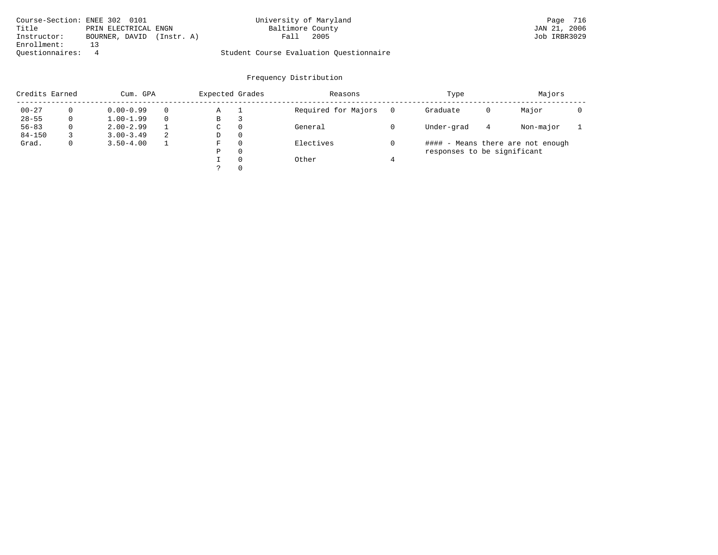| Course-Section: ENEE 302 0101 |                      |            | University of Maryland                  |      | Page 716     |  |
|-------------------------------|----------------------|------------|-----------------------------------------|------|--------------|--|
| Title                         | PRIN ELECTRICAL ENGN |            | Baltimore County                        |      | JAN 21, 2006 |  |
| Instructor:                   | BOURNER, DAVID       | (Instr. A) | Fall                                    | 2005 | Job IRBR3029 |  |
| Enrollment:                   |                      |            |                                         |      |              |  |
| Ouestionnaires:               |                      |            | Student Course Evaluation Questionnaire |      |              |  |

| Credits Earned | Cum. GPA      |          | Expected Grades |          | Reasons             | Type                        |   | Majors                            |  |
|----------------|---------------|----------|-----------------|----------|---------------------|-----------------------------|---|-----------------------------------|--|
| $00 - 27$      | $0.00 - 0.99$ | $\Omega$ | Α               |          | Required for Majors | Graduate                    | 0 | Major                             |  |
| $28 - 55$      | $1.00 - 1.99$ | $\Omega$ | B               | 3        |                     |                             |   |                                   |  |
| $56 - 83$      | $2.00 - 2.99$ |          | C               | $\Omega$ | General             | Under-grad                  | 4 | Non-major                         |  |
| $84 - 150$     | $3.00 - 3.49$ | 2        | D               | $\Omega$ |                     |                             |   |                                   |  |
| Grad.          | $3.50 - 4.00$ |          | F               | $\Omega$ | Electives           |                             |   | #### - Means there are not enough |  |
|                |               |          | Ρ               | 0        |                     | responses to be significant |   |                                   |  |
|                |               |          |                 | $\Omega$ | Other               |                             |   |                                   |  |
|                |               |          |                 | $\Omega$ |                     |                             |   |                                   |  |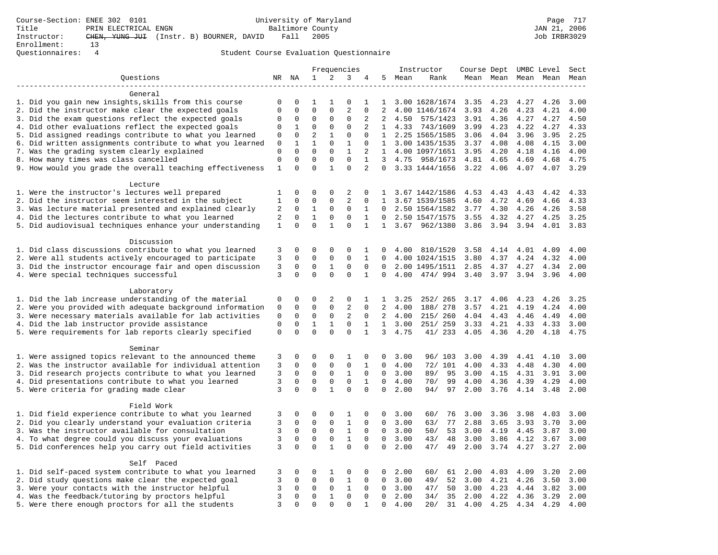|                                                                                                         | Frequencies    |                            |                  |                   |                   |                            | Instructor        | Course Dept UMBC Level |                                  |              |              | Sect         |                     |              |
|---------------------------------------------------------------------------------------------------------|----------------|----------------------------|------------------|-------------------|-------------------|----------------------------|-------------------|------------------------|----------------------------------|--------------|--------------|--------------|---------------------|--------------|
| Ouestions                                                                                               |                | NR NA                      | $\mathbf{1}$     | 2                 | 3                 | 4                          | 5                 | Mean                   | Rank                             |              |              |              | Mean Mean Mean Mean | Mean         |
|                                                                                                         |                |                            |                  |                   |                   |                            |                   |                        |                                  |              |              |              |                     |              |
| General                                                                                                 |                |                            |                  |                   |                   |                            |                   |                        |                                  |              |              |              |                     |              |
| 1. Did you gain new insights, skills from this course                                                   | 0              | 0                          | 1                | -1                | 0                 | 1                          | 1                 |                        | 3.00 1628/1674                   | 3.35         | 4.23         | 4.27         | 4.26                | 3.00         |
| 2. Did the instructor make clear the expected goals                                                     | $\mathbf 0$    | $\mathbf 0$                | $\mathbf 0$      | $\mathbf{0}$      | $\overline{c}$    | $\Omega$                   | 2                 |                        | 4.00 1146/1674                   | 3.93         | 4.26         | 4.23         | 4.21                | 4.00         |
| 3. Did the exam questions reflect the expected goals                                                    | 0              | 0                          | 0                | $\mathbf 0$       | 0                 | 2                          | 2                 | 4.50                   | 575/1423                         | 3.91         | 4.36         | 4.27         | 4.27                | 4.50         |
| 4. Did other evaluations reflect the expected goals                                                     | 0              | 1                          | 0                | $\mathbf 0$       | $\mathbf 0$       | 2                          | $\mathbf{1}$      | 4.33                   | 743/1609                         | 3.99         | 4.23         | 4.22         | 4.27                | 4.33         |
| 5. Did assigned readings contribute to what you learned                                                 | 0              | 0                          | $\overline{2}$   | $\mathbf{1}$      | $\Omega$          | $\Omega$                   | $\mathbf{1}$      |                        | 2.25 1565/1585                   | 3.06         | 4.04         | 3.96         | 3.95                | 2.25         |
| 6. Did written assignments contribute to what you learned                                               | $\mathbf 0$    | 1                          | $\mathbf{1}$     | $\Omega$          | 1                 | $\Omega$                   |                   |                        | 1 3.00 1435/1535                 | 3.37         | 4.08         | 4.08         | 4.15                | 3.00         |
| 7. Was the grading system clearly explained                                                             | $\mathbf 0$    | $\Omega$                   | $\Omega$         | $\Omega$          | $\mathbf{1}$      | 2                          | 1                 |                        | 4.00 1097/1651                   | 3.95         | 4.20         | 4.18         | 4.16                | 4.00         |
| 8. How many times was class cancelled                                                                   | $\mathbf 0$    | $\Omega$                   | $\mathbf 0$      | $\Omega$          | $\Omega$          | $\mathbf{1}$               | 3                 | 4.75                   | 958/1673                         | 4.81         | 4.65         | 4.69         | 4.68                | 4.75         |
| 9. How would you grade the overall teaching effectiveness                                               | $\mathbf{1}$   | $\Omega$                   | $\Omega$         | $\mathbf{1}$      | $\Omega$          | $\overline{2}$             | $\Omega$          |                        | 3.33 1444/1656                   | 3.22         | 4.06         | 4.07         | 4.07                | 3.29         |
|                                                                                                         |                |                            |                  |                   |                   |                            |                   |                        |                                  |              |              |              |                     |              |
| Lecture                                                                                                 |                |                            |                  |                   |                   |                            |                   |                        |                                  |              |              |              |                     |              |
| 1. Were the instructor's lectures well prepared<br>2. Did the instructor seem interested in the subject | 1<br>1         | 0<br>0                     | 0<br>$\Omega$    | 0<br>$\mathbf 0$  | 2<br>2            | 0<br>$\Omega$              | 1<br>$\mathbf{1}$ |                        | 3.67 1442/1586<br>3.67 1539/1585 | 4.53<br>4.60 | 4.43<br>4.72 | 4.43<br>4.69 | 4.42<br>4.66        | 4.33<br>4.33 |
| 3. Was lecture material presented and explained clearly                                                 |                | $\mathbf 0$                | 1                | 0                 | 0                 | $\mathbf 1$                | 0                 |                        | 2.50 1564/1582                   | 3.77         | 4.30         | 4.26         | 4.26                | 3.58         |
| 4. Did the lectures contribute to what you learned                                                      | 2<br>2         | $\mathbf 0$                | $\mathbf{1}$     | $\mathbf 0$       | 0                 | $\mathbf 1$                | $\Omega$          |                        | 2.50 1547/1575                   | 3.55         | 4.32         | 4.27         | 4.25                | 3.25         |
|                                                                                                         | $\mathbf{1}$   | $\Omega$                   | $\Omega$         | $\mathbf{1}$      | $\Omega$          | $\mathbf{1}$               | $\mathbf{1}$      | 3.67                   | 962/1380                         | 3.86         | 3.94         | 3.94         | 4.01                | 3.83         |
| 5. Did audiovisual techniques enhance your understanding                                                |                |                            |                  |                   |                   |                            |                   |                        |                                  |              |              |              |                     |              |
| Discussion                                                                                              |                |                            |                  |                   |                   |                            |                   |                        |                                  |              |              |              |                     |              |
| 1. Did class discussions contribute to what you learned                                                 | 3              | 0                          | 0                | $\mathbf 0$       | $\mathbf 0$       | 1                          | 0                 | 4.00                   | 810/1520                         | 3.58         | 4.14         | 4.01         | 4.09                | 4.00         |
| 2. Were all students actively encouraged to participate                                                 | 3              | $\mathbf 0$                | $\mathbf 0$      | $\mathbf 0$       | $\mathbf 0$       | $\mathbf{1}$               | $\mathbf 0$       |                        | 4.00 1024/1515                   | 3.80         | 4.37         | 4.24         | 4.32                | 4.00         |
| 3. Did the instructor encourage fair and open discussion                                                | 3              | 0                          | $\mathbf 0$      | 1                 | $\Omega$          | $\mathbf 0$                | 0                 |                        | 2.00 1495/1511                   | 2.85         | 4.37         | 4.27         | 4.34                | 2.00         |
| 4. Were special techniques successful                                                                   | 3              | $\Omega$                   | $\Omega$         | $\Omega$          | $\Omega$          | $\mathbf{1}$               | $\Omega$          | 4.00                   | 474/994                          | 3.40         | 3.97         | 3.94         | 3.96                | 4.00         |
|                                                                                                         |                |                            |                  |                   |                   |                            |                   |                        |                                  |              |              |              |                     |              |
| Laboratory                                                                                              |                |                            |                  |                   |                   |                            |                   |                        |                                  |              |              |              |                     |              |
| 1. Did the lab increase understanding of the material                                                   | 0              | 0                          | 0                | 2                 | 0                 | 1                          | $\mathbf{1}$      | 3.25                   | 252/ 265                         | 3.17         | 4.06         | 4.23         | 4.26                | 3.25         |
| 2. Were you provided with adequate background information                                               | 0              | $\Omega$                   | $\mathbf 0$      | $\mathbf 0$       | $\overline{2}$    | $\Omega$                   | $\overline{2}$    | 4.00                   | 188/ 278                         | 3.57         | 4.21         | 4.19         | 4.24                | 4.00         |
| 3. Were necessary materials available for lab activities                                                | $\mathbf 0$    | $\mathbf 0$                | $\mathbf 0$      | 0                 | 2                 | $\Omega$                   | 2                 | 4.00                   | 215/ 260                         | 4.04         | 4.43         | 4.46         | 4.49                | 4.00         |
| 4. Did the lab instructor provide assistance                                                            | $\mathbf 0$    | $\mathbf 0$                | $\mathbf{1}$     | $\mathbf{1}$      | $\mathbf 0$       | $\mathbf{1}$               | $\mathbf{1}$      | 3.00                   | 251/ 259                         | 3.33         | 4.21         | 4.33         | 4.33                | 3.00         |
| 5. Were requirements for lab reports clearly specified                                                  | $\mathbf 0$    | $\mathbf 0$                | $\mathbf 0$      | $\Omega$          | $\Omega$          | 1                          | 3                 | 4.75                   | 41/233                           | 4.05         | 4.36         | 4.20         | 4.18                | 4.75         |
|                                                                                                         |                |                            |                  |                   |                   |                            |                   |                        |                                  |              |              |              |                     |              |
| Seminar                                                                                                 |                |                            |                  |                   |                   |                            |                   |                        |                                  |              |              |              |                     |              |
| 1. Were assigned topics relevant to the announced theme                                                 | 3              | 0                          | 0                | 0                 | 1                 | 0                          | 0                 | 3.00                   | 96/103                           | 3.00         | 4.39         | 4.41         | 4.10                | 3.00         |
| 2. Was the instructor available for individual attention                                                | 3              | 0                          | $\mathbf 0$      | 0                 | $\mathbf 0$       | 1                          | $\mathbf 0$       | 4.00                   | 72/ 101                          | 4.00         | 4.33         | 4.48         | 4.30                | 4.00         |
| 3. Did research projects contribute to what you learned                                                 | $\overline{3}$ | $\mathbf 0$                | $\mathbf 0$      | $\mathbf{0}$      | $\mathbf{1}$      | $\mathbf 0$                | $\mathbf 0$       | 3.00                   | 89/<br>95                        | 3.00         | 4.15         | 4.31         | 3.91                | 3.00         |
| 4. Did presentations contribute to what you learned                                                     | 3              | $\Omega$                   | $\mathbf 0$      | $\mathbf 0$       | $\mathbf 0$       | 1                          | $\Omega$          | 4.00                   | 99<br>70/                        | 4.00         | 4.36         | 4.39         | 4.29                | 4.00         |
| 5. Were criteria for grading made clear                                                                 | 3              | $\mathbf 0$                | $\mathbf 0$      | $\mathbf{1}$      | $\mathbf 0$       | $\mathbf 0$                | $\mathbf 0$       | 2.00                   | 94/<br>97                        | 2.00         | 3.76         | 4.14         | 3.48                | 2.00         |
|                                                                                                         |                |                            |                  |                   |                   |                            |                   |                        |                                  |              |              |              |                     |              |
| Field Work                                                                                              |                |                            |                  |                   |                   |                            |                   |                        |                                  |              |              |              |                     |              |
| 1. Did field experience contribute to what you learned                                                  | 3              | 0                          | 0                | 0                 | 1                 | 0                          | 0                 | 3.00                   | 60/<br>76                        | 3.00         | 3.36         | 3.98         | 4.03                | 3.00         |
| 2. Did you clearly understand your evaluation criteria                                                  | 3              | $\mathbf 0$                | $\mathbf 0$      | $\mathbf 0$       | $\mathbf{1}$      | $\mathbf 0$                | 0                 | 3.00                   | 77<br>63/                        | 2.88         | 3.65         | 3.93         | 3.70                | 3.00         |
| 3. Was the instructor available for consultation                                                        | 3              | $\mathbf 0$                | $\mathbf 0$      | $\mathbf 0$       | $\mathbf{1}$      | $\mathbf 0$                | 0                 | 3.00                   | 50/<br>53                        | 3.00         | 4.19         | 4.45         | 3.87                | 3.00         |
| 4. To what degree could you discuss your evaluations                                                    | $\overline{3}$ | $\mathbf 0$                | $\mathbf 0$      | $\mathbf{0}$      | $\mathbf{1}$      | $\Omega$                   | $\mathbf 0$       | 3.00                   | 43/<br>48                        | 3.00         | 3.86         | 4.12         | 3.67                | 3.00         |
| 5. Did conferences help you carry out field activities                                                  | 3              | $\Omega$                   | $\Omega$         | $\mathbf{1}$      | $\Omega$          | $\Omega$                   | $\Omega$          | 2.00                   | 47/<br>49                        | 2.00         | 3.74         | 4.27         | 3.27                | 2.00         |
|                                                                                                         |                |                            |                  |                   |                   |                            |                   |                        |                                  |              |              |              |                     |              |
| Self Paced                                                                                              |                |                            |                  |                   |                   |                            |                   |                        |                                  |              |              |              |                     |              |
| 1. Did self-paced system contribute to what you learned                                                 | 3              | 0                          | 0                | 1                 | 0                 | 0                          | $\mathbf 0$       | 2.00                   | 60/<br>61                        | 2.00         | 4.03         | 4.09         | 3.20                | 2.00         |
| 2. Did study questions make clear the expected goal                                                     | 3              | $\mathbf 0$<br>$\mathbf 0$ | 0                | 0                 | 1<br>$\mathbf{1}$ | $\mathbf 0$                | $\mathbf 0$       | 3.00                   | 49/<br>52                        | 3.00         | 4.21         | 4.26         | 3.50                | 3.00         |
| 3. Were your contacts with the instructor helpful                                                       | 3<br>3         | 0                          | 0<br>$\mathbf 0$ | 0<br>$\mathbf{1}$ | $\mathbf 0$       | $\mathbf 0$<br>$\mathbf 0$ | 0<br>$\Omega$     | 3.00                   | 50<br>47/<br>35                  | 3.00         | 4.23         | 4.44         | 3.82                | 3.00         |
| 4. Was the feedback/tutoring by proctors helpful                                                        | $\overline{3}$ | $\Omega$                   | $\Omega$         | $\Omega$          | $\Omega$          | $\mathbf{1}$               | $\mathbf 0$       | 2.00                   | 34/                              | 2.00         | 4.22         | 4.36         | 3.29                | 2.00<br>4.00 |
| 5. Were there enough proctors for all the students                                                      |                |                            |                  |                   |                   |                            |                   | 4.00                   | 20/<br>31                        | 4.00         | 4.25         | 4.34         | 4.29                |              |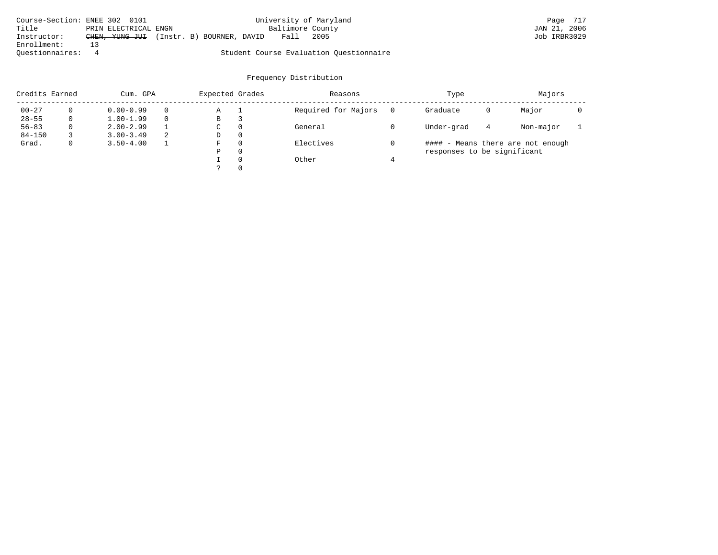| Course-Section: ENEE 302 0101 |                      |                                          |  |                  | University of Maryland                  | Page 717     |  |
|-------------------------------|----------------------|------------------------------------------|--|------------------|-----------------------------------------|--------------|--|
| Title                         | PRIN ELECTRICAL ENGN |                                          |  | Baltimore County |                                         | JAN 21, 2006 |  |
| Instructor:                   |                      | CHEN, YUNG JUI (Instr. B) BOURNER, DAVID |  | Fall             | 2005                                    | Job IRBR3029 |  |
| Enrollment:                   |                      |                                          |  |                  |                                         |              |  |
| Ouestionnaires:               |                      |                                          |  |                  | Student Course Evaluation Ouestionnaire |              |  |

| Credits Earned |   | Cum. GPA      |   | Expected Grades |          | Reasons             | Type                        |   | Majors                            |  |
|----------------|---|---------------|---|-----------------|----------|---------------------|-----------------------------|---|-----------------------------------|--|
| $00 - 27$      |   | $0.00 - 0.99$ |   | Α               |          | Required for Majors | Graduate                    | 0 | Major                             |  |
| $28 - 55$      | 0 | $1.00 - 1.99$ |   | В               | 3        |                     |                             |   |                                   |  |
| $56 - 83$      | 0 | $2.00 - 2.99$ |   | C.              | 0        | General             | Under-grad                  | 4 | Non-major                         |  |
| $84 - 150$     |   | $3.00 - 3.49$ | 2 | D               | 0        |                     |                             |   |                                   |  |
| Grad.          | 0 | $3.50 - 4.00$ |   | F               | $\Omega$ | Electives           |                             |   | #### - Means there are not enough |  |
|                |   |               |   | P               | $\Omega$ |                     | responses to be significant |   |                                   |  |
|                |   |               |   |                 | $\Omega$ | Other               |                             |   |                                   |  |
|                |   |               |   |                 | $\Omega$ |                     |                             |   |                                   |  |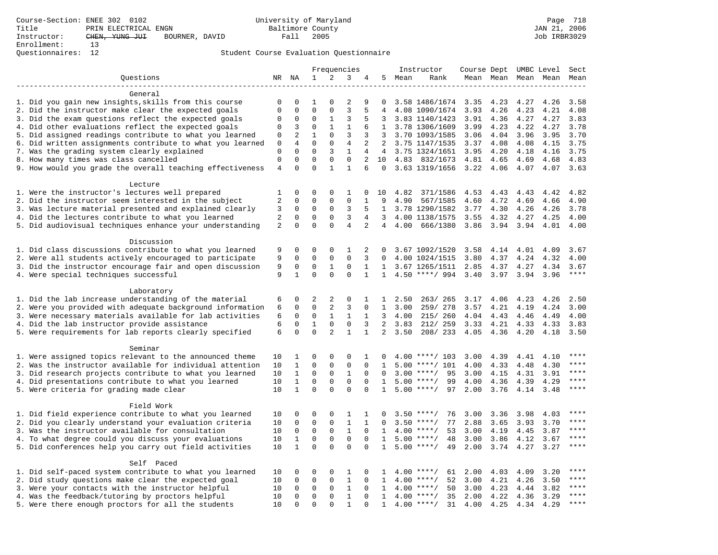### Questionnaires: 12 Student Course Evaluation Questionnaire

|                                                           |                |                |              |                | Frequencies    |                |                |      | Instructor          | Course Dept UMBC Level |           |      |           | Sect        |
|-----------------------------------------------------------|----------------|----------------|--------------|----------------|----------------|----------------|----------------|------|---------------------|------------------------|-----------|------|-----------|-------------|
| Ouestions                                                 | NR NA          |                | $\mathbf{1}$ | 2              | 3              | 4              | 5              | Mean | Rank                |                        | Mean Mean |      | Mean Mean | Mean        |
|                                                           |                |                |              |                |                |                |                |      |                     |                        |           |      |           |             |
| General                                                   |                |                |              |                |                |                |                |      |                     |                        |           |      |           |             |
| 1. Did you gain new insights, skills from this course     | $\Omega$       | $\Omega$       | 1            | $\Omega$       | $\overline{2}$ | 9              | 0              |      | 3.58 1486/1674 3.35 |                        | 4.23      | 4.27 | 4.26      | 3.58        |
| 2. Did the instructor make clear the expected goals       | $\Omega$       | $\Omega$       | $\Omega$     | $\Omega$       | 3              | 5              | 4              |      | 4.08 1090/1674      | 3.93                   | 4.26      | 4.23 | 4.21      | 4.08        |
| 3. Did the exam questions reflect the expected goals      | $\mathbf 0$    | $\mathbf 0$    | $\mathbf 0$  | $\mathbf{1}$   | 3              | 5              | 3              |      | 3.83 1140/1423      | 3.91                   | 4.36      | 4.27 | 4.27      | 3.83        |
| 4. Did other evaluations reflect the expected goals       | 0              | 3              | $\mathbf 0$  | $\mathbf{1}$   | $\mathbf{1}$   | 6              | $\mathbf{1}$   |      | 3.78 1306/1609      | 3.99                   | 4.23      | 4.22 | 4.27      | 3.78        |
| 5. Did assigned readings contribute to what you learned   | $\Omega$       | $\overline{a}$ | $\mathbf{1}$ | 0              | 3              | 3              | 3              |      | 3.70 1093/1585      | 3.06                   | 4.04      | 3.96 | 3.95      | 3.70        |
| 6. Did written assignments contribute to what you learned | 0              | $\overline{4}$ | $\Omega$     | $\Omega$       | 4              | 2              | 2              |      | 3.75 1147/1535      | 3.37                   | 4.08      | 4.08 | 4.15      | 3.75        |
| 7. Was the grading system clearly explained               | $\Omega$       | $\Omega$       | $\Omega$     | 3              | $\mathbf{1}$   | 4              | 4              |      | 3.75 1324/1651      | 3.95                   | 4.20      | 4.18 | 4.16      | 3.75        |
| 8. How many times was class cancelled                     | 0              | 0              | $\mathbf{0}$ | 0              | $\mathbf 0$    | 2              | 10             |      | 4.83 832/1673       | 4.81                   | 4.65      | 4.69 | 4.68      | 4.83        |
| 9. How would you grade the overall teaching effectiveness | $\overline{4}$ | $\Omega$       | $\Omega$     | $\mathbf{1}$   | $\mathbf{1}$   | 6              | $\Omega$       |      | 3.63 1319/1656      | 3.22                   | 4.06      | 4.07 | 4.07      | 3.63        |
|                                                           |                |                |              |                |                |                |                |      |                     |                        |           |      |           |             |
| Lecture                                                   |                |                |              |                |                |                |                |      |                     |                        |           |      |           |             |
|                                                           |                |                |              |                |                |                |                |      |                     |                        |           |      |           |             |
| 1. Were the instructor's lectures well prepared           | 1              | 0              | $\Omega$     | 0              | 1              | $\mathbf 0$    | 10             | 4.82 | 371/1586            | 4.53                   | 4.43      | 4.43 | 4.42      | 4.82        |
| 2. Did the instructor seem interested in the subject      | 2              | $\Omega$       | $\Omega$     | $\Omega$       | $\mathbf 0$    | $\mathbf{1}$   | 9              | 4.90 | 567/1585            | 4.60                   | 4.72      | 4.69 | 4.66      | 4.90        |
| 3. Was lecture material presented and explained clearly   | 3              | $\mathbf 0$    | $\mathbf 0$  | 0              | 3              | 5              | 1              |      | 3.78 1290/1582      | 3.77                   | 4.30      | 4.26 | 4.26      | 3.78        |
| 4. Did the lectures contribute to what you learned        | $\sqrt{2}$     | $\Omega$       | $\Omega$     | $\Omega$       | 3              | 4              | 3              |      | 4.00 1138/1575      | 3.55                   | 4.32      | 4.27 | 4.25      | 4.00        |
| 5. Did audiovisual techniques enhance your understanding  | 2              | 0              | $\mathbf 0$  | $\Omega$       | $\overline{4}$ | $\overline{a}$ | $\overline{4}$ | 4.00 | 666/1380            | 3.86                   | 3.94      | 3.94 | 4.01      | 4.00        |
|                                                           |                |                |              |                |                |                |                |      |                     |                        |           |      |           |             |
| Discussion                                                |                |                |              |                |                |                |                |      |                     |                        |           |      |           |             |
| 1. Did class discussions contribute to what you learned   | 9              | 0              | $\mathbf 0$  | $\mathbf 0$    | 1              | 2              | 0              |      | 3.67 1092/1520      | 3.58                   | 4.14      | 4.01 | 4.09      | 3.67        |
| 2. Were all students actively encouraged to participate   | 9              | $\mathbf 0$    | $\mathbf 0$  | $\mathbf 0$    | $\mathbf 0$    | 3              | 0              |      | 4.00 1024/1515      | 3.80                   | 4.37      | 4.24 | 4.32      | 4.00        |
| 3. Did the instructor encourage fair and open discussion  | 9              | 0              | $\mathbf 0$  | 1              | $\mathbf 0$    | 1              | 1              |      | 3.67 1265/1511      | 2.85                   | 4.37      | 4.27 | 4.34      | 3.67        |
| 4. Were special techniques successful                     | 9              | $\mathbf{1}$   | $\Omega$     | $\Omega$       | $\Omega$       | $\mathbf{1}$   | $\mathbf{1}$   |      | $4.50$ ****/ 994    | 3.40                   | 3.97      | 3.94 | 3.96      | ****        |
|                                                           |                |                |              |                |                |                |                |      |                     |                        |           |      |           |             |
| Laboratory                                                |                |                |              |                |                |                |                |      |                     |                        |           |      |           |             |
| 1. Did the lab increase understanding of the material     | 6              | 0              | 2            | 2              | $\mathbf 0$    | 1              | 1              | 2.50 | 263/ 265            | 3.17                   | 4.06      | 4.23 | 4.26      | 2.50        |
| 2. Were you provided with adequate background information | 6              | $\Omega$       | $\mathbf 0$  | 2              | 3              | $\Omega$       | $\mathbf{1}$   | 3.00 | 259/278             | 3.57                   | 4.21      | 4.19 | 4.24      | 3.00        |
| 3. Were necessary materials available for lab activities  | 6              | $\mathbf 0$    | $\mathbf 0$  | $\mathbf{1}$   | $\mathbf{1}$   | $\mathbf{1}$   | 3              | 4.00 | 215/ 260            | 4.04 4.43              |           | 4.46 | 4.49      | 4.00        |
| 4. Did the lab instructor provide assistance              | 6              | $\mathbf 0$    | $\mathbf{1}$ | $\mathbf 0$    | $\mathbf 0$    | 3              | $\overline{2}$ | 3.83 | 212/ 259            | 3.33                   | 4.21      | 4.33 | 4.33      | 3.83        |
| 5. Were requirements for lab reports clearly specified    | 6              | 0              | $\mathbf 0$  | $\overline{2}$ | $\mathbf{1}$   | $\mathbf{1}$   | $\overline{a}$ | 3.50 | 208/233             | 4.05                   | 4.36      | 4.20 | 4.18      | 3.50        |
|                                                           |                |                |              |                |                |                |                |      |                     |                        |           |      |           |             |
| Seminar                                                   |                |                |              |                |                |                |                |      |                     |                        |           |      |           |             |
| 1. Were assigned topics relevant to the announced theme   | 10             | 1              | $\Omega$     | $\mathbf 0$    | $\mathbf 0$    | 1              | 0              |      | $4.00$ ****/ 103    | 3.00                   | 4.39      | 4.41 | 4.10      | $***$       |
| 2. Was the instructor available for individual attention  | 10             | $\mathbf 1$    | $\mathbf 0$  | $\mathbf 0$    | $\mathsf 0$    | $\mathbf 0$    | 1              | 5.00 | ****/ 101           | 4.00                   | 4.33      | 4.48 | 4.30      |             |
| 3. Did research projects contribute to what you learned   | 10             | $\mathbf{1}$   | $\mathbf 0$  | $\mathbf 0$    | $\mathbf{1}$   | $\Omega$       | $\Omega$       |      | $3.00$ ****/<br>95  | 3.00                   | 4.15      | 4.31 | 3.91      | ****        |
| 4. Did presentations contribute to what you learned       | 10             | $\mathbf{1}$   | $\mathbf 0$  | $\mathbf 0$    | $\mathbf 0$    | $\Omega$       | 1              |      | $5.00$ ****/<br>99  | 4.00                   | 4.36      | 4.39 | 4.29      | $***$       |
| 5. Were criteria for grading made clear                   | 10             | $\mathbf{1}$   | $\Omega$     | $\Omega$       | $\Omega$       | $\Omega$       | $\mathbf{1}$   |      | $5.00$ ****/<br>97  | 2.00                   | 3.76      | 4.14 | 3.48      | ****        |
|                                                           |                |                |              |                |                |                |                |      |                     |                        |           |      |           |             |
| Field Work                                                |                |                |              |                |                |                |                |      |                     |                        |           |      |           |             |
|                                                           |                |                | $\Omega$     |                |                |                |                |      |                     |                        |           |      |           |             |
| 1. Did field experience contribute to what you learned    | 10             | 0              |              | 0              | 1              | 1              | <sup>0</sup>   |      | $3.50$ ****/<br>76  | 3.00                   | 3.36      | 3.98 | 4.03      | ****        |
| 2. Did you clearly understand your evaluation criteria    | 10             | $\mathbf 0$    | $\mathsf 0$  | $\mathbf 0$    | $\mathbf{1}$   | $\mathbf{1}$   | 0              |      | 77<br>$3.50$ ****/  | 2.88                   | 3.65      | 3.93 | 3.70      | ****        |
| 3. Was the instructor available for consultation          | 10             | $\mathbf 0$    | $\mathsf 0$  | $\mathsf 0$    | $\mathbf{1}$   | $\mathbf 0$    | $\mathbf{1}$   |      | $4.00$ ****/<br>53  | 3.00                   | 4.19      | 4.45 | 3.87      |             |
| 4. To what degree could you discuss your evaluations      | 10             | $\mathbf{1}$   | $\mathbf 0$  | $\mathbf 0$    | $\mathsf 0$    | $\mathbf 0$    | 1              | 5.00 | $***/$<br>48        | 3.00                   | 3.86      | 4.12 | 3.67      | $***$ * * * |
| 5. Did conferences help you carry out field activities    | 10             | $\mathbf{1}$   | 0            | $\Omega$       | $\mathbf 0$    | $\Omega$       | $\mathbf 1$    |      | $5.00$ ****/<br>49  | 2.00                   | 3.74      | 4.27 | 3.27      | $***$       |
|                                                           |                |                |              |                |                |                |                |      |                     |                        |           |      |           |             |
| Self Paced                                                |                |                |              |                |                |                |                |      |                     |                        |           |      |           |             |
| 1. Did self-paced system contribute to what you learned   | 10             | 0              | 0            | $\mathbf 0$    | 1              | $\Omega$       | 1              |      | $4.00$ ****/<br>61  | 2.00                   | 4.03      | 4.09 | 3.20      | ****        |
| 2. Did study questions make clear the expected goal       | 10             | $\mathbf 0$    | $\mathbf 0$  | $\mathbf 0$    | $\mathbf{1}$   | $\Omega$       | 1              |      | 52<br>$4.00$ ****/  | 3.00                   | 4.21      | 4.26 | 3.50      | $***$       |
| 3. Were your contacts with the instructor helpful         | 10             | $\Omega$       | $\mathbf 0$  | $\Omega$       | $\mathbf{1}$   | $\Omega$       | 1              |      | $4.00$ ****/<br>50  | 3.00                   | 4.23      | 4.44 | 3.82      | ****        |
| 4. Was the feedback/tutoring by proctors helpful          | 10             | $\Omega$       | $\mathbf{0}$ | 0              | $\mathbf{1}$   | $\Omega$       | $\mathbf{1}$   |      | $4.00$ ****/<br>35  | 2.00                   | 4.22      | 4.36 | 3.29      | $***$       |
| 5. Were there enough proctors for all the students        | 10             | $\Omega$       | $\Omega$     | $\Omega$       | $\mathbf{1}$   | $\Omega$       | 1              |      | 31<br>$4.00$ ****/  | 4.00                   | 4.25      | 4.34 | 4.29      | ****        |
|                                                           |                |                |              |                |                |                |                |      |                     |                        |           |      |           |             |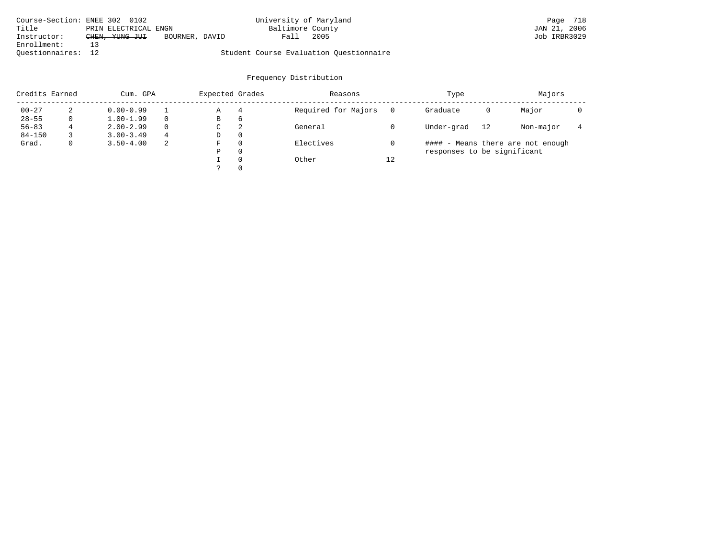| Course-Section: ENEE 302 0102 |                      |                | University of Maryland |                                         | Page 718     |
|-------------------------------|----------------------|----------------|------------------------|-----------------------------------------|--------------|
| Title                         | PRIN ELECTRICAL ENGN |                | Baltimore County       |                                         | JAN 21, 2006 |
| Instructor:                   | CHEN, YUNG JUI       | BOURNER, DAVID | Fall                   | 2005                                    | Job IRBR3029 |
| Enrollment:                   |                      |                |                        |                                         |              |
| Ouestionnaires: 12            |                      |                |                        | Student Course Evaluation Questionnaire |              |

| Credits Earned |   | Cum. GPA      |          | Expected Grades |          | Reasons             |    | Type                        |    | Majors                            |  |
|----------------|---|---------------|----------|-----------------|----------|---------------------|----|-----------------------------|----|-----------------------------------|--|
| $00 - 27$      | ∠ | $0.00 - 0.99$ |          | Α               | 4        | Required for Majors |    | Graduate                    | 0  | Major                             |  |
| $28 - 55$      |   | $1.00 - 1.99$ | $\Omega$ | В               | 6        |                     |    |                             |    |                                   |  |
| $56 - 83$      |   | $2.00 - 2.99$ | $\Omega$ | C               | 2        | General             |    | Under-grad                  | 12 | Non-major                         |  |
| $84 - 150$     |   | $3.00 - 3.49$ | 4        | D               | 0        |                     |    |                             |    |                                   |  |
| Grad.          |   | $3.50 - 4.00$ | 2        | F               | $\Omega$ | Electives           |    |                             |    | #### - Means there are not enough |  |
|                |   |               |          | Ρ               | 0        |                     |    | responses to be significant |    |                                   |  |
|                |   |               |          |                 | $\Omega$ | Other               | 12 |                             |    |                                   |  |
|                |   |               |          |                 | $\Omega$ |                     |    |                             |    |                                   |  |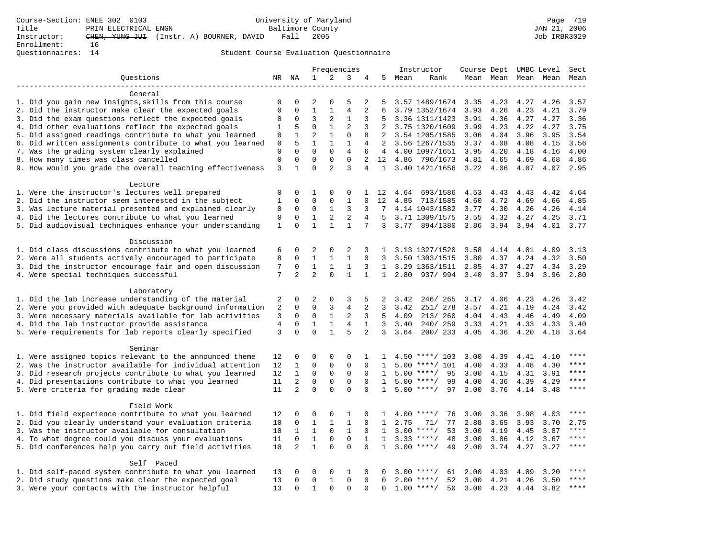|                                                           |              |                |                |                | Frequencies    |                |                |      | Instructor         | Course Dept |           |      | UMBC Level | Sect  |
|-----------------------------------------------------------|--------------|----------------|----------------|----------------|----------------|----------------|----------------|------|--------------------|-------------|-----------|------|------------|-------|
| Ouestions                                                 |              | NR NA          | 1              | 2              | 3              | 4              | 5              | Mean | Rank               |             | Mean Mean |      | Mean Mean  | Mean  |
|                                                           |              |                |                |                |                |                |                |      |                    |             |           |      |            |       |
| General                                                   |              |                |                |                |                |                |                |      |                    |             |           |      |            |       |
| 1. Did you gain new insights, skills from this course     | 0            | 0              | 2              | $\Omega$       | 5              | 2              | 5              |      | 3.57 1489/1674     | 3.35        | 4.23      | 4.27 | 4.26       | 3.57  |
| 2. Did the instructor make clear the expected goals       | 0            | 0              | $\mathbf{1}$   | $\mathbf{1}$   | $\overline{4}$ | $\overline{a}$ | 6              |      | 3.79 1352/1674     | 3.93        | 4.26      | 4.23 | 4.21       | 3.79  |
| 3. Did the exam questions reflect the expected goals      | 0            | 0              | 3              | 2              | 1              | 3              | 5              |      | 3.36 1311/1423     | 3.91        | 4.36      | 4.27 | 4.27       | 3.36  |
| 4. Did other evaluations reflect the expected goals       | 1            | 5              | $\Omega$       | $\mathbf{1}$   | 2              | 3              | 2              |      | 3.75 1320/1609     | 3.99        | 4.23      | 4.22 | 4.27       | 3.75  |
| 5. Did assigned readings contribute to what you learned   | 0            | $\mathbf{1}$   | $\overline{a}$ | $\mathbf{1}$   | $\Omega$       | 8              | 2              |      | 3.54 1205/1585     | 3.06        | 4.04      | 3.96 | 3.95       | 3.54  |
| 6. Did written assignments contribute to what you learned | 0            | 5              | $\mathbf{1}$   | $\mathbf{1}$   | $\mathbf{1}$   | 4              | $\overline{2}$ |      | 3.56 1267/1535     | 3.37        | 4.08      | 4.08 | 4.15       | 3.56  |
| 7. Was the grading system clearly explained               | 0            | 0              | $\Omega$       | $\Omega$       | 4              | 6              | 4              |      | 4.00 1097/1651     | 3.95        | 4.20      | 4.18 | 4.16       | 4.00  |
| 8. How many times was class cancelled                     | 0            | 0              | 0              | 0              | 0              | 2              | 12             |      | 4.86 796/1673      | 4.81        | 4.65      | 4.69 | 4.68       | 4.86  |
| 9. How would you grade the overall teaching effectiveness | 3            | $\mathbf{1}$   | $\Omega$       | $\overline{2}$ | 3              | 4              | $\mathbf{1}$   |      | 3.40 1421/1656     | 3.22        | 4.06      | 4.07 | 4.07       | 2.95  |
| Lecture                                                   |              |                |                |                |                |                |                |      |                    |             |           |      |            |       |
| 1. Were the instructor's lectures well prepared           | 0            | $\Omega$       | 1              | $\Omega$       | 0              | 1              | 12             | 4.64 | 693/1586           | 4.53        | 4.43      | 4.43 | 4.42       | 4.64  |
| 2. Did the instructor seem interested in the subject      | 1            | 0              | $\Omega$       | 0              | $\mathbf{1}$   | $\Omega$       | 12             | 4.85 | 713/1585           | 4.60        | 4.72      | 4.69 | 4.66       | 4.85  |
| 3. Was lecture material presented and explained clearly   | 0            | 0              | 0              | 1              | 3              | 3              | 7              |      | 4.14 1043/1582     | 3.77        | 4.30      | 4.26 | 4.26       | 4.14  |
| 4. Did the lectures contribute to what you learned        | 0            | 0              | $\mathbf{1}$   | $\overline{c}$ | $\overline{a}$ | 4              | 5              |      | 3.71 1309/1575     | 3.55        | 4.32      |      | 4.27 4.25  | 3.71  |
| 5. Did audiovisual techniques enhance your understanding  | $\mathbf{1}$ | $\Omega$       | $\mathbf{1}$   | $\mathbf{1}$   | $\mathbf{1}$   | 7              | 3              | 3.77 | 894/1380           | 3.86        | 3.94      | 3.94 | 4.01       | 3.77  |
|                                                           |              |                |                |                |                |                |                |      |                    |             |           |      |            |       |
| Discussion                                                |              |                |                |                |                |                |                |      |                    |             |           |      |            |       |
| 1. Did class discussions contribute to what you learned   | 6            | 0              | 2              | 0              | 2              | 3              | $\mathbf{1}$   |      | 3.13 1327/1520     | 3.58        | 4.14      | 4.01 | 4.09       | 3.13  |
| 2. Were all students actively encouraged to participate   | 8            | $\mathbf 0$    | $\mathbf{1}$   | $\mathbf{1}$   | $\mathbf{1}$   | $\Omega$       | 3              |      | 3.50 1303/1515     | 3.80        | 4.37      | 4.24 | 4.32       | 3.50  |
| 3. Did the instructor encourage fair and open discussion  | 7            | 0              | $\mathbf{1}$   | 1              | 1              | 3              | $\mathbf{1}$   |      | 3.29 1363/1511     | 2.85        | 4.37      | 4.27 | 4.34       | 3.29  |
| 4. Were special techniques successful                     | 7            | $\overline{a}$ | $\overline{a}$ | $\Omega$       | $\mathbf{1}$   | $\mathbf{1}$   | $\mathbf{1}$   |      | 2.80 937/994       | 3.40        | 3.97      | 3.94 | 3.96       | 2.80  |
| Laboratory                                                |              |                |                |                |                |                |                |      |                    |             |           |      |            |       |
| 1. Did the lab increase understanding of the material     | 2            | $\Omega$       | $\overline{2}$ | 0              | 3              | 5              | 2              | 3.42 | 246/265            | 3.17        | 4.06      | 4.23 | 4.26       | 3.42  |
| 2. Were you provided with adequate background information | 2            | 0              | $\Omega$       | 3              | $\overline{4}$ | 2              | 3              | 3.42 | 251/ 278           | 3.57        | 4.21      | 4.19 | 4.24       | 3.42  |
| 3. Were necessary materials available for lab activities  | 3            | 0              | 0              | $\mathbf{1}$   | 2              | 3              | 5              | 4.09 | 213/ 260           | 4.04 4.43   |           | 4.46 | 4.49       | 4.09  |
| 4. Did the lab instructor provide assistance              | 4            | 0              | $\mathbf{1}$   | $\mathbf{1}$   | 4              | 1              | 3              | 3.40 | 240/259            | 3.33        | 4.21      | 4.33 | 4.33       | 3.40  |
| 5. Were requirements for lab reports clearly specified    | 3            | $\Omega$       | $\Omega$       | $\mathbf{1}$   | 5              | $\overline{a}$ | 3              | 3.64 | 200/233            | 4.05        | 4.36      | 4.20 | 4.18       | 3.64  |
| Seminar                                                   |              |                |                |                |                |                |                |      |                    |             |           |      |            |       |
| 1. Were assigned topics relevant to the announced theme   | 12           | 0              | 0              | 0              | 0              | 1              | $\mathbf{1}$   |      | $4.50$ ****/ 103   | 3.00        | 4.39      | 4.41 | 4.10       |       |
| 2. Was the instructor available for individual attention  | 12           | 1              | $\Omega$       | 0              | 0              | $\Omega$       | $\mathbf{1}$   |      | $5.00$ ****/ 101   | 4.00        | 4.33      | 4.48 | 4.30       | $***$ |
| 3. Did research projects contribute to what you learned   | 12           | $\mathbf{1}$   | 0              | 0              | 0              | $\Omega$       | $\mathbf{1}$   |      | $5.00$ ****/<br>95 | 3.00        | 4.15      | 4.31 | 3.91       | $***$ |
| 4. Did presentations contribute to what you learned       | 11           | $\overline{2}$ | $\Omega$       | $\Omega$       | $\Omega$       | $\Omega$       | $\mathbf{1}$   |      | $5.00$ ****/<br>99 | 4.00        | 4.36      | 4.39 | 4.29       | $***$ |
| 5. Were criteria for grading made clear                   | 11           | $\overline{2}$ | $\Omega$       | $\Omega$       | $\Omega$       | $\Omega$       | $\mathbf{1}$   |      | $5.00$ ****/<br>97 | 2.00        | 3.76      | 4.14 | 3.48       | ****  |
|                                                           |              |                |                |                |                |                |                |      |                    |             |           |      |            |       |
| Field Work                                                |              |                |                |                |                |                |                |      |                    |             |           |      |            |       |
| 1. Did field experience contribute to what you learned    | 12           | 0              | 0              | 0              | 1              | $\Omega$       | 1              |      | 76<br>$4.00$ ****/ | 3.00        | 3.36      | 3.98 | 4.03       | $***$ |
| 2. Did you clearly understand your evaluation criteria    | 10           | $\mathbf 0$    | $\mathbf{1}$   | $\mathbf{1}$   | $\mathbf{1}$   | $\Omega$       | 1              | 2.75 | 77<br>71/          | 2.88        | 3.65      | 3.93 | 3.70       | 2.75  |
| 3. Was the instructor available for consultation          | 10           | $\mathbf{1}$   | $\mathbf{1}$   | $\Omega$       | $\mathbf{1}$   | $\Omega$       | $\mathbf{1}$   |      | 53<br>$3.00$ ****/ | 3.00        | 4.19      | 4.45 | 3.87       | $***$ |
| 4. To what degree could you discuss your evaluations      | 11           | 0              | $\mathbf{1}$   | $\Omega$       | 0              | $\mathbf{1}$   | $\mathbf{1}$   |      | $3.33$ ****/<br>48 | 3.00        | 3.86      | 4.12 | 3.67       | ****  |
| 5. Did conferences help you carry out field activities    | 10           | 2              | $\mathbf{1}$   | $\Omega$       | $\Omega$       | $\Omega$       | $\mathbf{1}$   |      | $3.00$ ****/<br>49 | 2.00        | 3.74      | 4.27 | 3.27       | ****  |
| Self Paced                                                |              |                |                |                |                |                |                |      |                    |             |           |      |            |       |
| 1. Did self-paced system contribute to what you learned   | 13           | 0              | 0              | 0              | $\mathbf{1}$   | $\Omega$       | 0              |      | $3.00$ ****/<br>61 | 2.00        | 4.03      | 4.09 | 3.20       |       |
| 2. Did study questions make clear the expected goal       | 13           | $\Omega$       | 0              | $\mathbf{1}$   | 0              | $\Omega$       | $\Omega$       |      | $2.00$ ****/<br>52 | 3.00        | 4.21      | 4.26 | 3.50       | ****  |
| 3. Were your contacts with the instructor helpful         | 13           | $\Omega$       | $\mathbf{1}$   | $\Omega$       | $\Omega$       | U              | U              |      | $1.00$ ****/<br>50 | 3.00        | 4.23      | 4.44 | 3.82       | ****  |
|                                                           |              |                |                |                |                |                |                |      |                    |             |           |      |            |       |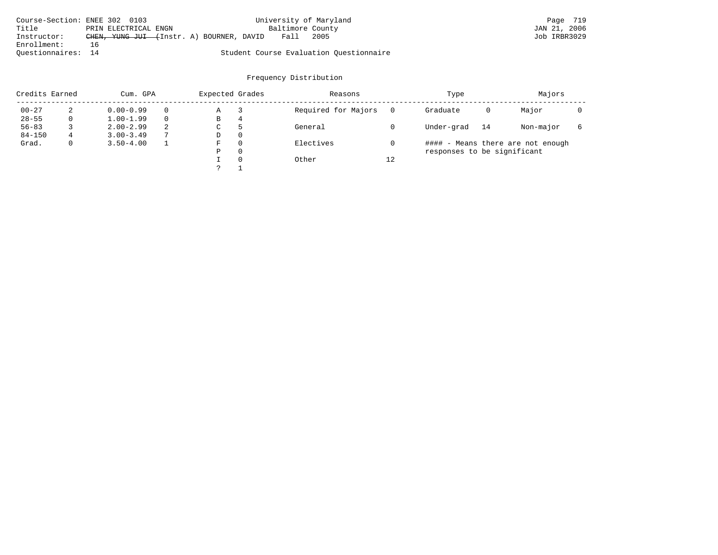| Course-Section: ENEE 302 0103 |     |                      |                                          |  |                  | University of Maryland                  | Page 719     |
|-------------------------------|-----|----------------------|------------------------------------------|--|------------------|-----------------------------------------|--------------|
| Title                         |     | PRIN ELECTRICAL ENGN |                                          |  | Baltimore County |                                         | JAN 21, 2006 |
| Instructor:                   |     |                      | CHEN, YUNG JUI (Instr. A) BOURNER, DAVID |  | Fall             | 2005                                    | Job IRBR3029 |
| Enrollment:                   | 1 6 |                      |                                          |  |                  |                                         |              |
| Ouestionnaires: 14            |     |                      |                                          |  |                  | Student Course Evaluation Questionnaire |              |

| Credits Earned |   | Cum. GPA      |   | Expected Grades |          | Reasons             |          | Type                        |    | Majors                            |  |
|----------------|---|---------------|---|-----------------|----------|---------------------|----------|-----------------------------|----|-----------------------------------|--|
| $00 - 27$      | 2 | $0.00 - 0.99$ |   | Α               |          | Required for Majors | $\Omega$ | Graduate                    | 0  | Major                             |  |
| $28 - 55$      | 0 | $1.00 - 1.99$ |   | В               | 4        |                     |          |                             |    |                                   |  |
| $56 - 83$      |   | $2.00 - 2.99$ | 2 | ◡               | 5        | General             |          | Under-grad                  | 14 | Non-major                         |  |
| $84 - 150$     | 4 | $3.00 - 3.49$ |   | D               | 0        |                     |          |                             |    |                                   |  |
| Grad.          | 0 | $3.50 - 4.00$ |   | F               | 0        | Electives           |          |                             |    | #### - Means there are not enough |  |
|                |   |               |   | Ρ               | 0        |                     |          | responses to be significant |    |                                   |  |
|                |   |               |   |                 | $\Omega$ | Other               | 12       |                             |    |                                   |  |
|                |   |               |   |                 |          |                     |          |                             |    |                                   |  |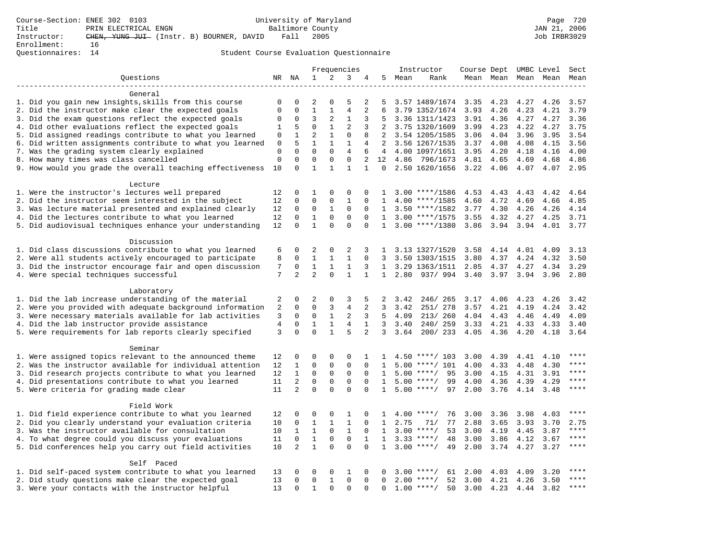|                                                           |              |                |                                |              | Frequencies    |                |                 |      | Instructor         | Course Dept UMBC Level |      |      |           | Sect  |
|-----------------------------------------------------------|--------------|----------------|--------------------------------|--------------|----------------|----------------|-----------------|------|--------------------|------------------------|------|------|-----------|-------|
| Ouestions                                                 |              | NR NA          | $\mathbf{1}$                   | 2            | 3              | 4              | 5               | Mean | Rank               | Mean Mean              |      |      | Mean Mean | Mean  |
|                                                           |              |                |                                |              |                |                |                 |      |                    |                        |      |      |           |       |
| General                                                   |              |                |                                |              |                |                |                 |      |                    |                        |      |      |           |       |
| 1. Did you gain new insights, skills from this course     | $\Omega$     | $\Omega$       | $\mathfrak{D}$                 | $\Omega$     | 5              | 2              | 5               |      | 3.57 1489/1674     | 3.35                   | 4.23 | 4.27 | 4.26      | 3.57  |
| 2. Did the instructor make clear the expected goals       | $\Omega$     | 0              | $\mathbf{1}$                   | $\mathbf{1}$ | $\overline{4}$ | $\overline{2}$ | 6               |      | 3.79 1352/1674     | 3.93                   | 4.26 | 4.23 | 4.21      | 3.79  |
| 3. Did the exam questions reflect the expected goals      | $\Omega$     | 0              | 3                              | 2            | 1              | 3              | 5               |      | 3.36 1311/1423     | 3.91                   | 4.36 | 4.27 | 4.27      | 3.36  |
| 4. Did other evaluations reflect the expected goals       | $\mathbf{1}$ | 5              | $\mathbf 0$                    | $\mathbf{1}$ | $\overline{c}$ | 3              | 2               |      | 3.75 1320/1609     | 3.99                   | 4.23 | 4.22 | 4.27      | 3.75  |
| 5. Did assigned readings contribute to what you learned   | 0            | $\mathbf{1}$   | $\overline{2}$                 | $\mathbf{1}$ | $\mathbf 0$    | 8              | $\overline{2}$  |      | 3.54 1205/1585     | 3.06                   | 4.04 | 3.96 | 3.95      | 3.54  |
| 6. Did written assignments contribute to what you learned | $\mathsf 0$  | 5              | $\mathbf{1}$                   | $\mathbf{1}$ | $\mathbf{1}$   | $\overline{4}$ | $2^{\circ}$     |      | 3.56 1267/1535     | 3.37                   | 4.08 | 4.08 | 4.15      | 3.56  |
| 7. Was the grading system clearly explained               | $\mathbf 0$  | $\Omega$       | $\Omega$                       | $\Omega$     | $\overline{4}$ | 6              | $\overline{4}$  |      | 4.00 1097/1651     | 3.95                   | 4.20 | 4.18 | 4.16      | 4.00  |
| 8. How many times was class cancelled                     | $\mathbf{0}$ | $\Omega$       | $\Omega$                       | $\Omega$     | $\Omega$       | $\overline{2}$ | 12 <sup>°</sup> |      | 4.86 796/1673      | 4.81                   | 4.65 | 4.69 | 4.68      | 4.86  |
| 9. How would you grade the overall teaching effectiveness | 10           | $\Omega$       | $\mathbf{1}$                   | $\mathbf{1}$ | $\mathbf{1}$   | $\mathbf{1}$   | $\Omega$        |      | 2.50 1620/1656     | 3.22                   | 4.06 | 4.07 | 4.07      | 2.95  |
| Lecture                                                   |              |                |                                |              |                |                |                 |      |                    |                        |      |      |           |       |
| 1. Were the instructor's lectures well prepared           | 12           | 0              | 1                              | $\Omega$     | $\Omega$       | $\Omega$       | 1               |      | $3.00$ ****/1586   | 4.53                   | 4.43 | 4.43 | 4.42      | 4.64  |
| 2. Did the instructor seem interested in the subject      | 12           | $\mathbf 0$    | $\mathbf 0$                    | $\mathbf 0$  | $\mathbf{1}$   | $\Omega$       | $\mathbf{1}$    |      | $4.00$ ****/1585   | 4.60                   | 4.72 | 4.69 | 4.66      | 4.85  |
| 3. Was lecture material presented and explained clearly   | 12           | $\Omega$       | $\mathbf 0$                    | 1            | $\Omega$       | $\Omega$       | $\mathbf{1}$    |      | $3.50$ ****/1582   | 3.77                   | 4.30 | 4.26 | 4.26      | 4.14  |
| 4. Did the lectures contribute to what you learned        | 12           | $\Omega$       | $\mathbf{1}$                   | $\mathbf 0$  | $\Omega$       | $\Omega$       | 1               |      | $3.00$ ****/1575   | 3.55                   | 4.32 | 4.27 | 4.25      | 3.71  |
| 5. Did audiovisual techniques enhance your understanding  | 12           | $\Omega$       | $\mathbf{1}$                   | $\Omega$     | $\Omega$       | $\Omega$       | 1               |      | $3.00$ ****/1380   | 3.86                   | 3.94 | 3.94 | 4.01      | 3.77  |
|                                                           |              |                |                                |              |                |                |                 |      |                    |                        |      |      |           |       |
| Discussion                                                |              |                |                                |              |                |                |                 |      |                    |                        |      |      |           |       |
| 1. Did class discussions contribute to what you learned   | 6            | 0              | $\overline{2}$                 | $\Omega$     | $\overline{2}$ | 3              | 1               |      | 3.13 1327/1520     | 3.58                   | 4.14 | 4.01 | 4.09      | 3.13  |
| 2. Were all students actively encouraged to participate   | 8            | $\Omega$       | $\mathbf{1}$                   | $\mathbf{1}$ | $\mathbf{1}$   | $\Omega$       | 3               |      | 3.50 1303/1515     | 3.80                   | 4.37 | 4.24 | 4.32      | 3.50  |
| 3. Did the instructor encourage fair and open discussion  | 7            | $\mathbf 0$    | $\mathbf{1}$<br>$\overline{a}$ | 1            | 1              | 3              | $\mathbf{1}$    |      | 3.29 1363/1511     | 2.85                   | 4.37 | 4.27 | 4.34      | 3.29  |
| 4. Were special techniques successful                     | 7            | $\overline{2}$ |                                | $\Omega$     | $\mathbf{1}$   | $\mathbf{1}$   | $\mathbf{1}$    | 2.80 | 937/994            | 3.40                   | 3.97 | 3.94 | 3.96      | 2.80  |
| Laboratory                                                |              |                |                                |              |                |                |                 |      |                    |                        |      |      |           |       |
| 1. Did the lab increase understanding of the material     | 2            | $\mathbf 0$    | $\overline{2}$                 | 0            | 3              | 5              | 2               | 3.42 | 246/265            | 3.17                   | 4.06 | 4.23 | 4.26      | 3.42  |
| 2. Were you provided with adequate background information | 2            | 0              | $\Omega$                       | 3            | $\overline{4}$ | 2              | 3               | 3.42 | 251/ 278           | 3.57                   | 4.21 | 4.19 | 4.24      | 3.42  |
| 3. Were necessary materials available for lab activities  | 3            | 0              | $\mathbf 0$                    | $\mathbf{1}$ | $\overline{2}$ | 3              | 5               | 4.09 | 213/ 260           | 4.04                   | 4.43 | 4.46 | 4.49      | 4.09  |
| 4. Did the lab instructor provide assistance              | $\,4$        | $\mathbf 0$    | $\mathbf{1}$                   | $\mathbf{1}$ | 4              | $\mathbf{1}$   | 3               | 3.40 | 240/259            | 3.33                   | 4.21 | 4.33 | 4.33      | 3.40  |
| 5. Were requirements for lab reports clearly specified    | 3            | $\Omega$       | $\Omega$                       | $\mathbf{1}$ | 5              | $\overline{2}$ | 3               | 3.64 | 200/233            | 4.05                   | 4.36 | 4.20 | 4.18      | 3.64  |
| Seminar                                                   |              |                |                                |              |                |                |                 |      |                    |                        |      |      |           |       |
| 1. Were assigned topics relevant to the announced theme   | 12           | 0              | $\Omega$                       | $\Omega$     | $\Omega$       | 1              | 1               |      | $4.50$ ****/ 103   | 3.00                   | 4.39 | 4.41 | 4.10      | $***$ |
| 2. Was the instructor available for individual attention  | 12           | 1              | $\Omega$                       | 0            | $\mathbf 0$    | $\Omega$       | $\mathbf{1}$    |      | $5.00$ ****/ 101   | 4.00                   | 4.33 | 4.48 | 4.30      | ****  |
| 3. Did research projects contribute to what you learned   | 12           | $\mathbf{1}$   | $\mathbf 0$                    | $\mathbf 0$  | $\mathbf 0$    | $\mathbf 0$    | $\mathbf{1}$    |      | $5.00$ ****/<br>95 | 3.00                   | 4.15 | 4.31 | 3.91      | ****  |
| 4. Did presentations contribute to what you learned       | 11           | $\overline{2}$ | $\mathbf 0$                    | $\mathbf 0$  | $\mathbf 0$    | $\mathbf 0$    | 1               |      | $5.00$ ****/<br>99 | 4.00                   | 4.36 | 4.39 | 4.29      | $***$ |
| 5. Were criteria for grading made clear                   | 11           | $\overline{a}$ | $\Omega$                       | $\Omega$     | $\Omega$       | $\Omega$       | $\mathbf{1}$    |      | $5.00$ ****/<br>97 | 2.00                   | 3.76 | 4.14 | 3.48      | $***$ |
| Field Work                                                |              |                |                                |              |                |                |                 |      |                    |                        |      |      |           |       |
| 1. Did field experience contribute to what you learned    | 12           | 0              | $\Omega$                       | $\Omega$     | 1              | $\Omega$       | 1               |      | $4.00$ ****/<br>76 | 3.00                   | 3.36 | 3.98 | 4.03      | $***$ |
| 2. Did you clearly understand your evaluation criteria    | 10           | 0              | $\mathbf{1}$                   | $\mathbf{1}$ | $\mathbf{1}$   | $\Omega$       | 1               | 2.75 | 71/<br>77          | 2.88                   | 3.65 | 3.93 | 3.70      | 2.75  |
| 3. Was the instructor available for consultation          | 10           | $\mathbf{1}$   | $\mathbf{1}$                   | $\mathbf 0$  | $\mathbf{1}$   | $\mathbf 0$    | $\mathbf{1}$    |      | 53<br>$3.00$ ****/ | 3.00                   | 4.19 | 4.45 | 3.87      | $***$ |
| 4. To what degree could you discuss your evaluations      | 11           | $\mathbf 0$    | $\mathbf{1}$                   | $\mathbf 0$  | $\mathbf 0$    | $\mathbf{1}$   | 1               |      | $3.33$ ****/<br>48 | 3.00                   | 3.86 | 4.12 | 3.67      | $***$ |
| 5. Did conferences help you carry out field activities    | 10           | $\overline{2}$ | $\mathbf{1}$                   | $\Omega$     | $\Omega$       | $\Omega$       | $\mathbf{1}$    |      | $3.00$ ****/<br>49 | 2.00                   | 3.74 | 4.27 | 3.27      | ****  |
|                                                           |              |                |                                |              |                |                |                 |      |                    |                        |      |      |           |       |
| Self Paced                                                |              |                |                                |              |                |                |                 |      |                    |                        |      |      |           |       |
| 1. Did self-paced system contribute to what you learned   | 13           | 0              | 0                              | 0            | 1              | 0              | 0               |      | $3.00$ ****/<br>61 | 2.00                   | 4.03 | 4.09 | 3.20      |       |
| 2. Did study questions make clear the expected goal       | 13           | $\Omega$       | $\mathbf 0$                    | 1            | $\mathbf 0$    | $\Omega$       | $\Omega$        |      | 52<br>$2.00$ ****/ | 3.00                   | 4.21 | 4.26 | 3.50      | ****  |
| 3. Were your contacts with the instructor helpful         | 13           | $\Omega$       | $\mathbf{1}$                   | $\Omega$     | $\Omega$       | $\Omega$       | $\Omega$        |      | $1.00$ ****/<br>50 | 3.00                   | 4.23 | 4.44 | 3.82      | $***$ |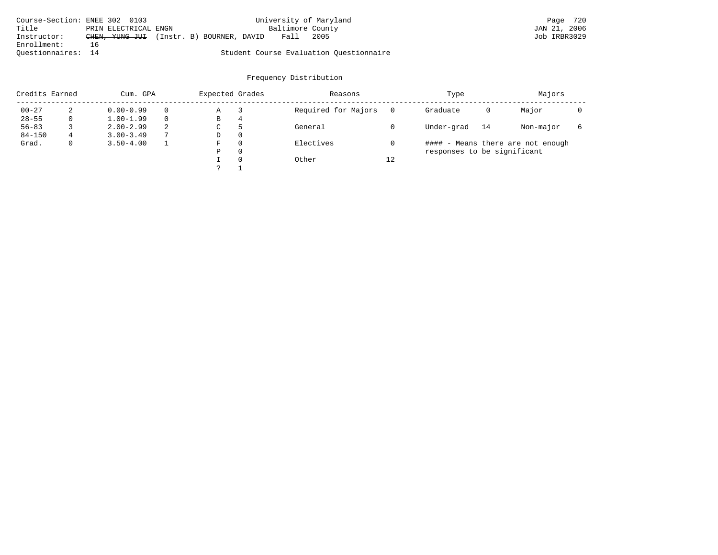| Course-Section: ENEE 302 0103 |                      |                                          | University of Maryland |                                         | Page 720     |
|-------------------------------|----------------------|------------------------------------------|------------------------|-----------------------------------------|--------------|
| Title                         | PRIN ELECTRICAL ENGN |                                          | Baltimore County       |                                         | JAN 21, 2006 |
| Instructor:                   |                      | CHEN, YUNG JUI (Instr. B) BOURNER, DAVID | Fall                   | 2005                                    | Job IRBR3029 |
| Enrollment:                   | 16                   |                                          |                        |                                         |              |
| Ouestionnaires: 14            |                      |                                          |                        | Student Course Evaluation Ouestionnaire |              |

| Credits Earned |   | Cum. GPA      |   | Expected Grades |          | Reasons             |          | Type                        |    | Majors                            |  |
|----------------|---|---------------|---|-----------------|----------|---------------------|----------|-----------------------------|----|-----------------------------------|--|
| $00 - 27$      | 2 | $0.00 - 0.99$ |   | Α               |          | Required for Majors | $\Omega$ | Graduate                    | 0  | Major                             |  |
| $28 - 55$      | 0 | $1.00 - 1.99$ |   | В               | 4        |                     |          |                             |    |                                   |  |
| $56 - 83$      |   | $2.00 - 2.99$ | 2 | ◡               | 5        | General             |          | Under-grad                  | 14 | Non-major                         |  |
| $84 - 150$     | 4 | $3.00 - 3.49$ |   | D               | 0        |                     |          |                             |    |                                   |  |
| Grad.          | 0 | $3.50 - 4.00$ |   | F               | 0        | Electives           |          |                             |    | #### - Means there are not enough |  |
|                |   |               |   | Ρ               | 0        |                     |          | responses to be significant |    |                                   |  |
|                |   |               |   |                 | $\Omega$ | Other               | 12       |                             |    |                                   |  |
|                |   |               |   |                 |          |                     |          |                             |    |                                   |  |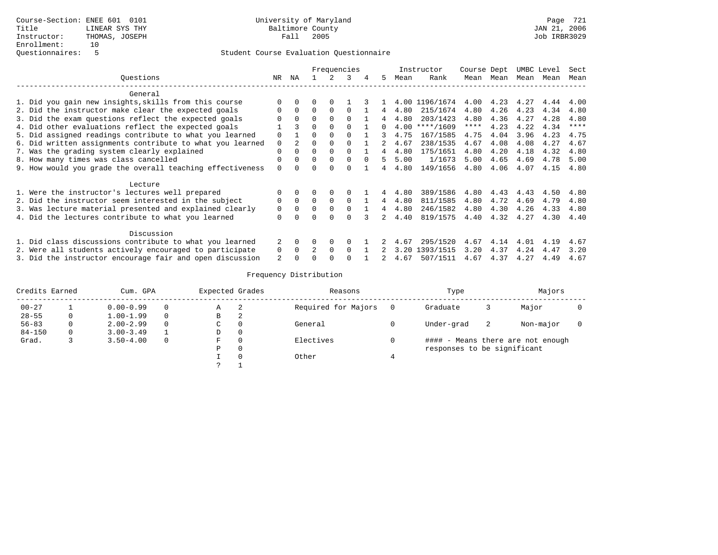|                                                           |          |                |          |          | Frequencies |          |              |      | Instructor | Course Dept |      |      | UMBC Level | Sect        |
|-----------------------------------------------------------|----------|----------------|----------|----------|-------------|----------|--------------|------|------------|-------------|------|------|------------|-------------|
| Ouestions                                                 | NR       | ΝA             |          |          | 3           |          | .5           | Mean | Rank       | Mean        | Mean | Mean | Mean       | Mean        |
| General                                                   |          |                |          |          |             |          |              |      |            |             |      |      |            |             |
| 1. Did you gain new insights, skills from this course     |          |                | 0        |          |             |          |              | 4.00 | 1196/1674  | 4.00        | 4.23 | 4.27 | 4.44       | 4.00        |
| 2. Did the instructor make clear the expected goals       | $\Omega$ | $\Omega$       | $\Omega$ | $\Omega$ | $\cap$      |          |              | 4.80 | 215/1674   | 4.80        | 4.26 | 4.23 | 4.34       | 4.80        |
| 3. Did the exam questions reflect the expected goals      |          |                | $\Omega$ | $\Omega$ | ∩           |          |              | 4.80 | 203/1423   | 4.80        | 4.36 | 4.27 | 4.28       | 4.80        |
| 4. Did other evaluations reflect the expected goals       |          | 3              | $\Omega$ |          |             |          | <sup>n</sup> | 4.00 | $***/1609$ | ****        | 4.23 | 4.22 | 4.34       | $* * * * *$ |
| 5. Did assigned readings contribute to what you learned   | $\Omega$ |                | $\Omega$ |          |             |          |              | 4.75 | 167/1585   | 4.75        | 4.04 | 3.96 | 4.23       | 4.75        |
| 6. Did written assignments contribute to what you learned | $\Omega$ | $\overline{2}$ | 0        |          |             |          |              | 4.67 | 238/1535   | 4.67        | 4.08 | 4.08 | 4.27       | 4.67        |
| 7. Was the grading system clearly explained               | $\Omega$ |                | $\Omega$ |          | $\Omega$    |          |              | 4.80 | 175/1651   | 4.80        | 4.20 | 4.18 | 4.32       | 4.80        |
| 8. How many times was class cancelled                     | $\Omega$ |                | $\Omega$ |          | $\Omega$    | $\Omega$ |              | 5.00 | 1/1673     | 5.00        | 4.65 | 4.69 | 4.78       | 5.00        |
| 9. How would you grade the overall teaching effectiveness | $\Omega$ |                | O        |          | ∩           |          |              | 4.80 | 149/1656   | 4.80        | 4.06 | 4.07 | 4.15       | 4.80        |
| Lecture                                                   |          |                |          |          |             |          |              |      |            |             |      |      |            |             |
| 1. Were the instructor's lectures well prepared           |          |                | 0        | 0        |             |          | 4            | 4.80 | 389/1586   | 4.80        | 4.43 | 4.43 | 4.50       | 4.80        |
| 2. Did the instructor seem interested in the subject      | $\Omega$ | $\Omega$       | $\Omega$ | $\Omega$ | $\Omega$    |          | 4            | 4.80 | 811/1585   | 4.80        | 4.72 | 4.69 | 4.79       | 4.80        |
| 3. Was lecture material presented and explained clearly   | 0        |                |          |          | $\Omega$    |          |              | 4.80 | 246/1582   | 4.80        | 4.30 | 4.26 | 4.33       | 4.80        |
| 4. Did the lectures contribute to what you learned        | $\Omega$ |                |          |          |             |          |              | 4.40 | 819/1575   | 4.40        | 4.32 | 4.27 | 4.30       | 4.40        |
| Discussion                                                |          |                |          |          |             |          |              |      |            |             |      |      |            |             |
| 1. Did class discussions contribute to what you learned   |          |                | O        | $\Omega$ | $\Omega$    |          |              | 4.67 | 295/1520   | 4.67        | 4.14 | 4.01 | 4.19       | 4.67        |
| 2. Were all students actively encouraged to participate   | $\Omega$ | $\Omega$       |          | $\Omega$ | $\Omega$    |          |              | 3.20 | 1393/1515  | 3.20        | 4.37 | 4.24 | 4.47       | 3.20        |
| 3. Did the instructor encourage fair and open discussion  |          |                | U        |          |             |          |              | 4.67 | 507/1511   | 4.67        | 4.37 | 4.27 | 4.49       | 4.67        |

| Credits Earned |          | Cum. GPA      |          | Expected Grades |          | Reasons             | Type                        |   | Majors                            |  |
|----------------|----------|---------------|----------|-----------------|----------|---------------------|-----------------------------|---|-----------------------------------|--|
| $00 - 27$      |          | $0.00 - 0.99$ | $\Omega$ | Α               | 2        | Required for Majors | Graduate                    |   | Major                             |  |
| $28 - 55$      | 0        | $1.00 - 1.99$ | $\Omega$ | В               | 2        |                     |                             |   |                                   |  |
| $56 - 83$      | 0        | $2.00 - 2.99$ | $\Omega$ | C               | 0        | General             | Under-grad                  | 2 | Non-major                         |  |
| $84 - 150$     | $\Omega$ | $3.00 - 3.49$ |          | D               | 0        |                     |                             |   |                                   |  |
| Grad.          |          | $3.50 - 4.00$ | $\Omega$ | F               | 0        | Electives           |                             |   | #### - Means there are not enough |  |
|                |          |               |          | Ρ               | 0        |                     | responses to be significant |   |                                   |  |
|                |          |               |          |                 | $\Omega$ | Other               |                             |   |                                   |  |
|                |          |               |          |                 |          |                     |                             |   |                                   |  |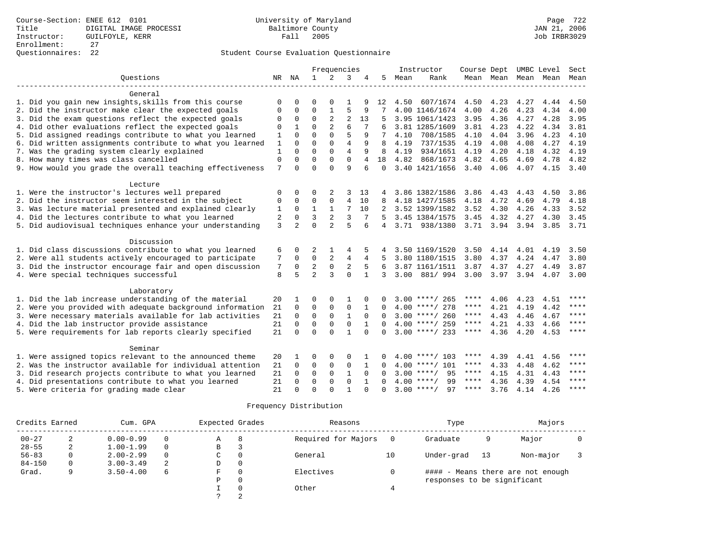| Ouestions<br>$\mathbf{1}$<br>2<br>NR NA<br>3<br>4<br>5<br>Mean<br>Rank<br>Mean Mean Mean Mean Mean<br>General<br>1. Did you gain new insights, skills from this course<br>607/1674<br>4.23<br>4.27<br>4.50<br>4.50<br>4.44<br>4.50<br>$\Omega$<br>∩<br>$\Omega$<br>12<br>5<br>2. Did the instructor make clear the expected goals<br>$\mathbf 0$<br>4.00<br>4.26<br>4.23<br>4.00<br>0<br>$\mathbf{1}$<br>9<br>4.00 1146/1674<br>4.34<br>0<br>$\mathbf 0$<br>$\mathbf 0$<br>2<br>$\overline{2}$<br>3. Did the exam questions reflect the expected goals<br>3.95<br>13<br>3.95 1061/1423<br>3.95<br>4.36<br>4.27<br>4.28<br>0<br>6<br>$\Omega$<br>$\overline{2}$<br>4. Did other evaluations reflect the expected goals<br>3.81 1285/1609<br>3.81<br>4.23<br>4.22<br>4.34<br>3.81<br>0<br>$\Omega$<br>5<br>5. Did assigned readings contribute to what you learned<br>$\mathbf{1}$<br>$\Omega$<br>$\Omega$<br>4.04<br>3.96<br>4.23<br>4.10<br>9<br>4.10<br>708/1585<br>4.10<br>6. Did written assignments contribute to what you learned<br>$\mathbf{1}$<br>$\Omega$<br>$\Omega$<br>$\overline{4}$<br>9<br>737/1535<br>4.19<br>4.08<br>4.08<br>4.27<br>4.19<br>$\Omega$<br>8<br>4.19<br>$\Omega$<br>$\Omega$<br>7. Was the grading system clearly explained<br>$\overline{4}$<br>1<br>$\Omega$<br>9<br>8<br>4.19<br>934/1651<br>4.19<br>4.20<br>4.18<br>4.32<br>4.19<br>$\Omega$<br>$\Omega$<br>$\Omega$<br>8. How many times was class cancelled<br>$\mathbf 0$<br>$\Omega$<br>18<br>4.82<br>868/1673<br>4.82<br>4.65<br>4.82<br>4<br>4.69<br>4.78<br>$\Omega$<br>9. How would you grade the overall teaching effectiveness<br>7<br>$\cap$<br>$\mathsf{Q}$<br>$\cap$<br>6<br>$\Omega$<br>3.40 1421/1656<br>$3.40 \quad 4.06$<br>4.07<br>4.15 3.40<br>Lecture<br>1. Were the instructor's lectures well prepared<br>0<br>3.86 1382/1586<br>3.86<br>4.43<br>4.43<br>4.50<br>3.86<br>0<br>0<br>2<br>3<br>13<br>4<br>2. Did the instructor seem interested in the subject<br>$\Omega$<br>$\overline{4}$<br>$\mathbf 0$<br>$\Omega$<br>4.18 1427/1585<br>4.18<br>4.72<br>4.69<br>4.79<br>4.18<br>0<br>10<br>8<br>3. Was lecture material presented and explained clearly<br>$\mathbf{1}$<br>7<br>4.30<br>$\Omega$<br>$\mathbf{1}$<br>10<br>3.52 1399/1582<br>3.52<br>4.26<br>4.33<br>3.52<br>1<br>2<br>$\overline{2}$<br>3<br>3<br>4. Did the lectures contribute to what you learned<br>3.45<br>4.32<br>2<br>$\Omega$<br>7<br>3.45 1384/1575<br>4.27<br>4.30<br>3.45<br>5.<br>$\Omega$<br>5. Did audiovisual techniques enhance your understanding<br>3<br>$\overline{2}$<br>$\overline{2}$<br>5<br>3.71 3.94 3.94<br>3.71 938/1380<br>3.85<br>3.71<br>6<br>$\overline{4}$<br>Discussion<br>1. Did class discussions contribute to what you learned<br>3.50 1169/1520<br>3.50<br>4.14<br>4.01<br>3.50<br>4.19<br>6<br>$\Omega$<br>2<br>5<br>4<br>4<br>$\mathbf 0$<br>2<br>2. Were all students actively encouraged to participate<br>$\overline{4}$<br>3.80<br>7<br>$\Omega$<br>4<br>3.80 1180/1515<br>4.37<br>4.24<br>4.47<br>3.80<br>5<br>$\overline{2}$<br>$\mathbf 0$<br>$\overline{c}$<br>3. Did the instructor encourage fair and open discussion<br>3.87 1161/1511<br>3.87<br>4.37<br>4.27<br>3.87<br>7<br>0<br>6<br>4.49<br>$\mathfrak{D}$<br>5<br>3<br>$\Omega$<br>4. Were special techniques successful<br>8<br>$\mathbf{1}$<br>3.00<br>881/994<br>3.00<br>3.97<br>3.94<br>3.00<br>3<br>4.07<br>Laboratory<br>****<br>1. Did the lab increase understanding of the material<br>20<br>$3.00$ ****/ 265<br>****<br>4.06<br>4.23<br>$\Omega$<br>$\Omega$<br>1<br>4.51<br>$\star\star\star\star$<br>2. Were you provided with adequate background information<br>$\Omega$<br>$\mathbf 0$<br>$\mathbf{0}$<br>$\mathbf 0$<br>$4.00$ ****/ 278<br>4.21<br>4.42<br>21<br>$\Omega$<br>****<br>4.19<br>$\mathbf 0$<br>$\mathbf{1}$<br>$* * * * *$<br>3. Were necessary materials available for lab activities<br>21<br>$\Omega$<br>$\Omega$<br>$\Omega$<br>$3.00$ ****/ 260<br>****<br>4.43<br>4.46<br>4.67<br>$\cap$ |
|------------------------------------------------------------------------------------------------------------------------------------------------------------------------------------------------------------------------------------------------------------------------------------------------------------------------------------------------------------------------------------------------------------------------------------------------------------------------------------------------------------------------------------------------------------------------------------------------------------------------------------------------------------------------------------------------------------------------------------------------------------------------------------------------------------------------------------------------------------------------------------------------------------------------------------------------------------------------------------------------------------------------------------------------------------------------------------------------------------------------------------------------------------------------------------------------------------------------------------------------------------------------------------------------------------------------------------------------------------------------------------------------------------------------------------------------------------------------------------------------------------------------------------------------------------------------------------------------------------------------------------------------------------------------------------------------------------------------------------------------------------------------------------------------------------------------------------------------------------------------------------------------------------------------------------------------------------------------------------------------------------------------------------------------------------------------------------------------------------------------------------------------------------------------------------------------------------------------------------------------------------------------------------------------------------------------------------------------------------------------------------------------------------------------------------------------------------------------------------------------------------------------------------------------------------------------------------------------------------------------------------------------------------------------------------------------------------------------------------------------------------------------------------------------------------------------------------------------------------------------------------------------------------------------------------------------------------------------------------------------------------------------------------------------------------------------------------------------------------------------------------------------------------------------------------------------------------------------------------------------------------------------------------------------------------------------------------------------------------------------------------------------------------------------------------------------------------------------------------------------------------------------------------------------------------------------------------------------------------------------------------------------------------------------------------------------------------------------------------------------------------------------------------------------------------------------------------------------------------------------------------------------------------------------------------------------------------------------------------------------------------------|
|                                                                                                                                                                                                                                                                                                                                                                                                                                                                                                                                                                                                                                                                                                                                                                                                                                                                                                                                                                                                                                                                                                                                                                                                                                                                                                                                                                                                                                                                                                                                                                                                                                                                                                                                                                                                                                                                                                                                                                                                                                                                                                                                                                                                                                                                                                                                                                                                                                                                                                                                                                                                                                                                                                                                                                                                                                                                                                                                                                                                                                                                                                                                                                                                                                                                                                                                                                                                                                                                                                                                                                                                                                                                                                                                                                                                                                                                                                                                                                                                                  |
|                                                                                                                                                                                                                                                                                                                                                                                                                                                                                                                                                                                                                                                                                                                                                                                                                                                                                                                                                                                                                                                                                                                                                                                                                                                                                                                                                                                                                                                                                                                                                                                                                                                                                                                                                                                                                                                                                                                                                                                                                                                                                                                                                                                                                                                                                                                                                                                                                                                                                                                                                                                                                                                                                                                                                                                                                                                                                                                                                                                                                                                                                                                                                                                                                                                                                                                                                                                                                                                                                                                                                                                                                                                                                                                                                                                                                                                                                                                                                                                                                  |
|                                                                                                                                                                                                                                                                                                                                                                                                                                                                                                                                                                                                                                                                                                                                                                                                                                                                                                                                                                                                                                                                                                                                                                                                                                                                                                                                                                                                                                                                                                                                                                                                                                                                                                                                                                                                                                                                                                                                                                                                                                                                                                                                                                                                                                                                                                                                                                                                                                                                                                                                                                                                                                                                                                                                                                                                                                                                                                                                                                                                                                                                                                                                                                                                                                                                                                                                                                                                                                                                                                                                                                                                                                                                                                                                                                                                                                                                                                                                                                                                                  |
|                                                                                                                                                                                                                                                                                                                                                                                                                                                                                                                                                                                                                                                                                                                                                                                                                                                                                                                                                                                                                                                                                                                                                                                                                                                                                                                                                                                                                                                                                                                                                                                                                                                                                                                                                                                                                                                                                                                                                                                                                                                                                                                                                                                                                                                                                                                                                                                                                                                                                                                                                                                                                                                                                                                                                                                                                                                                                                                                                                                                                                                                                                                                                                                                                                                                                                                                                                                                                                                                                                                                                                                                                                                                                                                                                                                                                                                                                                                                                                                                                  |
|                                                                                                                                                                                                                                                                                                                                                                                                                                                                                                                                                                                                                                                                                                                                                                                                                                                                                                                                                                                                                                                                                                                                                                                                                                                                                                                                                                                                                                                                                                                                                                                                                                                                                                                                                                                                                                                                                                                                                                                                                                                                                                                                                                                                                                                                                                                                                                                                                                                                                                                                                                                                                                                                                                                                                                                                                                                                                                                                                                                                                                                                                                                                                                                                                                                                                                                                                                                                                                                                                                                                                                                                                                                                                                                                                                                                                                                                                                                                                                                                                  |
|                                                                                                                                                                                                                                                                                                                                                                                                                                                                                                                                                                                                                                                                                                                                                                                                                                                                                                                                                                                                                                                                                                                                                                                                                                                                                                                                                                                                                                                                                                                                                                                                                                                                                                                                                                                                                                                                                                                                                                                                                                                                                                                                                                                                                                                                                                                                                                                                                                                                                                                                                                                                                                                                                                                                                                                                                                                                                                                                                                                                                                                                                                                                                                                                                                                                                                                                                                                                                                                                                                                                                                                                                                                                                                                                                                                                                                                                                                                                                                                                                  |
|                                                                                                                                                                                                                                                                                                                                                                                                                                                                                                                                                                                                                                                                                                                                                                                                                                                                                                                                                                                                                                                                                                                                                                                                                                                                                                                                                                                                                                                                                                                                                                                                                                                                                                                                                                                                                                                                                                                                                                                                                                                                                                                                                                                                                                                                                                                                                                                                                                                                                                                                                                                                                                                                                                                                                                                                                                                                                                                                                                                                                                                                                                                                                                                                                                                                                                                                                                                                                                                                                                                                                                                                                                                                                                                                                                                                                                                                                                                                                                                                                  |
|                                                                                                                                                                                                                                                                                                                                                                                                                                                                                                                                                                                                                                                                                                                                                                                                                                                                                                                                                                                                                                                                                                                                                                                                                                                                                                                                                                                                                                                                                                                                                                                                                                                                                                                                                                                                                                                                                                                                                                                                                                                                                                                                                                                                                                                                                                                                                                                                                                                                                                                                                                                                                                                                                                                                                                                                                                                                                                                                                                                                                                                                                                                                                                                                                                                                                                                                                                                                                                                                                                                                                                                                                                                                                                                                                                                                                                                                                                                                                                                                                  |
|                                                                                                                                                                                                                                                                                                                                                                                                                                                                                                                                                                                                                                                                                                                                                                                                                                                                                                                                                                                                                                                                                                                                                                                                                                                                                                                                                                                                                                                                                                                                                                                                                                                                                                                                                                                                                                                                                                                                                                                                                                                                                                                                                                                                                                                                                                                                                                                                                                                                                                                                                                                                                                                                                                                                                                                                                                                                                                                                                                                                                                                                                                                                                                                                                                                                                                                                                                                                                                                                                                                                                                                                                                                                                                                                                                                                                                                                                                                                                                                                                  |
|                                                                                                                                                                                                                                                                                                                                                                                                                                                                                                                                                                                                                                                                                                                                                                                                                                                                                                                                                                                                                                                                                                                                                                                                                                                                                                                                                                                                                                                                                                                                                                                                                                                                                                                                                                                                                                                                                                                                                                                                                                                                                                                                                                                                                                                                                                                                                                                                                                                                                                                                                                                                                                                                                                                                                                                                                                                                                                                                                                                                                                                                                                                                                                                                                                                                                                                                                                                                                                                                                                                                                                                                                                                                                                                                                                                                                                                                                                                                                                                                                  |
|                                                                                                                                                                                                                                                                                                                                                                                                                                                                                                                                                                                                                                                                                                                                                                                                                                                                                                                                                                                                                                                                                                                                                                                                                                                                                                                                                                                                                                                                                                                                                                                                                                                                                                                                                                                                                                                                                                                                                                                                                                                                                                                                                                                                                                                                                                                                                                                                                                                                                                                                                                                                                                                                                                                                                                                                                                                                                                                                                                                                                                                                                                                                                                                                                                                                                                                                                                                                                                                                                                                                                                                                                                                                                                                                                                                                                                                                                                                                                                                                                  |
|                                                                                                                                                                                                                                                                                                                                                                                                                                                                                                                                                                                                                                                                                                                                                                                                                                                                                                                                                                                                                                                                                                                                                                                                                                                                                                                                                                                                                                                                                                                                                                                                                                                                                                                                                                                                                                                                                                                                                                                                                                                                                                                                                                                                                                                                                                                                                                                                                                                                                                                                                                                                                                                                                                                                                                                                                                                                                                                                                                                                                                                                                                                                                                                                                                                                                                                                                                                                                                                                                                                                                                                                                                                                                                                                                                                                                                                                                                                                                                                                                  |
|                                                                                                                                                                                                                                                                                                                                                                                                                                                                                                                                                                                                                                                                                                                                                                                                                                                                                                                                                                                                                                                                                                                                                                                                                                                                                                                                                                                                                                                                                                                                                                                                                                                                                                                                                                                                                                                                                                                                                                                                                                                                                                                                                                                                                                                                                                                                                                                                                                                                                                                                                                                                                                                                                                                                                                                                                                                                                                                                                                                                                                                                                                                                                                                                                                                                                                                                                                                                                                                                                                                                                                                                                                                                                                                                                                                                                                                                                                                                                                                                                  |
|                                                                                                                                                                                                                                                                                                                                                                                                                                                                                                                                                                                                                                                                                                                                                                                                                                                                                                                                                                                                                                                                                                                                                                                                                                                                                                                                                                                                                                                                                                                                                                                                                                                                                                                                                                                                                                                                                                                                                                                                                                                                                                                                                                                                                                                                                                                                                                                                                                                                                                                                                                                                                                                                                                                                                                                                                                                                                                                                                                                                                                                                                                                                                                                                                                                                                                                                                                                                                                                                                                                                                                                                                                                                                                                                                                                                                                                                                                                                                                                                                  |
|                                                                                                                                                                                                                                                                                                                                                                                                                                                                                                                                                                                                                                                                                                                                                                                                                                                                                                                                                                                                                                                                                                                                                                                                                                                                                                                                                                                                                                                                                                                                                                                                                                                                                                                                                                                                                                                                                                                                                                                                                                                                                                                                                                                                                                                                                                                                                                                                                                                                                                                                                                                                                                                                                                                                                                                                                                                                                                                                                                                                                                                                                                                                                                                                                                                                                                                                                                                                                                                                                                                                                                                                                                                                                                                                                                                                                                                                                                                                                                                                                  |
|                                                                                                                                                                                                                                                                                                                                                                                                                                                                                                                                                                                                                                                                                                                                                                                                                                                                                                                                                                                                                                                                                                                                                                                                                                                                                                                                                                                                                                                                                                                                                                                                                                                                                                                                                                                                                                                                                                                                                                                                                                                                                                                                                                                                                                                                                                                                                                                                                                                                                                                                                                                                                                                                                                                                                                                                                                                                                                                                                                                                                                                                                                                                                                                                                                                                                                                                                                                                                                                                                                                                                                                                                                                                                                                                                                                                                                                                                                                                                                                                                  |
|                                                                                                                                                                                                                                                                                                                                                                                                                                                                                                                                                                                                                                                                                                                                                                                                                                                                                                                                                                                                                                                                                                                                                                                                                                                                                                                                                                                                                                                                                                                                                                                                                                                                                                                                                                                                                                                                                                                                                                                                                                                                                                                                                                                                                                                                                                                                                                                                                                                                                                                                                                                                                                                                                                                                                                                                                                                                                                                                                                                                                                                                                                                                                                                                                                                                                                                                                                                                                                                                                                                                                                                                                                                                                                                                                                                                                                                                                                                                                                                                                  |
|                                                                                                                                                                                                                                                                                                                                                                                                                                                                                                                                                                                                                                                                                                                                                                                                                                                                                                                                                                                                                                                                                                                                                                                                                                                                                                                                                                                                                                                                                                                                                                                                                                                                                                                                                                                                                                                                                                                                                                                                                                                                                                                                                                                                                                                                                                                                                                                                                                                                                                                                                                                                                                                                                                                                                                                                                                                                                                                                                                                                                                                                                                                                                                                                                                                                                                                                                                                                                                                                                                                                                                                                                                                                                                                                                                                                                                                                                                                                                                                                                  |
|                                                                                                                                                                                                                                                                                                                                                                                                                                                                                                                                                                                                                                                                                                                                                                                                                                                                                                                                                                                                                                                                                                                                                                                                                                                                                                                                                                                                                                                                                                                                                                                                                                                                                                                                                                                                                                                                                                                                                                                                                                                                                                                                                                                                                                                                                                                                                                                                                                                                                                                                                                                                                                                                                                                                                                                                                                                                                                                                                                                                                                                                                                                                                                                                                                                                                                                                                                                                                                                                                                                                                                                                                                                                                                                                                                                                                                                                                                                                                                                                                  |
|                                                                                                                                                                                                                                                                                                                                                                                                                                                                                                                                                                                                                                                                                                                                                                                                                                                                                                                                                                                                                                                                                                                                                                                                                                                                                                                                                                                                                                                                                                                                                                                                                                                                                                                                                                                                                                                                                                                                                                                                                                                                                                                                                                                                                                                                                                                                                                                                                                                                                                                                                                                                                                                                                                                                                                                                                                                                                                                                                                                                                                                                                                                                                                                                                                                                                                                                                                                                                                                                                                                                                                                                                                                                                                                                                                                                                                                                                                                                                                                                                  |
|                                                                                                                                                                                                                                                                                                                                                                                                                                                                                                                                                                                                                                                                                                                                                                                                                                                                                                                                                                                                                                                                                                                                                                                                                                                                                                                                                                                                                                                                                                                                                                                                                                                                                                                                                                                                                                                                                                                                                                                                                                                                                                                                                                                                                                                                                                                                                                                                                                                                                                                                                                                                                                                                                                                                                                                                                                                                                                                                                                                                                                                                                                                                                                                                                                                                                                                                                                                                                                                                                                                                                                                                                                                                                                                                                                                                                                                                                                                                                                                                                  |
|                                                                                                                                                                                                                                                                                                                                                                                                                                                                                                                                                                                                                                                                                                                                                                                                                                                                                                                                                                                                                                                                                                                                                                                                                                                                                                                                                                                                                                                                                                                                                                                                                                                                                                                                                                                                                                                                                                                                                                                                                                                                                                                                                                                                                                                                                                                                                                                                                                                                                                                                                                                                                                                                                                                                                                                                                                                                                                                                                                                                                                                                                                                                                                                                                                                                                                                                                                                                                                                                                                                                                                                                                                                                                                                                                                                                                                                                                                                                                                                                                  |
|                                                                                                                                                                                                                                                                                                                                                                                                                                                                                                                                                                                                                                                                                                                                                                                                                                                                                                                                                                                                                                                                                                                                                                                                                                                                                                                                                                                                                                                                                                                                                                                                                                                                                                                                                                                                                                                                                                                                                                                                                                                                                                                                                                                                                                                                                                                                                                                                                                                                                                                                                                                                                                                                                                                                                                                                                                                                                                                                                                                                                                                                                                                                                                                                                                                                                                                                                                                                                                                                                                                                                                                                                                                                                                                                                                                                                                                                                                                                                                                                                  |
|                                                                                                                                                                                                                                                                                                                                                                                                                                                                                                                                                                                                                                                                                                                                                                                                                                                                                                                                                                                                                                                                                                                                                                                                                                                                                                                                                                                                                                                                                                                                                                                                                                                                                                                                                                                                                                                                                                                                                                                                                                                                                                                                                                                                                                                                                                                                                                                                                                                                                                                                                                                                                                                                                                                                                                                                                                                                                                                                                                                                                                                                                                                                                                                                                                                                                                                                                                                                                                                                                                                                                                                                                                                                                                                                                                                                                                                                                                                                                                                                                  |
|                                                                                                                                                                                                                                                                                                                                                                                                                                                                                                                                                                                                                                                                                                                                                                                                                                                                                                                                                                                                                                                                                                                                                                                                                                                                                                                                                                                                                                                                                                                                                                                                                                                                                                                                                                                                                                                                                                                                                                                                                                                                                                                                                                                                                                                                                                                                                                                                                                                                                                                                                                                                                                                                                                                                                                                                                                                                                                                                                                                                                                                                                                                                                                                                                                                                                                                                                                                                                                                                                                                                                                                                                                                                                                                                                                                                                                                                                                                                                                                                                  |
|                                                                                                                                                                                                                                                                                                                                                                                                                                                                                                                                                                                                                                                                                                                                                                                                                                                                                                                                                                                                                                                                                                                                                                                                                                                                                                                                                                                                                                                                                                                                                                                                                                                                                                                                                                                                                                                                                                                                                                                                                                                                                                                                                                                                                                                                                                                                                                                                                                                                                                                                                                                                                                                                                                                                                                                                                                                                                                                                                                                                                                                                                                                                                                                                                                                                                                                                                                                                                                                                                                                                                                                                                                                                                                                                                                                                                                                                                                                                                                                                                  |
|                                                                                                                                                                                                                                                                                                                                                                                                                                                                                                                                                                                                                                                                                                                                                                                                                                                                                                                                                                                                                                                                                                                                                                                                                                                                                                                                                                                                                                                                                                                                                                                                                                                                                                                                                                                                                                                                                                                                                                                                                                                                                                                                                                                                                                                                                                                                                                                                                                                                                                                                                                                                                                                                                                                                                                                                                                                                                                                                                                                                                                                                                                                                                                                                                                                                                                                                                                                                                                                                                                                                                                                                                                                                                                                                                                                                                                                                                                                                                                                                                  |
|                                                                                                                                                                                                                                                                                                                                                                                                                                                                                                                                                                                                                                                                                                                                                                                                                                                                                                                                                                                                                                                                                                                                                                                                                                                                                                                                                                                                                                                                                                                                                                                                                                                                                                                                                                                                                                                                                                                                                                                                                                                                                                                                                                                                                                                                                                                                                                                                                                                                                                                                                                                                                                                                                                                                                                                                                                                                                                                                                                                                                                                                                                                                                                                                                                                                                                                                                                                                                                                                                                                                                                                                                                                                                                                                                                                                                                                                                                                                                                                                                  |
|                                                                                                                                                                                                                                                                                                                                                                                                                                                                                                                                                                                                                                                                                                                                                                                                                                                                                                                                                                                                                                                                                                                                                                                                                                                                                                                                                                                                                                                                                                                                                                                                                                                                                                                                                                                                                                                                                                                                                                                                                                                                                                                                                                                                                                                                                                                                                                                                                                                                                                                                                                                                                                                                                                                                                                                                                                                                                                                                                                                                                                                                                                                                                                                                                                                                                                                                                                                                                                                                                                                                                                                                                                                                                                                                                                                                                                                                                                                                                                                                                  |
| $***$ *<br>$\Omega$<br>$\mathbf 0$<br>$4.00$ ****/ 259<br>$***$ * * *<br>4. Did the lab instructor provide assistance<br>$\Omega$<br>$\mathbf 0$<br>4.21<br>4.33<br>4.66<br>21<br>$\cap$                                                                                                                                                                                                                                                                                                                                                                                                                                                                                                                                                                                                                                                                                                                                                                                                                                                                                                                                                                                                                                                                                                                                                                                                                                                                                                                                                                                                                                                                                                                                                                                                                                                                                                                                                                                                                                                                                                                                                                                                                                                                                                                                                                                                                                                                                                                                                                                                                                                                                                                                                                                                                                                                                                                                                                                                                                                                                                                                                                                                                                                                                                                                                                                                                                                                                                                                                                                                                                                                                                                                                                                                                                                                                                                                                                                                                         |
| $***$ *<br>$\Omega$<br>$\Omega$<br>$\cap$<br>$\mathbf{1}$<br>$3.00$ ****/ 233<br>****<br>5. Were requirements for lab reports clearly specified<br>4.36<br>4.20<br>4.53<br>21<br>$\cap$<br>$\Omega$                                                                                                                                                                                                                                                                                                                                                                                                                                                                                                                                                                                                                                                                                                                                                                                                                                                                                                                                                                                                                                                                                                                                                                                                                                                                                                                                                                                                                                                                                                                                                                                                                                                                                                                                                                                                                                                                                                                                                                                                                                                                                                                                                                                                                                                                                                                                                                                                                                                                                                                                                                                                                                                                                                                                                                                                                                                                                                                                                                                                                                                                                                                                                                                                                                                                                                                                                                                                                                                                                                                                                                                                                                                                                                                                                                                                              |
| Seminar                                                                                                                                                                                                                                                                                                                                                                                                                                                                                                                                                                                                                                                                                                                                                                                                                                                                                                                                                                                                                                                                                                                                                                                                                                                                                                                                                                                                                                                                                                                                                                                                                                                                                                                                                                                                                                                                                                                                                                                                                                                                                                                                                                                                                                                                                                                                                                                                                                                                                                                                                                                                                                                                                                                                                                                                                                                                                                                                                                                                                                                                                                                                                                                                                                                                                                                                                                                                                                                                                                                                                                                                                                                                                                                                                                                                                                                                                                                                                                                                          |
| 1. Were assigned topics relevant to the announced theme<br>****<br>20<br>$\Omega$<br>$\mathbf 0$<br>0<br>$4.00$ ****/ 103<br>****<br>4.39<br>4.41<br>4.56                                                                                                                                                                                                                                                                                                                                                                                                                                                                                                                                                                                                                                                                                                                                                                                                                                                                                                                                                                                                                                                                                                                                                                                                                                                                                                                                                                                                                                                                                                                                                                                                                                                                                                                                                                                                                                                                                                                                                                                                                                                                                                                                                                                                                                                                                                                                                                                                                                                                                                                                                                                                                                                                                                                                                                                                                                                                                                                                                                                                                                                                                                                                                                                                                                                                                                                                                                                                                                                                                                                                                                                                                                                                                                                                                                                                                                                        |
| $***$<br>2. Was the instructor available for individual attention<br>21<br>$\mathbf 0$<br>$\mathbf 0$<br>$\mathbf{0}$<br>$\mathbf 0$<br>$4.00$ ****/ 101<br>****<br>4.33<br>4.48<br>4.62                                                                                                                                                                                                                                                                                                                                                                                                                                                                                                                                                                                                                                                                                                                                                                                                                                                                                                                                                                                                                                                                                                                                                                                                                                                                                                                                                                                                                                                                                                                                                                                                                                                                                                                                                                                                                                                                                                                                                                                                                                                                                                                                                                                                                                                                                                                                                                                                                                                                                                                                                                                                                                                                                                                                                                                                                                                                                                                                                                                                                                                                                                                                                                                                                                                                                                                                                                                                                                                                                                                                                                                                                                                                                                                                                                                                                         |
| 3. Did research projects contribute to what you learned<br>$\Omega$<br>95<br>$***$ * * *<br>****<br>21<br>$\Omega$<br>$\Omega$<br>$\mathbf{1}$<br>$3.00$ ****/<br>4.15<br>4.31<br>4.43<br>$\Omega$<br>$\Omega$                                                                                                                                                                                                                                                                                                                                                                                                                                                                                                                                                                                                                                                                                                                                                                                                                                                                                                                                                                                                                                                                                                                                                                                                                                                                                                                                                                                                                                                                                                                                                                                                                                                                                                                                                                                                                                                                                                                                                                                                                                                                                                                                                                                                                                                                                                                                                                                                                                                                                                                                                                                                                                                                                                                                                                                                                                                                                                                                                                                                                                                                                                                                                                                                                                                                                                                                                                                                                                                                                                                                                                                                                                                                                                                                                                                                   |
| 4.36<br>$* * * *$<br>4. Did presentations contribute to what you learned<br>$\Omega$<br>$\Omega$<br>$4.00$ ****/<br>99<br>$***$ * *<br>4.39<br>4.54<br>21<br>$\Omega$<br>$\Omega$<br>$\cap$                                                                                                                                                                                                                                                                                                                                                                                                                                                                                                                                                                                                                                                                                                                                                                                                                                                                                                                                                                                                                                                                                                                                                                                                                                                                                                                                                                                                                                                                                                                                                                                                                                                                                                                                                                                                                                                                                                                                                                                                                                                                                                                                                                                                                                                                                                                                                                                                                                                                                                                                                                                                                                                                                                                                                                                                                                                                                                                                                                                                                                                                                                                                                                                                                                                                                                                                                                                                                                                                                                                                                                                                                                                                                                                                                                                                                      |
| $3.00$ ****/<br>97<br>3.76<br>4.14<br>4.26<br>$***$<br>5. Were criteria for grading made clear<br>21<br>$\mathbf{1}$<br>****<br>$\cap$<br>$\Omega$<br>$\Omega$<br>$\cap$<br>$\Omega$                                                                                                                                                                                                                                                                                                                                                                                                                                                                                                                                                                                                                                                                                                                                                                                                                                                                                                                                                                                                                                                                                                                                                                                                                                                                                                                                                                                                                                                                                                                                                                                                                                                                                                                                                                                                                                                                                                                                                                                                                                                                                                                                                                                                                                                                                                                                                                                                                                                                                                                                                                                                                                                                                                                                                                                                                                                                                                                                                                                                                                                                                                                                                                                                                                                                                                                                                                                                                                                                                                                                                                                                                                                                                                                                                                                                                             |

|            | Credits Earned<br>Cum. GPA |               | Expected Grades |   | Reasons  |                     | Type | Majors                      |    |                                   |  |
|------------|----------------------------|---------------|-----------------|---|----------|---------------------|------|-----------------------------|----|-----------------------------------|--|
| $00 - 27$  | z.                         | $0.00 - 0.99$ | $\Omega$        | A | 8        | Required for Majors |      | Graduate                    | 9  | Major                             |  |
| $28 - 55$  | 2                          | $1.00 - 1.99$ | $\Omega$        | В | 3        |                     |      |                             |    |                                   |  |
| $56 - 83$  |                            | $2.00 - 2.99$ | $\Omega$        | C | $\Omega$ | General             | 10   | Under-grad                  | 13 | Non-major                         |  |
| $84 - 150$ |                            | $3.00 - 3.49$ | 2               | D | 0        |                     |      |                             |    |                                   |  |
| Grad.      |                            | $3.50 - 4.00$ | 6               | F | 0        | Electives           |      |                             |    | #### - Means there are not enough |  |
|            |                            |               |                 | P | 0        |                     |      | responses to be significant |    |                                   |  |
|            |                            |               |                 |   | $\Omega$ | Other               |      |                             |    |                                   |  |
|            |                            |               |                 |   |          |                     |      |                             |    |                                   |  |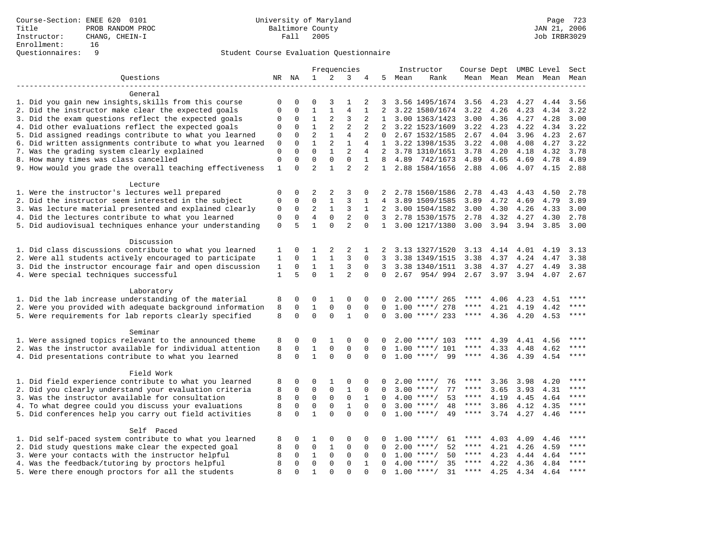|                                                           |              |                            |                          |                         | Frequencies       |                |              |      | Instructor                  | Course Dept            |           |      | UMBC Level | Sect        |
|-----------------------------------------------------------|--------------|----------------------------|--------------------------|-------------------------|-------------------|----------------|--------------|------|-----------------------------|------------------------|-----------|------|------------|-------------|
| Ouestions                                                 |              | NR NA                      | 1                        | 2                       | 3                 | 4              | 5            | Mean | Rank                        |                        | Mean Mean |      | Mean Mean  | Mean        |
|                                                           |              |                            |                          |                         |                   |                |              |      |                             |                        |           |      |            |             |
| General                                                   |              |                            |                          |                         |                   |                |              |      |                             |                        |           |      |            |             |
| 1. Did you gain new insights, skills from this course     | 0            | $\mathbf 0$                | 0                        | 3                       | $\mathbf{1}$      | 2              | 3            |      | 3.56 1495/1674              | 3.56                   | 4.23      | 4.27 | 4.44       | 3.56        |
| 2. Did the instructor make clear the expected goals       | $\mathbf 0$  | $\mathbf 0$                | $\mathbf 1$              | $\mathbf{1}$            | $\overline{4}$    | 1              | 2            |      | 3.22 1580/1674              | 3.22                   | 4.26      | 4.23 | 4.34       | 3.22        |
| 3. Did the exam questions reflect the expected goals      | $\mathbf 0$  | $\mathbf 0$                | $\mathbf{1}$             | 2                       | 3                 | 2              | $\mathbf{1}$ |      | 3.00 1363/1423              | 3.00                   | 4.36      | 4.27 | 4.28       | 3.00        |
| 4. Did other evaluations reflect the expected goals       | $\Omega$     | $\Omega$                   | $\mathbf{1}$             | 2                       | $\overline{a}$    | $\overline{2}$ | $2^{1}$      |      | 3.22 1523/1609              | 3.22                   | 4.23      | 4.22 | 4.34       | 3.22        |
| 5. Did assigned readings contribute to what you learned   | $\mathbf{0}$ | $\mathbf 0$                | $\overline{2}$           | $\mathbf{1}$            | $\overline{4}$    | 2              | $\Omega$     |      | 2.67 1532/1585              | 2.67                   | 4.04      | 3.96 | 4.23       | 2.67        |
| 6. Did written assignments contribute to what you learned | $\mathbf 0$  | $\Omega$                   | $\mathbf{1}$             | 2                       | $\mathbf{1}$      | 4              |              |      | 1 3.22 1398/1535            | 3.22                   | 4.08      | 4.08 | 4.27       | 3.22        |
| 7. Was the grading system clearly explained               | $\mathbf{0}$ | $\Omega$                   | $\Omega$                 | $\mathbf{1}$            | $\overline{a}$    | 4              |              |      | 2 3.78 1310/1651            | 3.78                   | 4.20      | 4.18 | 4.32       | 3.78        |
| 8. How many times was class cancelled                     | $\mathbf{0}$ | $\Omega$                   | $\Omega$                 | $\mathbf 0$             | $\Omega$          | $\mathbf{1}$   | 8            |      | 4.89 742/1673               | 4.89                   | 4.65      | 4.69 | 4.78       | 4.89        |
| 9. How would you grade the overall teaching effectiveness | $1\,$        | $\Omega$                   | $\overline{2}$           | $\mathbf{1}$            | $\overline{2}$    | $\overline{a}$ | 1            |      | 2.88 1584/1656              | 2.88                   | 4.06      | 4.07 | 4.15       | 2.88        |
|                                                           |              |                            |                          |                         |                   |                |              |      |                             |                        |           |      |            |             |
| Lecture                                                   |              |                            |                          |                         |                   |                |              |      |                             |                        |           |      |            |             |
| 1. Were the instructor's lectures well prepared           | $\mathbf 0$  | 0                          | 2                        | 2                       | 3                 | 0              |              |      | 2.78 1560/1586              | 2.78                   | 4.43      | 4.43 | 4.50       | 2.78        |
| 2. Did the instructor seem interested in the subject      | $\mathbf{0}$ | $\mathbf 0$                | $\mathbf 0$              | $\mathbf{1}$            | 3                 | 1              | 4            |      | 3.89 1509/1585              | 3.89                   | 4.72      | 4.69 | 4.79       | 3.89        |
| 3. Was lecture material presented and explained clearly   | 0            | 0                          | $\overline{2}$           | $\mathbf{1}$            | 3                 | $\mathbf{1}$   | 2            |      | 3.00 1504/1582              | 3.00                   | 4.30      | 4.26 | 4.33       | 3.00        |
| 4. Did the lectures contribute to what you learned        | $\mathbf{0}$ | $\mathbf 0$                | $\overline{4}$           | $\mathbf 0$             | $\overline{2}$    | $\Omega$       |              |      | 3 2.78 1530/1575            | 2.78                   | 4.32      | 4.27 | 4.30       | 2.78        |
| 5. Did audiovisual techniques enhance your understanding  | $\Omega$     | 5                          | $\mathbf{1}$             | $\Omega$                | $\overline{a}$    | $\Omega$       |              |      | 1 3.00 1217/1380            | 3.00                   | 3.94 3.94 |      | 3.85       | 3.00        |
|                                                           |              |                            |                          |                         |                   |                |              |      |                             |                        |           |      |            |             |
| Discussion                                                |              |                            |                          |                         |                   |                |              |      |                             |                        |           |      |            |             |
| 1. Did class discussions contribute to what you learned   | 1            | $\Omega$                   | 1                        | 2                       | 2                 | 1              | 2            |      | 3.13 1327/1520              | 3.13                   | 4.14      | 4.01 | 4.19       | 3.13        |
| 2. Were all students actively encouraged to participate   | 1            | $\Omega$                   | $\mathbf{1}$             | $\mathbf{1}$            | 3                 | $\Omega$       | 3            |      | 3.38 1349/1515              | 3.38                   | 4.37      | 4.24 | 4.47       | 3.38        |
| 3. Did the instructor encourage fair and open discussion  | 1            | $\Omega$                   | $\mathbf{1}$             | $\mathbf{1}$            | 3                 | $\Omega$       | 3            |      | 3.38 1340/1511              | 3.38                   | 4.37      | 4.27 | 4.49       | 3.38        |
|                                                           | $\mathbf{1}$ | 5                          | $\Omega$                 | $\mathbf{1}$            | 2                 | $\Omega$       | $\Omega$     |      |                             |                        |           |      |            |             |
| 4. Were special techniques successful                     |              |                            |                          |                         |                   |                |              |      | 2.67 954/994 2.67 3.97 3.94 |                        |           |      | 4.07 2.67  |             |
|                                                           |              |                            |                          |                         |                   |                |              |      |                             |                        |           |      |            |             |
| Laboratory                                                |              |                            |                          |                         |                   |                |              |      |                             | ****                   |           |      |            | ****        |
| 1. Did the lab increase understanding of the material     | 8            | $\mathbf 0$<br>$\mathbf 0$ | 0                        | 1                       | 0                 | $\Omega$       | 0            |      | $2.00$ ****/ 265            | ****                   | 4.06      | 4.23 | 4.51       | ****        |
| 2. Were you provided with adequate background information | 8<br>8       | $\Omega$                   | $\mathbf{1}$<br>$\Omega$ | $\mathbf 0$<br>$\Omega$ | 0<br>$\mathbf{1}$ | 0              | $\Omega$     |      | $1.00$ ****/ 278            | $***$ * * *            | 4.21      | 4.19 | 4.42       | ****        |
| 5. Were requirements for lab reports clearly specified    |              |                            |                          |                         |                   | $\Omega$       | $\Omega$     |      | $3.00$ ****/ 233            |                        | 4.36      | 4.20 | 4.53       |             |
|                                                           |              |                            |                          |                         |                   |                |              |      |                             |                        |           |      |            |             |
| Seminar                                                   |              |                            |                          |                         |                   |                |              |      |                             | ****                   |           |      |            | ****        |
| 1. Were assigned topics relevant to the announced theme   | 8            | $\mathbf 0$                | 0                        | 1                       | $\Omega$          | $\Omega$       |              |      | $2.00$ ****/ 103            | $***$ * * *            | 4.39      | 4.41 | 4.56       | ****        |
| 2. Was the instructor available for individual attention  | 8            | $\mathbf 0$                | $\mathbf{1}$             | $\mathbf{0}$            | $\mathbf{0}$      | $\Omega$       | $\Omega$     |      | $1.00$ ****/ 101            |                        | 4.33      | 4.48 | 4.62       | ****        |
| 4. Did presentations contribute to what you learned       | 8            | $\Omega$                   | $\mathbf{1}$             | $\Omega$                | $\Omega$          | $\Omega$       |              |      | 99<br>$1.00$ ****/          | $\star\star\star\star$ | 4.36      | 4.39 | 4.54       |             |
|                                                           |              |                            |                          |                         |                   |                |              |      |                             |                        |           |      |            |             |
| Field Work                                                |              |                            |                          |                         |                   |                |              |      |                             |                        |           |      |            | ****        |
| 1. Did field experience contribute to what you learned    | 8            | 0                          | 0                        | 1                       | 0                 | 0              |              |      | 76<br>$2.00$ ****/          | ****                   | 3.36      | 3.98 | 4.20       |             |
| 2. Did you clearly understand your evaluation criteria    | 8            | $\mathbf 0$                | $\mathbf 0$              | $\mathbf 0$             | $\mathbf{1}$      | 0              | $\Omega$     |      | 77<br>$3.00$ ****/          | ****                   | 3.65      | 3.93 | 4.31       | ****        |
| 3. Was the instructor available for consultation          | 8            | $\mathbf 0$                | $\mathbf 0$              | $\mathbf 0$             | $\mathbf 0$       | $\mathbf{1}$   | $\Omega$     |      | $4.00$ ****/<br>53          | $***$ * *              | 4.19      | 4.45 | 4.64       | ****        |
| 4. To what degree could you discuss your evaluations      | 8            | $\mathbf 0$                | $\mathbf 0$              | $\mathsf 0$             | $\mathbf{1}$      | 0              | $\Omega$     |      | 48<br>$3.00$ ****/          | $***$ * * *            | 3.86      | 4.12 | 4.35       | $***$       |
| 5. Did conferences help you carry out field activities    | 8            | $\Omega$                   | $\mathbf{1}$             | $\Omega$                | $\Omega$          | $\Omega$       | $\Omega$     |      | $1.00$ ****/<br>49          | $***$ * * *            | 3.74      | 4.27 | 4.46       | ****        |
|                                                           |              |                            |                          |                         |                   |                |              |      |                             |                        |           |      |            |             |
| Self Paced                                                |              |                            |                          |                         |                   |                |              |      |                             |                        |           |      |            |             |
| 1. Did self-paced system contribute to what you learned   | 8            | 0                          | 1                        | $\Omega$                | $\Omega$          | $\Omega$       |              |      | $1.00$ ****/<br>61          | ****                   | 4.03      | 4.09 | 4.46       | $***$ + + + |
| 2. Did study questions make clear the expected goal       | 8            | $\mathbf 0$                | $\mathbf 0$              | 1                       | 0                 | 0              | 0            |      | $2.00$ ****/<br>52          | ****                   | 4.21      | 4.26 | 4.59       | ****        |
| 3. Were your contacts with the instructor helpful         |              |                            | $\mathbf{1}$             | $\mathbf 0$             | 0                 | 0              | $\Omega$     |      | 50<br>$1.00$ ****/          | $***$ * * *            | 4.23      | 4.44 | 4.64       | ****        |
| 4. Was the feedback/tutoring by proctors helpful          | 8            | $\Omega$                   | $\mathbf 0$              | $\mathbf{0}$            | $\Omega$          | $\mathbf{1}$   | $\Omega$     |      | $4.00$ ****/<br>35          | $***$ * * *            | 4.22      | 4.36 | 4.84       | ****        |
| 5. Were there enough proctors for all the students        | 8            | $\Omega$                   | $\mathbf{1}$             | $\Omega$                | $\Omega$          | $\Omega$       | $\Omega$     |      | $1.00$ ****/<br>31          | $***$ * * *            | 4.25      | 4.34 | 4.64       | ****        |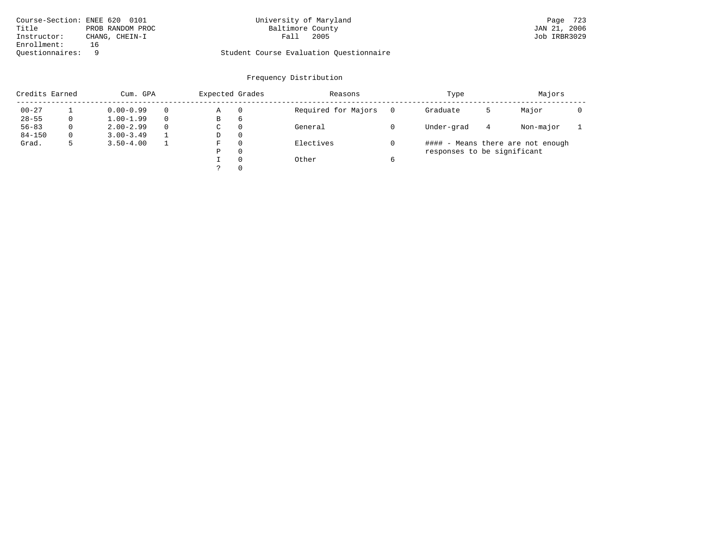| Course-Section: ENEE 620 0101 |                  | University of Maryland                  | 723<br>Page  |
|-------------------------------|------------------|-----------------------------------------|--------------|
| Title                         | PROB RANDOM PROC | Baltimore County                        | JAN 21, 2006 |
| Instructor:                   | CHANG, CHEIN-I   | 2005<br>Fall                            | Job IRBR3029 |
| Enrollment:                   |                  |                                         |              |
| Ouestionnaires:               |                  | Student Course Evaluation Ouestionnaire |              |

# University of Maryland Page 723<br>Baltimore County Band Baltimore County 5

# Questionnaires: 9 Student Course Evaluation Questionnaire

| Credits Earned |   | Cum. GPA      |   | Expected Grades |          | Reasons             |   | Type                        |   | Majors                            |  |
|----------------|---|---------------|---|-----------------|----------|---------------------|---|-----------------------------|---|-----------------------------------|--|
| $00 - 27$      |   | $0.00 - 0.99$ |   | Α               | 0        | Required for Majors |   | Graduate                    | כ | Major                             |  |
| $28 - 55$      | 0 | $1.00 - 1.99$ |   | В               | 6        |                     |   |                             |   |                                   |  |
| $56 - 83$      | 0 | $2.00 - 2.99$ | 0 | $\sim$<br>◡     | 0        | General             |   | Under-grad                  | 4 | Non-major                         |  |
| $84 - 150$     | 0 | $3.00 - 3.49$ |   | D               | 0        |                     |   |                             |   |                                   |  |
| Grad.          | 5 | $3.50 - 4.00$ |   | F               | 0        | Electives           |   |                             |   | #### - Means there are not enough |  |
|                |   |               |   | Ρ               | 0        |                     |   | responses to be significant |   |                                   |  |
|                |   |               |   |                 | $\Omega$ | Other               | 6 |                             |   |                                   |  |
|                |   |               |   | C               |          |                     |   |                             |   |                                   |  |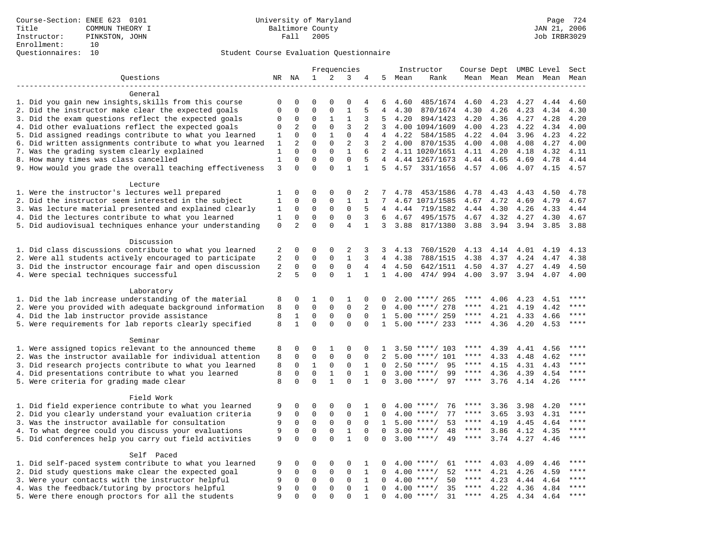|                                                           |              |                          |                         |                         | Frequencies                  |                   |                          |         | Instructor                    |             |              |              | Course Dept UMBC Level | Sect  |
|-----------------------------------------------------------|--------------|--------------------------|-------------------------|-------------------------|------------------------------|-------------------|--------------------------|---------|-------------------------------|-------------|--------------|--------------|------------------------|-------|
| Ouestions                                                 |              | NR NA                    | $\mathbf{1}$            | 2                       | 3                            | 4                 | 5                        | Mean    | Rank                          |             | Mean Mean    |              | Mean Mean              | Mean  |
|                                                           |              |                          |                         |                         |                              |                   |                          |         |                               |             |              |              |                        |       |
| General                                                   |              |                          |                         |                         |                              |                   |                          |         |                               |             |              |              |                        |       |
| 1. Did you gain new insights, skills from this course     | 0            | 0                        | $\mathbf 0$             | $\Omega$                | $\mathbf 0$                  | 4                 | 6                        | 4.60    | 485/1674                      | 4.60        | 4.23         | 4.27         | 4.44                   | 4.60  |
| 2. Did the instructor make clear the expected goals       | $\Omega$     | $\Omega$                 | $\Omega$                | $\Omega$                | $1\,$                        | 5                 | $\overline{4}$           | 4.30    | 870/1674                      | 4.30        | 4.26         | 4.23         | 4.34                   | 4.30  |
| 3. Did the exam questions reflect the expected goals      | $\mathbf 0$  | 0                        | $\mathbf 0$             | 1                       | 1                            | 3                 | 5                        | 4.20    | 894/1423                      | 4.20        | 4.36         | 4.27         | 4.28                   | 4.20  |
| 4. Did other evaluations reflect the expected goals       | 0            | 2                        | $\mathbf{0}$            | $\mathbf 0$             | 3                            | 2                 | 3                        |         | 4.00 1094/1609                | 4.00        | 4.23         | 4.22         | 4.34                   | 4.00  |
| 5. Did assigned readings contribute to what you learned   | 1            | $\Omega$                 | $\Omega$                | $\mathbf{1}$            | $\mathsf 0$                  | 4                 | 4                        | 4.22    | 584/1585                      | 4.22        | 4.04         | 3.96         | 4.23                   | 4.22  |
| 6. Did written assignments contribute to what you learned | 1            | 2                        | $\Omega$                | $\Omega$                | 2                            | 3                 |                          | 2, 4.00 | 870/1535                      | 4.00        | 4.08         | 4.08         | 4.27                   | 4.00  |
| 7. Was the grading system clearly explained               | 1            | $\Omega$                 | $\Omega$                | $\Omega$                | $\mathbf{1}$                 | 6                 |                          |         | 2 4.11 1020/1651              | 4.11        | 4.20         | 4.18         | 4.32                   | 4.11  |
| 8. How many times was class cancelled                     | $\mathbf{1}$ | $\Omega$                 | $\Omega$                | $\Omega$                | $\mathbf 0$                  | 5                 |                          |         | 4 4.44 1267/1673              | 4.44        | 4.65         | 4.69         | 4.78                   | 4.44  |
| 9. How would you grade the overall teaching effectiveness | 3            | $\Omega$                 | $\Omega$                | $\Omega$                | $\mathbf{1}$                 | $\mathbf{1}$      |                          |         | 5 4.57 331/1656               | 4.57 4.06   |              |              | 4.07 4.15              | 4.57  |
| Lecture                                                   |              |                          |                         |                         |                              |                   |                          |         |                               |             |              |              |                        |       |
| 1. Were the instructor's lectures well prepared           | 1            | 0                        | $\mathbf 0$             | $\Omega$                | $\mathbf 0$                  | 2                 | 7                        | 4.78    | 453/1586                      | 4.78        | 4.43         | 4.43         | 4.50                   | 4.78  |
| 2. Did the instructor seem interested in the subject      | 1            | $\mathbf 0$              | $\mathbf 0$             | $\mathbf 0$             | $\mathbf{1}$                 | $\mathbf 1$       | 7                        |         | 4.67 1071/1585                | 4.67        | 4.72         | 4.69         | 4.79                   | 4.67  |
| 3. Was lecture material presented and explained clearly   | $\mathbf{1}$ | $\mathbf 0$              | $\mathbf 0$             | $\mathsf 0$             | $\Omega$                     | 5                 | 4                        | 4.44    | 719/1582                      | 4.44        | 4.30         | 4.26         | 4.33                   | 4.44  |
| 4. Did the lectures contribute to what you learned        | 1            | $\mathbf 0$              | $\mathbf 0$             | $\mathbf 0$             | $\mathbf 0$                  | 3                 | 6                        | 4.67    | 495/1575                      | 4.67        | 4.32         | 4.27         | 4.30                   | 4.67  |
| 5. Did audiovisual techniques enhance your understanding  | $\mathbf 0$  | $\overline{2}$           | $\mathbf{0}$            | $\Omega$                | $\overline{4}$               | $\mathbf{1}$      |                          | 3, 3.88 | 817/1380                      | 3.88        | 3.94 3.94    |              | 3.85                   | 3.88  |
|                                                           |              |                          |                         |                         |                              |                   |                          |         |                               |             |              |              |                        |       |
| Discussion                                                |              |                          |                         |                         |                              |                   |                          |         |                               |             |              |              |                        |       |
| 1. Did class discussions contribute to what you learned   | 2            | 0                        | $\mathbf{0}$            | $\mathbf 0$             | 2                            | 3                 | 3                        | 4.13    | 760/1520                      | 4.13        | 4.14         | 4.01         | 4.19                   | 4.13  |
| 2. Were all students actively encouraged to participate   | $\sqrt{2}$   | $\Omega$                 | $\Omega$                | $\Omega$                | $1\,$                        | 3                 | 4                        | 4.38    | 788/1515                      | 4.38        | 4.37         | 4.24         | 4.47                   | 4.38  |
| 3. Did the instructor encourage fair and open discussion  | 2            | $\mathbf 0$              | $\mathbf{0}$            | $\mathbf 0$             | $\mathsf 0$                  | 4                 | $\overline{4}$           | 4.50    | 642/1511                      | 4.50        | 4.37         | 4.27         | 4.49                   | 4.50  |
| 4. Were special techniques successful                     | 2            | 5                        | $\Omega$                | $\Omega$                | $\mathbf{1}$                 | $\mathbf{1}$      | $\mathbf{1}$             | 4.00    | 474/994                       | 4.00        | 3.97         | 3.94         | 4.07                   | 4.00  |
|                                                           |              |                          |                         |                         |                              |                   |                          |         |                               |             |              |              |                        |       |
| Laboratory                                                |              |                          |                         |                         |                              |                   |                          |         |                               |             |              |              |                        |       |
| 1. Did the lab increase understanding of the material     | 8            | 0                        | 1<br>$\Omega$           | $\mathbf 0$<br>$\Omega$ | 1<br>$\Omega$                | 0                 | 0                        |         | $2.00$ ****/ 265              | ****        | 4.06         | 4.23         | 4.51                   | ****  |
| 2. Were you provided with adequate background information | 8<br>8       | $\Omega$<br>$\mathbf{1}$ | $\mathbf 0$             | $\mathbf 0$             | $\mathbf 0$                  | 2<br>$\Omega$     | $\Omega$<br>1            | 4.00    | ****/ 278<br>$5.00$ ****/ 259 | $***$ * * * | 4.21<br>4.21 | 4.19         | 4.42                   | $***$ |
| 4. Did the lab instructor provide assistance              | 8            | $\mathbf{1}$             | $\Omega$                | $\Omega$                | $\Omega$                     | $\Omega$          | 1                        |         | $5.00$ ****/ 233              | $***$ * * * | 4.36         | 4.33<br>4.20 | 4.66<br>4.53           | $***$ |
| 5. Were requirements for lab reports clearly specified    |              |                          |                         |                         |                              |                   |                          |         |                               |             |              |              |                        |       |
| Seminar                                                   |              |                          |                         |                         |                              |                   |                          |         |                               |             |              |              |                        |       |
| 1. Were assigned topics relevant to the announced theme   | 8            | 0                        | $\mathbf 0$             | 1                       | 0                            | $\Omega$          | 1                        |         | $3.50$ ****/ 103              | ****        | 4.39         | 4.41         | 4.56                   | ****  |
| 2. Was the instructor available for individual attention  | 8            | $\mathbf 0$              | $\mathsf 0$             | $\mathbf 0$             | $\mathbf 0$                  | $\mathbf 0$       |                          | 5.00    | ****/ 101                     | ****        | 4.33         | 4.48         | 4.62                   | $***$ |
| 3. Did research projects contribute to what you learned   | 8            | $\Omega$                 | $\mathbf{1}$            | $\mathbf 0$             | $\Omega$                     | $\mathbf{1}$      | $\cap$                   |         | $2.50$ ****/<br>95            | ****        | 4.15         | 4.31         | 4.43                   | ****  |
| 4. Did presentations contribute to what you learned       | 8            | $\mathbf 0$              | $\mathbf 0$             | $\mathbf{1}$            | $\mathbf{0}$                 | $\mathbf{1}$      | $\Omega$                 | 3.00    | 99<br>$***/$                  | $***$ * *   | 4.36         | 4.39         | 4.54                   | $***$ |
| 5. Were criteria for grading made clear                   | 8            | $\mathbf 0$              | $\Omega$                | $\mathbf{1}$            | $\Omega$                     | $\mathbf{1}$      | $\Omega$                 |         | $3.00$ ****/<br>97            | $***$ * *   | 3.76         | 4.14         | 4.26                   | ****  |
|                                                           |              |                          |                         |                         |                              |                   |                          |         |                               |             |              |              |                        |       |
| Field Work                                                |              | 0                        | $\mathbf 0$             | $\mathbf 0$             |                              |                   |                          |         | $4.00$ ****/                  | ****        |              |              |                        | ****  |
| 1. Did field experience contribute to what you learned    | 9<br>9       | $\Omega$                 | $\mathbf 0$             | $\mathbf 0$             | 0<br>$\mathbf{0}$            | 1<br>$\mathbf{1}$ | 0<br>$\Omega$            | 4.00    | 76<br>77<br>$***/$            | ****        | 3.36<br>3.65 | 3.98         | 4.20                   | $***$ |
| 2. Did you clearly understand your evaluation criteria    |              |                          | $\mathbf 0$             |                         |                              |                   |                          |         |                               | ****        |              | 3.93         | 4.31                   | $***$ |
| 3. Was the instructor available for consultation          | 9            | $\mathbf 0$              |                         | $\mathbf 0$             | $\mathbf{0}$                 | $\mathbf 0$       | $\mathbf{1}$<br>$\Omega$ |         | $5.00$ ****/<br>53<br>$***/$  | ****        | 4.19         | 4.45         | 4.64                   | ****  |
| 4. To what degree could you discuss your evaluations      | 9            | $\mathbf 0$<br>$\Omega$  | $\mathbf 0$<br>$\Omega$ | $\mathsf 0$<br>$\Omega$ | $\mathbf{1}$<br>$\mathbf{1}$ | $\mathbf 0$       |                          | 3.00    | 48                            | $***$ * * * | 3.86         | 4.12         | 4.35                   | $***$ |
| 5. Did conferences help you carry out field activities    | 9            |                          |                         |                         |                              | $\Omega$          |                          | 3.00    | $***$ /<br>49                 |             | 3.74         | 4.27         | 4.46                   |       |
| Self Paced                                                |              |                          |                         |                         |                              |                   |                          |         |                               |             |              |              |                        |       |
| 1. Did self-paced system contribute to what you learned   | 9            | $\mathbf 0$              | $\mathbf{0}$            | $\mathbf 0$             | $\mathbf{0}$                 | 1                 | $\Omega$                 |         | 61<br>$4.00$ ****/            | ****        | 4.03         | 4.09         | 4.46                   | ****  |
| 2. Did study questions make clear the expected goal       | 9            | 0                        | $\mathbf 0$             | 0                       | $\mathbf{0}$                 | $\mathbf{1}$      | 0                        | 4.00    | 52<br>$***$ /                 | ****        | 4.21         | 4.26         | 4.59                   | ****  |
| 3. Were your contacts with the instructor helpful         | 9            | 0                        | $\mathbf 0$             | $\mathbf 0$             | 0                            | $\mathbf{1}$      | $\Omega$                 | 4.00    | $***$ /<br>50                 | ****        | 4.23         | 4.44         | 4.64                   | ****  |
| 4. Was the feedback/tutoring by proctors helpful          | 9            | $\Omega$                 | $\mathbf{0}$            | $\Omega$                | $\Omega$                     | $\mathbf{1}$      | $\Omega$                 | 4.00    | $***$ /<br>35                 | $***$ * * * | 4.22         | 4.36         | 4.84                   | $***$ |
| 5. Were there enough proctors for all the students        | 9            | $\Omega$                 | $\Omega$                | $\Omega$                | $\Omega$                     | $\mathbf{1}$      | $\Omega$                 | 4.00    | $***$ /<br>31                 | $***$ * * * | 4.25         | 4.34         | 4.64                   | $***$ |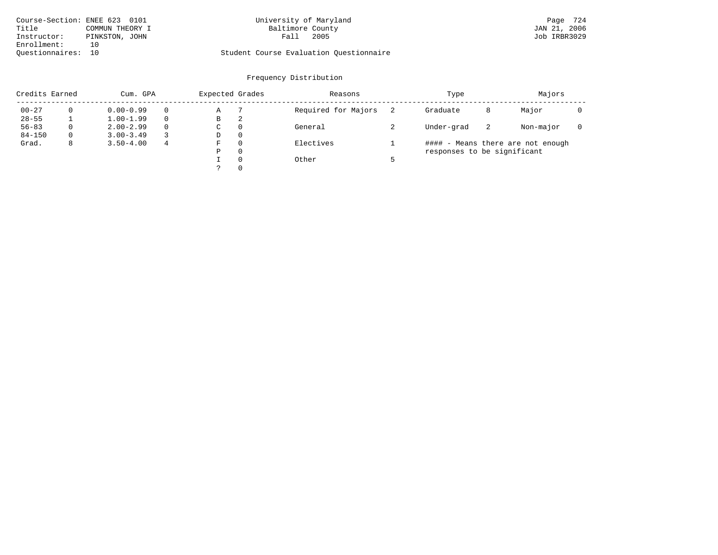| Course-Section: ENEE 623 0101 |                 | University of Maryland                  | Page 724     |
|-------------------------------|-----------------|-----------------------------------------|--------------|
| Title                         | COMMUN THEORY I | Baltimore County                        | JAN 21, 2006 |
| Instructor:                   | PINKSTON, JOHN  | 2005<br>Fall                            | Job IRBR3029 |
| Enrollment:                   | 1 N             |                                         |              |
| Ouestionnaires: 10            |                 | Student Course Evaluation Questionnaire |              |

# University of Maryland Baltimore County (Baggalland Baltimore County 1989) and Day (Baggalland Baltimore County

| Credits Earned |          | Cum. GPA      |          | Expected Grades |          | Reasons             | Type                        |    | Majors                            |  |
|----------------|----------|---------------|----------|-----------------|----------|---------------------|-----------------------------|----|-----------------------------------|--|
| $00 - 27$      |          | $0.00 - 0.99$ |          | Α               |          | Required for Majors | Graduate                    | 8  | Major                             |  |
| $28 - 55$      |          | $1.00 - 1.99$ |          | В               | 2        |                     |                             |    |                                   |  |
| $56 - 83$      | $\Omega$ | $2.00 - 2.99$ | $\Omega$ | C               | $\Omega$ | General             | Under-grad                  | -2 | Non-major                         |  |
| $84 - 150$     | $\Omega$ | $3.00 - 3.49$ |          | D               | $\Omega$ |                     |                             |    |                                   |  |
| Grad.          | 8        | $3.50 - 4.00$ | 4        | F               | $\Omega$ | Electives           |                             |    | #### - Means there are not enough |  |
|                |          |               |          | Ρ               | $\Omega$ |                     | responses to be significant |    |                                   |  |
|                |          |               |          |                 | $\Omega$ | Other               |                             |    |                                   |  |
|                |          |               |          |                 | $\Omega$ |                     |                             |    |                                   |  |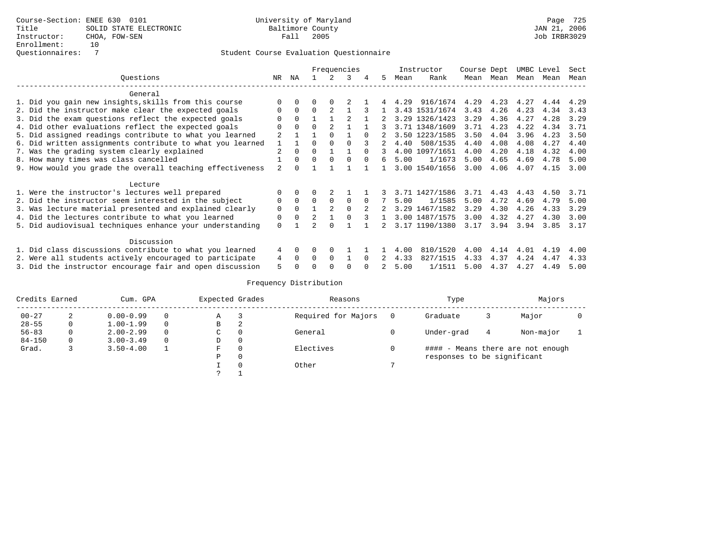|                                                           |                |          |                |                | Frequencies |          |              |      | Instructor     | Course Dept |      |      | UMBC Level | Sect |
|-----------------------------------------------------------|----------------|----------|----------------|----------------|-------------|----------|--------------|------|----------------|-------------|------|------|------------|------|
| Ouestions                                                 | NR.            | ΝA       |                |                | 3           | 4        | 5.           | Mean | Rank           | Mean        | Mean | Mean | Mean       | Mean |
| General                                                   |                |          |                |                |             |          |              |      |                |             |      |      |            |      |
| 1. Did you gain new insights, skills from this course     |                |          |                |                |             |          |              | 4.29 | 916/1674       | 4.29        | 4.23 | 4.27 | 4.44       | 4.29 |
| 2. Did the instructor make clear the expected goals       | $\Omega$       | $\Omega$ | $\Omega$       | $\mathfrak{D}$ |             |          |              |      | 3.43 1531/1674 | 3.43        | 4.26 | 4.23 | 4.34       | 3.43 |
| 3. Did the exam questions reflect the expected goals      |                | $\Omega$ |                |                |             |          |              |      | 3.29 1326/1423 | 3.29        | 4.36 | 4.27 | 4.28       | 3.29 |
| 4. Did other evaluations reflect the expected goals       | O              | $\Omega$ | $\Omega$       |                |             |          |              |      | 3.71 1348/1609 | 3.71        | 4.23 | 4.22 | 4.34       | 3.71 |
| 5. Did assigned readings contribute to what you learned   |                |          |                |                |             | $\cap$   |              |      | 3.50 1223/1585 | 3.50        | 4.04 | 3.96 | 4.23       | 3.50 |
| 6. Did written assignments contribute to what you learned |                |          |                |                |             |          |              | 4.40 | 508/1535       | 4.40        | 4.08 | 4.08 | 4.27       | 4.40 |
| 7. Was the grading system clearly explained               | 2              | $\Omega$ | $\Omega$       |                |             | $\cap$   | 3            |      | 4.00 1097/1651 | 4.00        | 4.20 | 4.18 | 4.32       | 4.00 |
| 8. How many times was class cancelled                     |                | $\Omega$ | $\Omega$       | $\Omega$       | $\Omega$    | $\cap$   | 6            | 5.00 | 1/1673         | 5.00        | 4.65 | 4.69 | 4.78       | 5.00 |
| 9. How would you grade the overall teaching effectiveness | $\mathfrak{D}$ |          |                |                |             |          |              |      | 3.00 1540/1656 | 3.00        | 4.06 | 4.07 | 4.15       | 3.00 |
| Lecture                                                   |                |          |                |                |             |          |              |      |                |             |      |      |            |      |
| 1. Were the instructor's lectures well prepared           |                |          |                |                |             |          |              |      | 3.71 1427/1586 | 3.71        | 4.43 | 4.43 | 4.50       | 3.71 |
| 2. Did the instructor seem interested in the subject      | 0              | $\Omega$ | $\Omega$       | $\Omega$       | $\Omega$    | $\Omega$ |              | 5.00 | 1/1585         | 5.00        | 4.72 | 4.69 | 4.79       | 5.00 |
| 3. Was lecture material presented and explained clearly   | 0              | $\Omega$ |                | $\mathfrak{D}$ | $\Omega$    |          |              |      | 3.29 1467/1582 | 3.29        | 4.30 | 4.26 | 4.33       | 3.29 |
| 4. Did the lectures contribute to what you learned        | 0              | $\Omega$ | $\mathfrak{D}$ |                |             |          | $\mathbf{1}$ |      | 3.00 1487/1575 | 3.00        | 4.32 | 4.27 | 4.30       | 3.00 |
| 5. Did audiovisual techniques enhance your understanding  | $\Omega$       |          |                |                |             |          | 2            |      | 3.17 1190/1380 | 3.17        | 3.94 | 3.94 | 3.85       | 3.17 |
| Discussion                                                |                |          |                |                |             |          |              |      |                |             |      |      |            |      |
| 1. Did class discussions contribute to what you learned   | 4              | $\Omega$ |                |                |             |          |              | 4.00 | 810/1520       | 4.00        | 4.14 | 4.01 | 4.19       | 4.00 |
| 2. Were all students actively encouraged to participate   | 4              | $\Omega$ | $\Omega$       | $\Omega$       |             |          |              | 4.33 | 827/1515       | 4.33        | 4.37 | 4.24 | 4.47       | 4.33 |
| 3. Did the instructor encourage fair and open discussion  |                |          |                |                |             |          |              | 5.00 | 1/1511         | 5.00        | 4.37 | 4.27 | 4.49       | 5.00 |

| Credits Earned |          | Cum. GPA      |          | Expected Grades |   | Reasons             | Type                        |   | Majors                            |  |
|----------------|----------|---------------|----------|-----------------|---|---------------------|-----------------------------|---|-----------------------------------|--|
| $00 - 27$      | 2        | $0.00 - 0.99$ | $\Omega$ | Α               |   | Required for Majors | Graduate                    |   | Major                             |  |
| $28 - 55$      | 0        | $1.00 - 1.99$ | $\Omega$ | B               | 2 |                     |                             |   |                                   |  |
| $56 - 83$      |          | $2.00 - 2.99$ | $\Omega$ | C               |   | General             | Under-grad                  | 4 | Non-major                         |  |
| $84 - 150$     | $\Omega$ | $3.00 - 3.49$ | $\Omega$ | D               | 0 |                     |                             |   |                                   |  |
| Grad.          |          | $3.50 - 4.00$ |          | F               |   | Electives           |                             |   | #### - Means there are not enough |  |
|                |          |               |          | Ρ               |   |                     | responses to be significant |   |                                   |  |
|                |          |               |          |                 |   | Other               |                             |   |                                   |  |
|                |          |               |          |                 |   |                     |                             |   |                                   |  |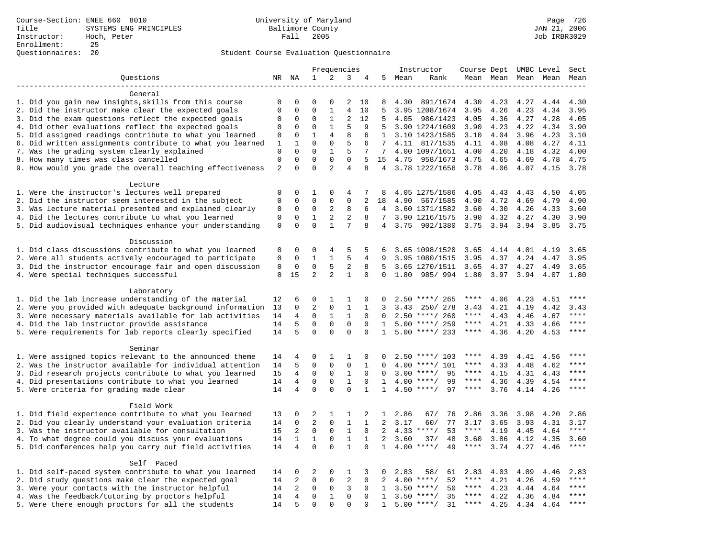|                                                                    |                            |                         |                         |                             | Frequencies      |              |                       |        | Instructor         | Course Dept UMBC Level |      |                     |      | Sect    |
|--------------------------------------------------------------------|----------------------------|-------------------------|-------------------------|-----------------------------|------------------|--------------|-----------------------|--------|--------------------|------------------------|------|---------------------|------|---------|
| Questions                                                          |                            | NR NA                   | $\mathbf{1}$            | 2                           | 3                | 4            |                       | 5 Mean | Rank               |                        |      | Mean Mean Mean Mean |      | Mean    |
| -------------------                                                |                            |                         |                         |                             |                  |              |                       |        |                    |                        |      |                     |      |         |
| General                                                            |                            |                         |                         |                             |                  |              |                       |        |                    |                        |      |                     |      |         |
| 1. Did you gain new insights, skills from this course              | 0                          | 0                       | $\Omega$                | $\Omega$                    | 2                | 10           | 8                     | 4.30   | 891/1674           | 4.30                   | 4.23 | 4.27                | 4.44 | 4.30    |
| 2. Did the instructor make clear the expected goals                | $\mathbf 0$                | $\mathbf 0$             | $\Omega$                | $\mathbf{1}$                | $\overline{4}$   | 10           | 5                     |        | 3.95 1208/1674     | 3.95                   | 4.26 | 4.23                | 4.34 | 3.95    |
| 3. Did the exam questions reflect the expected goals               | 0                          | 0                       | $\Omega$                | 1                           | $\overline{2}$   | 12           | 5                     | 4.05   | 986/1423           | 4.05                   | 4.36 | 4.27                | 4.28 | 4.05    |
| 4. Did other evaluations reflect the expected goals                | 0                          | $\Omega$                | $\Omega$                | $\mathbf{1}$                | 5                | 9            | 5                     |        | 3.90 1224/1609     | 3.90                   | 4.23 | 4.22                | 4.34 | 3.90    |
| 5. Did assigned readings contribute to what you learned            | 0                          | $\mathbf 0$             | $\mathbf{1}$            | 4                           | 8                | 6            | $\mathbf{1}$          |        | 3.10 1423/1585     | 3.10                   | 4.04 | 3.96                | 4.23 | 3.10    |
| 6. Did written assignments contribute to what you learned          | 1                          | 1                       | $\mathbf 0$             | $\mathbf{0}$                | 5                | 6            | 7                     | 4.11   | 817/1535           | 4.11                   | 4.08 | 4.08                | 4.27 | 4.11    |
| 7. Was the grading system clearly explained                        | $\mathbf 0$<br>$\mathbf 0$ | $\Omega$<br>$\mathbf 0$ | $\Omega$<br>$\mathbf 0$ | $\mathbf{1}$<br>$\mathbf 0$ | 5<br>$\mathbf 0$ | 7<br>5       | 7                     |        | 4.00 1097/1651     | 4.00                   | 4.20 | 4.18                | 4.32 | 4.00    |
| 8. How many times was class cancelled                              | $\overline{2}$             | $\Omega$                | $\Omega$                | 2                           | $\overline{4}$   | 8            | 15<br>$4\overline{ }$ | 4.75   | 958/1673           | 4.75                   | 4.65 | 4.69                | 4.78 | 4.75    |
| 9. How would you grade the overall teaching effectiveness          |                            |                         |                         |                             |                  |              |                       |        | 3.78 1222/1656     | 3.78                   | 4.06 | 4.07                | 4.15 | 3.78    |
| Lecture                                                            |                            |                         |                         |                             |                  |              |                       |        |                    |                        |      |                     |      |         |
| 1. Were the instructor's lectures well prepared                    | 0                          | $\Omega$                | $\mathbf{1}$            | $\Omega$                    | 4                | 7            | 8                     |        | 4.05 1275/1586     | 4.05                   | 4.43 | 4.43                | 4.50 | 4.05    |
| 2. Did the instructor seem interested in the subject               | $\mathsf 0$                | $\mathbf 0$             | $\mathbf 0$             | $\Omega$                    | 0                | 2            | 18                    | 4.90   | 567/1585           | 4.90                   | 4.72 | 4.69                | 4.79 | 4.90    |
| 3. Was lecture material presented and explained clearly            | 0                          | $\mathbf 0$             | $\mathbf 0$             | 2                           | 8                | 6            | $4\overline{ }$       |        | 3.60 1371/1582     | 3.60                   | 4.30 | 4.26                | 4.33 | 3.60    |
| 4. Did the lectures contribute to what you learned                 | $\mathbf 0$                | $\mathbf 0$             | $\mathbf{1}$            | $\mathbf{2}$                | $\overline{c}$   | 8            | 7                     |        | 3.90 1216/1575     | 3.90                   | 4.32 | 4.27                | 4.30 | 3.90    |
| 5. Did audiovisual techniques enhance your understanding           | $\mathbf 0$                | $\Omega$                | $\Omega$                | $\mathbf{1}$                | 7                | 8            |                       | 4 3.75 | 902/1380           | 3.75                   | 3.94 | 3.94                | 3.85 | 3.75    |
|                                                                    |                            |                         |                         |                             |                  |              |                       |        |                    |                        |      |                     |      |         |
| Discussion                                                         |                            |                         |                         |                             |                  |              |                       |        |                    |                        |      |                     |      |         |
| 1. Did class discussions contribute to what you learned            | 0                          | 0                       | $\Omega$                | 4                           | 5                | 5            | 6                     |        | 3.65 1098/1520     | 3.65                   | 4.14 | 4.01                | 4.19 | 3.65    |
| 2. Were all students actively encouraged to participate            | $\Omega$                   | $\Omega$                | $\mathbf{1}$            | $\mathbf{1}$                | 5                | 4            | 9                     |        | 3.95 1080/1515     | 3.95                   | 4.37 | 4.24                | 4.47 | 3.95    |
| 3. Did the instructor encourage fair and open discussion           | $\mathsf 0$                | $\mathbf 0$             | $\mathbf 0$             | 5                           | 2                | 8            | 5                     |        | 3.65 1270/1511     | 3.65                   | 4.37 | 4.27                | 4.49 | 3.65    |
| 4. Were special techniques successful                              | $\mathbf 0$                | 15                      | 2                       | 2                           | $\mathbf{1}$     | $\mathbf 0$  | 0                     | 1.80   | 985/994            | 1.80                   | 3.97 | 3.94                | 4.07 | 1.80    |
|                                                                    |                            |                         |                         |                             |                  |              |                       |        |                    |                        |      |                     |      |         |
| Laboratory                                                         |                            |                         |                         |                             |                  |              |                       |        |                    |                        |      |                     |      |         |
| 1. Did the lab increase understanding of the material              | 12                         | 6                       | 0                       | 1                           | 1                | $\mathbf 0$  | $\Omega$              |        | $2.50$ ****/ 265   | ****                   | 4.06 | 4.23                | 4.51 | * * * * |
| 2. Were you provided with adequate background information          | 13                         | 0                       | $\overline{2}$          | 0                           | 1                | 1            | 3                     | 3.43   | 250/ 278           | 3.43                   | 4.21 | 4.19                | 4.42 | 3.43    |
| 3. Were necessary materials available for lab activities           | 14                         | 4                       | $\mathbf 0$             | 1                           | $\mathbf{1}$     | $\Omega$     | $\Omega$              |        | $2.50$ ****/ 260   | $***$ * * *            | 4.43 | 4.46                | 4.67 | $***$   |
| 4. Did the lab instructor provide assistance                       | 14                         | 5                       | $\Omega$                | $\Omega$                    | $\Omega$         | $\Omega$     | $\mathbf{1}$          |        | $5.00$ ****/ 259   | $***$ * * *            | 4.21 | 4.33                | 4.66 | ****    |
| 5. Were requirements for lab reports clearly specified             | 14                         | 5                       | $\mathbf 0$             | $\mathbf 0$                 | $\mathbf 0$      | $\mathbf 0$  | $\mathbf{1}$          |        | $5.00$ ****/ 233   | $***$ * * *            | 4.36 | 4.20                | 4.53 | $***$   |
|                                                                    |                            |                         |                         |                             |                  |              |                       |        |                    |                        |      |                     |      |         |
| Seminar<br>1. Were assigned topics relevant to the announced theme | 14                         | 4                       | 0                       | 1                           | 1                | 0            | $\Omega$              |        | $2.50$ ****/ 103   | ****                   | 4.39 | 4.41                | 4.56 | ****    |
| 2. Was the instructor available for individual attention           | 14                         | 5                       | 0                       | $\mathbf 0$                 | $\mathbf 0$      | 1            | $\Omega$              |        | $4.00$ ****/ 101   | ****                   | 4.33 | 4.48                | 4.62 | ****    |
| 3. Did research projects contribute to what you learned            | 15                         | 4                       | $\mathbf 0$             | $\mathbf 0$                 | $\mathbf{1}$     | $\Omega$     | $\Omega$              | 3.00   | $***/$<br>95       | $***$ * * *            | 4.15 | 4.31                | 4.43 | ****    |
| 4. Did presentations contribute to what you learned                | 14                         | $\overline{4}$          | $\mathbf 0$             | $\mathbf 0$                 | $\mathbf{1}$     | $\Omega$     | 1                     |        | $4.00$ ****/<br>99 | ****                   | 4.36 | 4.39                | 4.54 | $***$   |
| 5. Were criteria for grading made clear                            | 14                         | 4                       | $\Omega$                | $\Omega$                    | $\Omega$         | $\mathbf{1}$ | $\mathbf{1}$          |        | $4.50$ ****/<br>97 | $***$ * * *            | 3.76 | 4.14                | 4.26 | $***$   |
|                                                                    |                            |                         |                         |                             |                  |              |                       |        |                    |                        |      |                     |      |         |
| Field Work                                                         |                            |                         |                         |                             |                  |              |                       |        |                    |                        |      |                     |      |         |
| 1. Did field experience contribute to what you learned             | 13                         | 0                       | 2                       | 1                           | 1                | 2            | $\mathbf{1}$          | 2.86   | 67/<br>76          | 2.86                   | 3.36 | 3.98                | 4.20 | 2.86    |
| 2. Did you clearly understand your evaluation criteria             | 14                         | 0                       | $\overline{2}$          | $\mathbf 0$                 | 1                | $\mathbf{1}$ | 2                     | 3.17   | 60/<br>77          | 3.17                   | 3.65 | 3.93                | 4.31 | 3.17    |
| 3. Was the instructor available for consultation                   | 15                         | $\overline{2}$          | $\mathbf 0$             | $\mathbf 0$                 | $\mathbf{1}$     | $\Omega$     | $\overline{2}$        |        | $4.33$ ****/<br>53 | $***$ * * *            | 4.19 | 4.45                | 4.64 | $***$   |
| 4. To what degree could you discuss your evaluations               | 14                         | $\mathbf{1}$            | $\mathbf{1}$            | $\mathbf 0$                 | $\mathbf{1}$     | 1            | $\overline{2}$        | 3.60   | 37/<br>48          | 3.60                   | 3.86 | 4.12                | 4.35 | 3.60    |
| 5. Did conferences help you carry out field activities             | 14                         | $\overline{4}$          | $\Omega$                | $\Omega$                    | $\mathbf{1}$     | $\Omega$     | $\mathbf{1}$          | 4.00   | $***/$<br>49       | $***$ * * *            | 3.74 | 4.27                | 4.46 | $***$   |
|                                                                    |                            |                         |                         |                             |                  |              |                       |        |                    |                        |      |                     |      |         |
| Self Paced                                                         |                            |                         |                         |                             |                  |              |                       |        |                    |                        |      |                     |      |         |
| 1. Did self-paced system contribute to what you learned            |                            | 0                       | 2                       | 0                           | 1                | 3            | 0                     | 2.83   | 58/<br>61          | 2.83                   | 4.03 | 4.09                | 4.46 | 2.83    |
| 2. Did study questions make clear the expected goal                | 14                         | 2                       | $\mathbf 0$             | 0                           | 2                | $\mathbf 0$  | 2                     |        | 52<br>$4.00$ ****/ | ****                   | 4.21 | 4.26                | 4.59 | ****    |
| 3. Were your contacts with the instructor helpful                  |                            |                         | 0                       | 0                           | 3                | $\Omega$     | $\mathbf{1}$          | 3.50   | $***$ /<br>50      | $***$ * * *            | 4.23 | 4.44                | 4.64 | ****    |
| 4. Was the feedback/tutoring by proctors helpful                   | 14                         | 4                       | $\mathbf 0$             | $\mathbf{1}$                | $\Omega$         | $\Omega$     | $\mathbf{1}$          |        | 35<br>$3.50$ ****/ | ****                   | 4.22 | 4.36                | 4.84 | $***$   |
| 5. Were there enough proctors for all the students                 | 14                         | 5                       | $\Omega$                | $\Omega$                    | $\Omega$         | $\Omega$     | $\mathbf{1}$          |        | $5.00$ ****/<br>31 | $***$ * * *            | 4.25 | 4.34                | 4.64 | $***$   |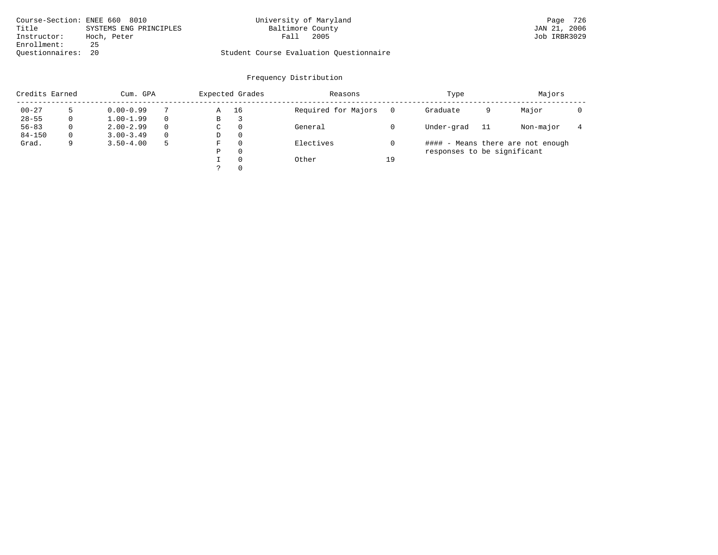|                    | Course-Section: ENEE 660 8010 | University of Maryland                  | Page 726     |
|--------------------|-------------------------------|-----------------------------------------|--------------|
| Title              | SYSTEMS ENG PRINCIPLES        | Baltimore County                        | JAN 21, 2006 |
| Instructor:        | Hoch, Peter                   | 2005<br>Fall                            | Job IRBR3029 |
| Enrollment:        | 25                            |                                         |              |
| Ouestionnaires: 20 |                               | Student Course Evaluation Ouestionnaire |              |

| Credits Earned |          | Cum. GPA      |          |   | Expected Grades | Reasons             |    | Type                        |    | Majors                            |  |
|----------------|----------|---------------|----------|---|-----------------|---------------------|----|-----------------------------|----|-----------------------------------|--|
| $00 - 27$      |          | $0.00 - 0.99$ |          | Α | 16              | Required for Majors |    | Graduate                    | 9  | Major                             |  |
| $28 - 55$      | 0        | $1.00 - 1.99$ |          | В | 3               |                     |    |                             |    |                                   |  |
| $56 - 83$      | $\Omega$ | $2.00 - 2.99$ | $\Omega$ | C | $\Omega$        | General             |    | Under-grad                  | 11 | Non-major                         |  |
| $84 - 150$     | $\Omega$ | $3.00 - 3.49$ | $\Omega$ | D | $\Omega$        |                     |    |                             |    |                                   |  |
| Grad.          |          | $3.50 - 4.00$ |          | F | $\Omega$        | Electives           |    |                             |    | #### - Means there are not enough |  |
|                |          |               |          | Ρ | $\Omega$        |                     |    | responses to be significant |    |                                   |  |
|                |          |               |          |   | $\Omega$        | Other               | 19 |                             |    |                                   |  |
|                |          |               |          |   | $\Omega$        |                     |    |                             |    |                                   |  |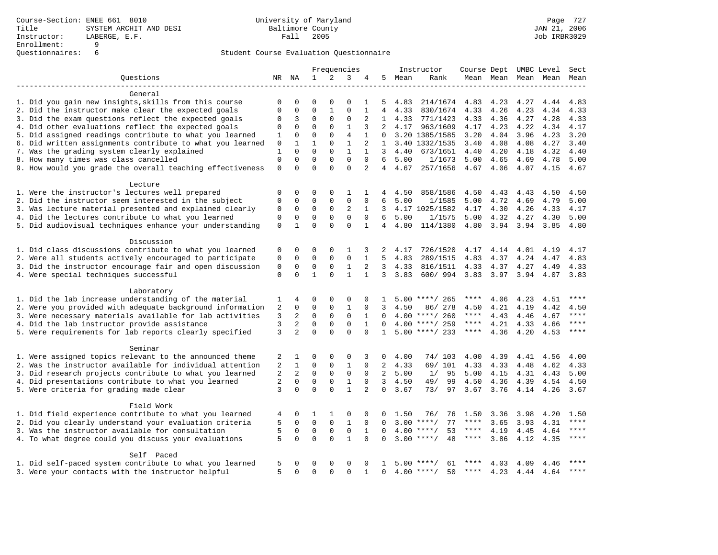|                                                           | Frequencies    |                     | Instructor   |              |                |                | Course Dept UMBC Level |      | Sect               |             |           |      |                     |           |
|-----------------------------------------------------------|----------------|---------------------|--------------|--------------|----------------|----------------|------------------------|------|--------------------|-------------|-----------|------|---------------------|-----------|
| Ouestions                                                 |                | NR NA               | 1            | 2            | 3              | 4              | 5                      | Mean | Rank               |             |           |      | Mean Mean Mean Mean | Mean      |
|                                                           |                |                     |              |              |                |                |                        |      |                    |             |           |      |                     |           |
| General                                                   |                |                     |              |              |                |                |                        |      |                    |             |           |      |                     |           |
| 1. Did you gain new insights, skills from this course     | 0              | 0                   | $\mathbf 0$  | $\mathbf 0$  | $\Omega$       | 1              | 5                      | 4.83 | 214/1674           | 4.83        | 4.23      | 4.27 | 4.44                | 4.83      |
| 2. Did the instructor make clear the expected goals       | 0              | $\mathsf{O}\xspace$ | $\mathbf 0$  | $\mathbf{1}$ | $\mathbf 0$    | $\mathbf{1}$   | 4                      | 4.33 | 830/1674           | 4.33        | 4.26      | 4.23 | 4.34                | 4.33      |
| 3. Did the exam questions reflect the expected goals      | 0              | 3                   | $\mathbf{0}$ | $\mathbf 0$  | $\mathsf 0$    | 2              | 1                      | 4.33 | 771/1423           | 4.33        | 4.36      | 4.27 | 4.28                | 4.33      |
| 4. Did other evaluations reflect the expected goals       | 0              | $\mathbf 0$         | $\mathbf 0$  | $\mathbf 0$  | $\mathbf{1}$   | 3              | 2                      | 4.17 | 963/1609           | 4.17        | 4.23      | 4.22 | 4.34                | 4.17      |
| 5. Did assigned readings contribute to what you learned   | 1              | $\mathbf 0$         | $\mathbf{0}$ | $\mathbf 0$  | $\overline{4}$ | 1              | $\Omega$               |      | 3.20 1385/1585     | 3.20        | 4.04      | 3.96 | 4.23                | 3.20      |
| 6. Did written assignments contribute to what you learned | 0              | $\mathbf{1}$        | $\mathbf{1}$ | $\Omega$     | $\mathbf{1}$   | $\overline{2}$ | $\mathbf{1}$           |      | 3.40 1332/1535     | 3.40        | 4.08      | 4.08 | 4.27                | 3.40      |
| 7. Was the grading system clearly explained               | $\mathbf{1}$   | $\Omega$            | $\Omega$     | $\Omega$     | $\mathbf{1}$   | $\mathbf{1}$   | 3                      | 4.40 | 673/1651           | 4.40        | 4.20      | 4.18 | 4.32                | 4.40      |
| 8. How many times was class cancelled                     | $\mathsf 0$    | $\mathbf 0$         | $\mathbf 0$  | $\mathbf 0$  | $\mathbf{0}$   | $\mathbf 0$    | 6                      | 5.00 | 1/1673             | 5.00        | 4.65      | 4.69 | 4.78                | 5.00      |
| 9. How would you grade the overall teaching effectiveness | $\mathsf 0$    | $\Omega$            | $\Omega$     | $\Omega$     | $\Omega$       | $\overline{a}$ | 4                      | 4.67 | 257/1656           | 4.67        | 4.06      | 4.07 | 4.15                | 4.67      |
| Lecture                                                   |                |                     |              |              |                |                |                        |      |                    |             |           |      |                     |           |
| 1. Were the instructor's lectures well prepared           | 0              | 0                   | $\mathbf 0$  | $\mathbf 0$  | 1              | 1              | 4                      | 4.50 | 858/1586           | 4.50        | 4.43      | 4.43 | 4.50                | 4.50      |
| 2. Did the instructor seem interested in the subject      | $\mathbf 0$    | $\mathbf 0$         | $\mathbf 0$  | $\mathbf 0$  | $\mathsf 0$    | $\mathbf 0$    | 6                      | 5.00 | 1/1585             | 5.00        | 4.72      | 4.69 | 4.79                | 5.00      |
| 3. Was lecture material presented and explained clearly   | 0              | $\mathbf 0$         | $\mathbf 0$  | $\mathsf{O}$ | 2              | 1              | 3                      |      | 4.17 1025/1582     | 4.17        | 4.30      | 4.26 | 4.33                | 4.17      |
| 4. Did the lectures contribute to what you learned        | $\mathbf 0$    | 0                   | $\mathbf 0$  | $\mathbf 0$  | $\mathbf{0}$   | $\mathbf 0$    | 6                      | 5.00 | 1/1575             | 5.00        | 4.32      | 4.27 | 4.30                | 5.00      |
| 5. Did audiovisual techniques enhance your understanding  | $\mathbf 0$    | $\mathbf{1}$        | $\Omega$     | $\Omega$     | $\Omega$       | $\mathbf{1}$   | 4                      | 4.80 | 114/1380           | 4.80        | 3.94 3.94 |      | 3.85                | 4.80      |
|                                                           |                |                     |              |              |                |                |                        |      |                    |             |           |      |                     |           |
| Discussion                                                |                |                     |              |              |                |                |                        |      |                    |             |           |      |                     |           |
| 1. Did class discussions contribute to what you learned   | 0              | 0                   | 0            | $\mathbf 0$  | 1              | 3              | 2                      | 4.17 | 726/1520           | 4.17        | 4.14      | 4.01 | 4.19                | 4.17      |
| 2. Were all students actively encouraged to participate   | 0              | 0                   | $\mathbf 0$  | $\mathbf 0$  | $\mathbf{0}$   | 1              | 5                      | 4.83 | 289/1515           | 4.83        | 4.37      | 4.24 | 4.47                | 4.83      |
| 3. Did the instructor encourage fair and open discussion  | 0              | $\mathbf 0$         | $\mathbf 0$  | $\mathsf 0$  | $\mathbf{1}$   | 2              | $\overline{3}$         | 4.33 | 816/1511           | 4.33        | 4.37      | 4.27 | 4.49                | 4.33      |
| 4. Were special techniques successful                     | $\mathbf 0$    | $\Omega$            | $\mathbf{1}$ | $\Omega$     | $\mathbf{1}$   | $\mathbf{1}$   | 3                      | 3.83 | 600/994            | 3.83        | 3.97      | 3.94 | 4.07                | 3.83      |
| Laboratory                                                |                |                     |              |              |                |                |                        |      |                    |             |           |      |                     |           |
| 1. Did the lab increase understanding of the material     | 1              | 4                   | 0            | $\mathbf 0$  | 0              |                |                        |      | $5.00$ ****/ 265   | ****        | 4.06      | 4.23 | 4.51                | ****      |
| 2. Were you provided with adequate background information | $\overline{a}$ | $\mathbf 0$         | $\mathbf 0$  | $\mathbf 0$  | $\mathbf 1$    | $\mathbf 0$    | 3                      | 4.50 | 86/ 278            | 4.50        | 4.21      | 4.19 | 4.42                | 4.50      |
| 3. Were necessary materials available for lab activities  | 3              | 2                   | $\mathbf 0$  | $\mathbf 0$  | $\mathbf{0}$   | 1              | $\Omega$               |      | $4.00$ ****/ 260   | $***$ * * * | 4.43      | 4.46 | 4.67                | $***$     |
| 4. Did the lab instructor provide assistance              | 3              | 2                   | $\mathbf 0$  | $\Omega$     | $\mathbf 0$    | $\mathbf{1}$   | $\Omega$               |      | $4.00$ ****/ 259   | $***$ * * * | 4.21      |      |                     | ****      |
|                                                           | 3              | $\overline{2}$      | $\Omega$     | $\Omega$     | $\Omega$       | $\Omega$       | $\mathbf{1}$           |      | $5.00$ ****/ 233   | $***$ * * * | 4.36      | 4.33 | 4.66<br>4.53        | ****      |
| 5. Were requirements for lab reports clearly specified    |                |                     |              |              |                |                |                        |      |                    |             |           | 4.20 |                     |           |
| Seminar                                                   |                |                     |              |              |                |                |                        |      |                    |             |           |      |                     |           |
| 1. Were assigned topics relevant to the announced theme   | 2              | 1                   | $\mathbf 0$  | $\mathbf 0$  | 0              | 3              | 0                      | 4.00 | 74/ 103            | 4.00        | 4.39      | 4.41 | 4.56                | 4.00      |
| 2. Was the instructor available for individual attention  | 2              | 1                   | $\mathbf{0}$ | $\mathbf 0$  | $\mathbf{1}$   | $\Omega$       | 2                      | 4.33 | 69/ 101            | 4.33        | 4.33      | 4.48 | 4.62                | 4.33      |
| 3. Did research projects contribute to what you learned   | 2              | 2                   | $\mathbf 0$  | $\mathbf 0$  | $\mathbf 0$    | $\Omega$       | 2                      | 5.00 | 95<br>1/           | 5.00        | 4.15      | 4.31 | 4.43                | 5.00      |
| 4. Did presentations contribute to what you learned       | 2              | $\Omega$            | $\mathbf{0}$ | $\mathbf 0$  | $\mathbf{1}$   | $\Omega$       | 3                      | 4.50 | 49/<br>99          | 4.50        | 4.36      | 4.39 | 4.54                | 4.50      |
| 5. Were criteria for grading made clear                   | 3              | $\Omega$            | $\Omega$     | $\Omega$     | $\mathbf{1}$   | 2              | 0                      | 3.67 | 73/<br>97          | 3.67        | 3.76      | 4.14 | 4.26                | 3.67      |
| Field Work                                                |                |                     |              |              |                |                |                        |      |                    |             |           |      |                     |           |
| 1. Did field experience contribute to what you learned    | 4              | 0                   | 1            | 1            | $\mathbf 0$    | U              |                        | 1.50 | 76/<br>76          | 1.50        | 3.36      | 3.98 | 4.20                | 1.50      |
| 2. Did you clearly understand your evaluation criteria    | 5              | $\mathbf 0$         | $\mathbf 0$  | $\Omega$     | $\mathbf{1}$   | $\Omega$       | $\Omega$               | 3.00 | $***$ /<br>77      | $***$ * * * | 3.65      | 3.93 | 4.31                | $***$     |
| 3. Was the instructor available for consultation          | 5              | $\mathbf 0$         | $\mathsf 0$  | $\mathsf 0$  | $\mathsf 0$    | $\mathbf{1}$   | $\mathbf 0$            | 4.00 | $***$ /<br>53      | $***$ * * * | 4.19      | 4.45 | 4.64                | $***$     |
| 4. To what degree could you discuss your evaluations      | 5              | $\mathbf 0$         | $\mathbf 0$  | $\Omega$     | $\mathbf{1}$   | $\Omega$       | $\Omega$               | 3.00 | 48<br>$***$ /      | ****        | 3.86      | 4.12 | 4.35                | $***$     |
|                                                           |                |                     |              |              |                |                |                        |      |                    |             |           |      |                     |           |
| Self Paced                                                |                |                     |              |              |                |                |                        |      |                    |             |           |      |                     |           |
| 1. Did self-paced system contribute to what you learned   | 5              | 0                   | $\mathbf 0$  | $\mathbf 0$  | 0              |                |                        | 5.00 | ****/<br>61        |             | 4.03      | 4.09 | 4.46                | ****      |
| 3. Were your contacts with the instructor helpful         | 5              | $\Omega$            | $\Omega$     | $\Omega$     | $\Omega$       | $\mathbf{1}$   | $\Omega$               |      | $4.00$ ****/<br>50 | ****        | 4.23      |      | 4.44 4.64           | $* * * *$ |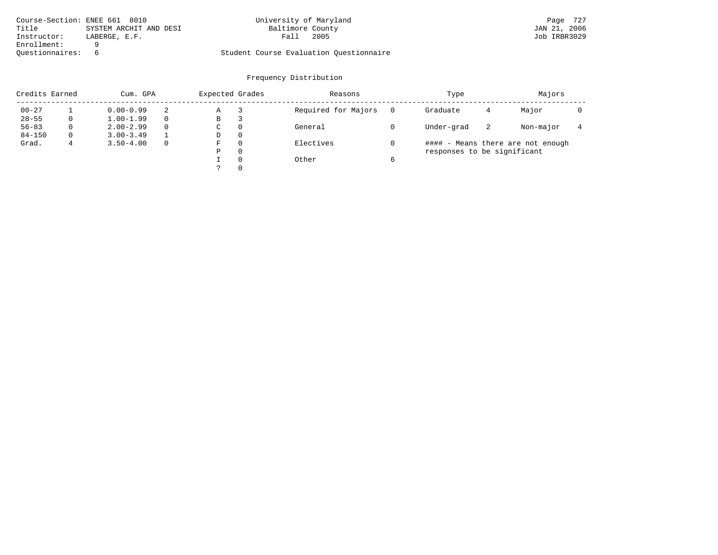|                 | Course-Section: ENEE 661 8010 | University of Maryland                  | Page 727     |
|-----------------|-------------------------------|-----------------------------------------|--------------|
| Title           | SYSTEM ARCHIT AND DESI        | Baltimore County                        | JAN 21, 2006 |
| Instructor:     | LABERGE, E.F.                 | 2005<br>Fall                            | Job IRBR3029 |
| Enrollment:     |                               |                                         |              |
| Ouestionnaires: |                               | Student Course Evaluation Questionnaire |              |

| Credits Earned<br>Cum. GPA |          |               |          | Expected Grades |          | Reasons             | Type                        | Majors |                                   |  |
|----------------------------|----------|---------------|----------|-----------------|----------|---------------------|-----------------------------|--------|-----------------------------------|--|
| $00 - 27$                  |          | $0.00 - 0.99$ |          | Α               |          | Required for Majors | Graduate                    | 4      | Major                             |  |
| $28 - 55$                  | 0        | $1.00 - 1.99$ |          | В               | З        |                     |                             |        |                                   |  |
| $56 - 83$                  | $\Omega$ | $2.00 - 2.99$ | $\Omega$ | C               | $\Omega$ | General             | Under-grad                  | -2     | Non-major                         |  |
| $84 - 150$                 | $\Omega$ | $3.00 - 3.49$ |          | D               | $\Omega$ |                     |                             |        |                                   |  |
| Grad.                      |          | $3.50 - 4.00$ | $\Omega$ | F               | $\Omega$ | Electives           |                             |        | #### - Means there are not enough |  |
|                            |          |               |          | Ρ               | $\Omega$ |                     | responses to be significant |        |                                   |  |
|                            |          |               |          |                 | $\Omega$ | Other               |                             |        |                                   |  |
|                            |          |               |          |                 | $\Omega$ |                     |                             |        |                                   |  |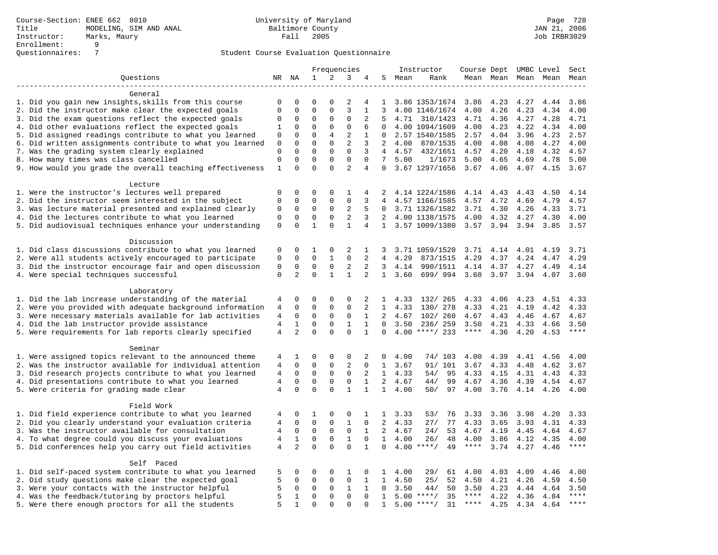|                                                           | Frequencies    |                |              |                |                | Instructor     |                 |                | Course Dept UMBC Level |             | Sect         |                     |      |       |
|-----------------------------------------------------------|----------------|----------------|--------------|----------------|----------------|----------------|-----------------|----------------|------------------------|-------------|--------------|---------------------|------|-------|
| Questions                                                 |                | NR NA          | $\mathbf 1$  | $\overline{a}$ | 3              | 4              | 5               | Mean           | Rank                   |             |              | Mean Mean Mean Mean |      | Mean  |
|                                                           |                |                |              |                |                |                |                 |                |                        |             |              |                     |      |       |
| General                                                   |                |                |              |                |                |                |                 |                |                        |             |              |                     |      |       |
| 1. Did you gain new insights, skills from this course     | 0              | 0              | $\mathbf 0$  | $\Omega$       | 2              | 4              | $\mathbf{1}$    |                | 3.86 1353/1674         | 3.86        | 4.23         | 4.27                | 4.44 | 3.86  |
| 2. Did the instructor make clear the expected goals       | $\mathbf 0$    | $\mathbf 0$    | $\mathbf{0}$ | $\Omega$       | 3              | $\mathbf{1}$   | 3               |                | 4.00 1146/1674         | 4.00        | 4.26         | 4.23                | 4.34 | 4.00  |
| 3. Did the exam questions reflect the expected goals      | 0              | $\mathbf 0$    | $\mathbf 0$  | $\Omega$       | $\Omega$       | 2              | .5              |                | 4.71 310/1423          | 4.71        | 4.36         | 4.27                | 4.28 | 4.71  |
| 4. Did other evaluations reflect the expected goals       | 1              | $\mathbf 0$    | $\mathbf{0}$ | $\mathbf 0$    | $\mathbf 0$    | 6              | $\Omega$        |                | 4.00 1094/1609         | 4.00        | 4.23         | 4.22                | 4.34 | 4.00  |
| 5. Did assigned readings contribute to what you learned   | 0              | 0              | $\mathbf{0}$ | $\overline{4}$ | 2              | 1              | $\Omega$        |                | 2.57 1540/1585         | 2.57        | 4.04         | 3.96                | 4.23 | 2.57  |
| 6. Did written assignments contribute to what you learned | 0              | $\mathbf 0$    | $\mathbf 0$  | $\mathbf 0$    | $\overline{2}$ | 3              | 2               | 4.00           | 870/1535               | 4.00        | 4.08         | 4.08                | 4.27 | 4.00  |
| 7. Was the grading system clearly explained               | $\mathbf 0$    | $\Omega$       | $\Omega$     | $\Omega$       | $\Omega$       | 3              | $\overline{4}$  | 4.57           | 432/1651               | 4.57        | 4.20         | 4.18                | 4.32 | 4.57  |
| 8. How many times was class cancelled                     | $\mathbf 0$    | $\mathbf 0$    | $\mathbf{0}$ | $\Omega$       | $\Omega$       | $\Omega$       | $7\overline{ }$ | 5.00           | 1/1673                 | 5.00        | 4.65         | 4.69                | 4.78 | 5.00  |
| 9. How would you grade the overall teaching effectiveness | $\mathbf{1}$   | $\Omega$       | $\Omega$     | $\Omega$       | $\overline{2}$ | $\overline{4}$ | $\Omega$        |                | 3.67 1297/1656         | 3.67        | 4.06         | 4.07                | 4.15 | 3.67  |
| Lecture                                                   |                |                |              |                |                |                |                 |                |                        |             |              |                     |      |       |
| 1. Were the instructor's lectures well prepared           | $\mathbf 0$    | $\mathbf 0$    | $\mathbf 0$  | $\mathbf 0$    | 1              | 4              |                 |                | 4.14 1224/1586         | 4.14        | 4.43         | 4.43                | 4.50 | 4.14  |
| 2. Did the instructor seem interested in the subject      | $\mathbf 0$    | 0              | $\mathbf{0}$ | $\mathbf 0$    | $\mathbf{0}$   | 3              | 4               |                | 4.57 1166/1585         | 4.57        | 4.72         | 4.69                | 4.79 | 4.57  |
| 3. Was lecture material presented and explained clearly   | 0              | $\mathbf 0$    | $\mathsf 0$  | $\mathsf{O}$   | $\overline{c}$ | 5              | $\Omega$        |                | 3.71 1326/1582         | 3.71        |              | 4.26                | 4.33 | 3.71  |
|                                                           | $\mathbf 0$    | $\mathbf 0$    | $\mathbf 0$  | $\mathbf 0$    | $\overline{2}$ | 3              | 2               |                | 4.00 1138/1575         | 4.00        | 4.30<br>4.32 | 4.27                | 4.30 | 4.00  |
| 4. Did the lectures contribute to what you learned        |                | $\mathbf 0$    |              | $\mathbf 0$    |                |                |                 |                |                        |             |              |                     |      |       |
| 5. Did audiovisual techniques enhance your understanding  | $\mathbf 0$    |                | $\mathbf{1}$ |                | $\mathbf{1}$   | 4              |                 |                | 1 3.57 1009/1380       | 3.57        | 3.94         | 3.94                | 3.85 | 3.57  |
| Discussion                                                |                |                |              |                |                |                |                 |                |                        |             |              |                     |      |       |
| 1. Did class discussions contribute to what you learned   | 0              | 0              | 1            | $\mathbf 0$    | 2              | 1              | 3               |                | 3.71 1059/1520         | 3.71        | 4.14         | 4.01                | 4.19 | 3.71  |
| 2. Were all students actively encouraged to participate   | $\mathsf 0$    | $\mathbf 0$    | $\mathbf 0$  | $\mathbf{1}$   | $\mathbf 0$    | 2              | $\overline{4}$  | 4.29           | 873/1515               | 4.29        | 4.37         | 4.24                | 4.47 | 4.29  |
| 3. Did the instructor encourage fair and open discussion  | $\mathsf 0$    | $\mathbf 0$    | $\mathbf 0$  | $\mathsf 0$    | $\overline{2}$ | 2              | 3               | 4.14           | 990/1511               | 4.14        | 4.37         | 4.27                | 4.49 | 4.14  |
| 4. Were special techniques successful                     | $\mathbf 0$    | $\overline{2}$ | $\Omega$     | $\mathbf{1}$   | $\mathbf{1}$   | 2              |                 | 1, 3.60        | 699/994                | 3.60        | 3.97         | 3.94                | 4.07 | 3.60  |
|                                                           |                |                |              |                |                |                |                 |                |                        |             |              |                     |      |       |
| Laboratory                                                |                |                |              |                |                |                |                 |                |                        |             |              |                     |      |       |
| 1. Did the lab increase understanding of the material     | 4              | 0              | $\mathbf 0$  | 0              | 0              | 2              | $\mathbf{1}$    | 4.33           | 132/ 265               | 4.33        | 4.06         | 4.23                | 4.51 | 4.33  |
| 2. Were you provided with adequate background information | $\overline{4}$ | $\mathbf 0$    | $\mathbf 0$  | $\mathbf 0$    | $\mathbf 0$    | 2              | $\mathbf{1}$    | 4.33           | 130/ 278               | 4.33        | 4.21         | 4.19                | 4.42 | 4.33  |
| 3. Were necessary materials available for lab activities  | 4              | 0              | $\mathbf 0$  | $\mathbf 0$    | $\mathbf 0$    | 1              | 2               | 4.67           | 102/ 260               | 4.67        | 4.43         | 4.46                | 4.67 | 4.67  |
| 4. Did the lab instructor provide assistance              | 4              | 1              | $\mathbf 0$  | $\mathbf 0$    | $\mathbf{1}$   | $\mathbf{1}$   | $\Omega$        | 3.50           | 236/259                | 3.50        | 4.21         | 4.33                | 4.66 | 3.50  |
| 5. Were requirements for lab reports clearly specified    | $\overline{4}$ | $\overline{2}$ | $\Omega$     | $\Omega$       | $\Omega$       | $\mathbf{1}$   | $\Omega$        |                | $4.00$ ****/ 233       | $***$ * *   | 4.36         | 4.20                | 4.53 | $***$ |
|                                                           |                |                |              |                |                |                |                 |                |                        |             |              |                     |      |       |
| Seminar                                                   |                |                |              |                |                |                |                 |                |                        |             |              |                     |      |       |
| 1. Were assigned topics relevant to the announced theme   | 4              | 1              | $\mathbf 0$  | $\mathsf 0$    | $\mathsf 0$    | 2              | 0               | 4.00           | 74/ 103                | 4.00        | 4.39         | 4.41                | 4.56 | 4.00  |
| 2. Was the instructor available for individual attention  | 4              | 0              | $\mathbf 0$  | 0              | 2              | 0              | $\mathbf{1}$    | 3.67           | 91/ 101                | 3.67        | 4.33         | 4.48                | 4.62 | 3.67  |
| 3. Did research projects contribute to what you learned   | $\overline{4}$ | $\mathbf 0$    | $\mathbf 0$  | $\mathbf 0$    | $\mathbf 0$    | 2              |                 | $1 \quad 4.33$ | 95<br>54/              | 4.33        | 4.15         | 4.31                | 4.43 | 4.33  |
| 4. Did presentations contribute to what you learned       | $\overline{4}$ | $\Omega$       | $\mathbf{0}$ | $\Omega$       | $\mathbf 0$    | $\mathbf{1}$   | 2               | 4.67           | 99<br>44/              | 4.67        | 4.36         | 4.39                | 4.54 | 4.67  |
| 5. Were criteria for grading made clear                   | $\overline{4}$ | $\Omega$       | $\Omega$     | $\Omega$       | $\mathbf{1}$   | $\mathbf{1}$   | $\mathbf{1}$    | 4.00           | 50/<br>97              | 4.00        | 3.76         | 4.14                | 4.26 | 4.00  |
|                                                           |                |                |              |                |                |                |                 |                |                        |             |              |                     |      |       |
| Field Work                                                |                |                |              |                |                |                |                 |                |                        |             |              |                     |      |       |
| 1. Did field experience contribute to what you learned    | 4              | 0              | 1            | $\mathbf 0$    | 0              | 1              | $\mathbf{1}$    | 3.33           | 53/<br>76              | 3.33        | 3.36         | 3.98                | 4.20 | 3.33  |
| 2. Did you clearly understand your evaluation criteria    | $\overline{4}$ | $\mathbf 0$    | $\mathbf 0$  | $\mathbf 0$    | $\mathbf{1}$   | $\mathbf 0$    | 2               | 4.33           | 27/<br>77              | 4.33        | 3.65         | 3.93                | 4.31 | 4.33  |
| 3. Was the instructor available for consultation          | 4              | $\mathbf 0$    | $\mathbf 0$  | $\mathbf 0$    | $\mathbf 0$    | $\mathbf{1}$   | $\overline{2}$  | 4.67           | 24/<br>53              | 4.67        | 4.19         | 4.45                | 4.64 | 4.67  |
| 4. To what degree could you discuss your evaluations      | $\sqrt{4}$     | $\mathbf{1}$   | $\mathsf 0$  | $\mathbf 0$    | $\mathbf{1}$   | $\mathbf 0$    |                 | $1 \quad 4.00$ | 26/<br>48              | 4.00        | 3.86         | 4.12                | 4.35 | 4.00  |
| 5. Did conferences help you carry out field activities    | 4              | $\overline{a}$ | $\mathbf 0$  | $\Omega$       | $\Omega$       | $\mathbf{1}$   | $\Omega$        | 4.00           | $***$ /<br>49          | $***$ * * * | 3.74         | 4.27                | 4.46 | $***$ |
| Self Paced                                                |                |                |              |                |                |                |                 |                |                        |             |              |                     |      |       |
| 1. Did self-paced system contribute to what you learned   | 5              | 0              | $\mathbf 0$  | $\mathbf 0$    | 1              | 0              | 1               | 4.00           | 29/<br>61              | 4.00        | 4.03         | 4.09                | 4.46 | 4.00  |
| 2. Did study questions make clear the expected goal       | 5              | $\Omega$       | $\mathbf 0$  | $\Omega$       | $\mathsf 0$    | $\mathbf{1}$   | $\mathbf{1}$    | 4.50           | 25/<br>52              | 4.50        | 4.21         | 4.26                | 4.59 | 4.50  |
| 3. Were your contacts with the instructor helpful         | 5              | $\mathbf 0$    | $\mathsf 0$  | $\mathsf{O}$   | $\mathbf{1}$   | $\mathbf{1}$   | $\mathbf 0$     | 3.50           | 50<br>44/              | 3.50        | 4.23         | 4.44                | 4.64 | 3.50  |
| 4. Was the feedback/tutoring by proctors helpful          | 5              | 1              | $\mathbf 0$  | $\mathbf 0$    | $\mathbf 0$    | $\mathbf 0$    | 1               | 5.00           | $***$ /<br>35          | ****        | 4.22         |                     | 4.84 | ****  |
| 5. Were there enough proctors for all the students        | 5              | 1              | $\Omega$     | $\Omega$       | $\Omega$       | $\Omega$       | $\mathbf{1}$    |                | $5.00$ ****/<br>31     | ****        | 4.25         | 4.36<br>4.34        | 4.64 | ****  |
|                                                           |                |                |              |                |                |                |                 |                |                        |             |              |                     |      |       |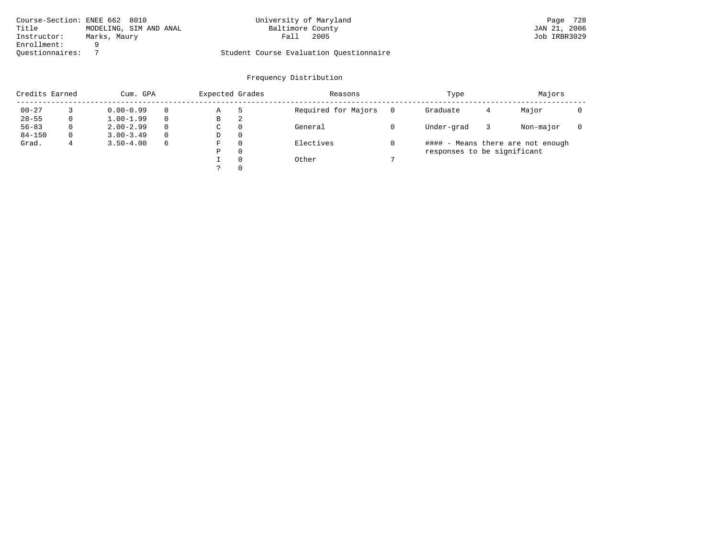|                 | Course-Section: ENEE 662 8010 | University of Maryland                  | 728<br>Page  |
|-----------------|-------------------------------|-----------------------------------------|--------------|
| Title           | MODELING, SIM AND ANAL        | Baltimore County                        | JAN 21, 2006 |
| Instructor:     | Marks, Maury                  | 2005<br>Falı                            | Job IRBR3029 |
| Enrollment:     |                               |                                         |              |
| Ouestionnaires: |                               | Student Course Evaluation Questionnaire |              |

| Credits Earned<br>Cum. GPA |          |               | Expected Grades |             | Reasons  | Type                | Majors                      |   |                                   |  |
|----------------------------|----------|---------------|-----------------|-------------|----------|---------------------|-----------------------------|---|-----------------------------------|--|
| $00 - 27$                  |          | $0.00 - 0.99$ |                 | Α           | 5        | Required for Majors | Graduate                    | 4 | Major                             |  |
| $28 - 55$                  | 0        | $1.00 - 1.99$ |                 | В           | 2        |                     |                             |   |                                   |  |
| $56 - 83$                  | 0        | $2.00 - 2.99$ | 0               | $\sim$<br>◡ | 0        | General             | Under-grad                  |   | Non-major                         |  |
| $84 - 150$                 | $\Omega$ | $3.00 - 3.49$ |                 | D           | 0        |                     |                             |   |                                   |  |
| Grad.                      |          | $3.50 - 4.00$ | 6               | F           |          | Electives           |                             |   | #### - Means there are not enough |  |
|                            |          |               |                 | Ρ           | 0        |                     | responses to be significant |   |                                   |  |
|                            |          |               |                 |             | $\Omega$ | Other               |                             |   |                                   |  |
|                            |          |               |                 | C           | 0        |                     |                             |   |                                   |  |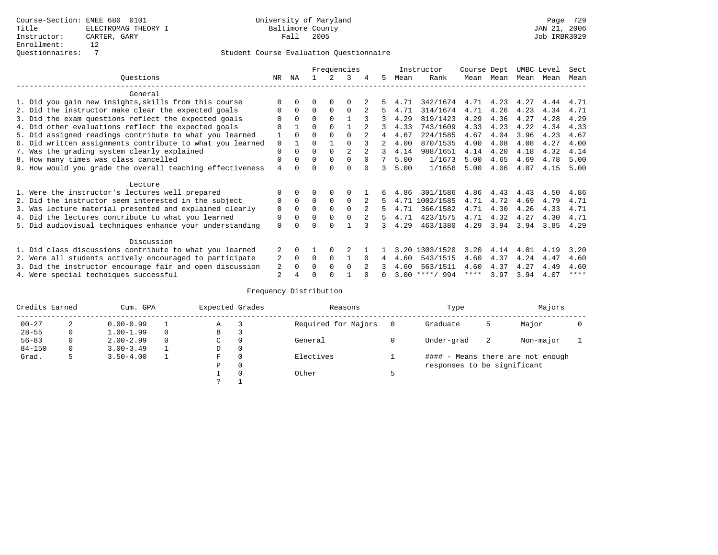|                                                           |                | Frequencies  |          |          |          |          |             |      | Instructor       | Course Dept |           | UMBC Level |      | Sect        |
|-----------------------------------------------------------|----------------|--------------|----------|----------|----------|----------|-------------|------|------------------|-------------|-----------|------------|------|-------------|
| Ouestions                                                 | NR.            | ΝA           |          |          | 3        | 4        | 5.          | Mean | Rank             | Mean        | Mean      | Mean       | Mean | Mean        |
| General                                                   |                |              |          |          |          |          |             |      |                  |             |           |            |      |             |
| 1. Did you gain new insights, skills from this course     |                | $\Omega$     | O        | $\Omega$ | O        |          |             | 4.71 | 342/1674         |             | 4.71 4.23 | 4.27       | 4.44 | 4.71        |
| 2. Did the instructor make clear the expected goals       | O              | $\Omega$     | $\Omega$ | $\Omega$ | $\Omega$ |          | 5.          | 4.71 | 314/1674         | 4.71        | 4.26      | 4.23       | 4.34 | 4.71        |
| 3. Did the exam questions reflect the expected goals      |                | $\Omega$     | $\Omega$ | $\Omega$ |          |          | 3           | 4.29 | 819/1423         | 4.29        | 4.36      | 4.27       | 4.28 | 4.29        |
| 4. Did other evaluations reflect the expected goals       | O              |              | $\Omega$ | $\Omega$ |          |          |             | 4.33 | 743/1609         | 4.33        | 4.23      | 4.22       | 4.34 | 4.33        |
| 5. Did assigned readings contribute to what you learned   |                | $\Omega$     | $\Omega$ |          | $\Omega$ |          | 4           | 4.67 | 224/1585         | 4.67        | 4.04      | 3.96       | 4.23 | 4.67        |
| 6. Did written assignments contribute to what you learned | $\mathbf 0$    |              | $\Omega$ |          |          |          | $2^{\circ}$ | 4.00 | 870/1535         | 4.00        | 4.08      | 4.08       | 4.27 | 4.00        |
| 7. Was the grading system clearly explained               | $\Omega$       | $\Omega$     | $\Omega$ | $\Omega$ |          |          | 3           | 4.14 | 988/1651         | 4.14        | 4.20      | 4.18       | 4.32 | 4.14        |
| 8. How many times was class cancelled                     | 0              | $\Omega$     | $\Omega$ | $\Omega$ | $\Omega$ | $\Omega$ |             | 5.00 | 1/1673           | 5.00        | 4.65      | 4.69       | 4.78 | 5.00        |
| 9. How would you grade the overall teaching effectiveness | $\overline{4}$ | <sup>n</sup> | U        | ∩        | $\Omega$ | $\cap$   | २           | 5.00 | 1/1656           | 5.00        | 4.06      | 4.07       | 4.15 | 5.00        |
| Lecture                                                   |                |              |          |          |          |          |             |      |                  |             |           |            |      |             |
| 1. Were the instructor's lectures well prepared           |                |              |          | 0        | $\Omega$ |          |             | 4.86 | 301/1586         | 4.86        | 4.43      | 4.43       | 4.50 | 4.86        |
| 2. Did the instructor seem interested in the subject      | 0              | $\Omega$     | $\Omega$ | $\Omega$ | $\Omega$ |          | 5.          |      | 4.71 1002/1585   | 4.71        | 4.72      | 4.69       | 4.79 | 4.71        |
| 3. Was lecture material presented and explained clearly   | $\mathbf 0$    | $\Omega$     | $\Omega$ | $\Omega$ | $\Omega$ |          | 5           | 4.71 | 366/1582         | 4.71        | 4.30      | 4.26       | 4.33 | 4.71        |
| 4. Did the lectures contribute to what you learned        | 0              | $\Omega$     | $\Omega$ | $\Omega$ | $\Omega$ |          | 5           | 4.71 | 423/1575         | 4.71        | 4.32      | 4.27       | 4.30 | 4.71        |
| 5. Did audiovisual techniques enhance your understanding  | $\Omega$       |              |          |          |          |          |             | 4.29 | 463/1380         | 4.29        | 3.94      | 3.94       | 3.85 | 4.29        |
|                                                           |                |              |          |          |          |          |             |      |                  |             |           |            |      |             |
| Discussion                                                |                |              |          |          |          |          |             |      |                  |             |           |            |      |             |
| 1. Did class discussions contribute to what you learned   |                |              |          | $\Omega$ |          |          |             | 3.20 | 1303/1520        | 3.20        | 4.14      | 4.01       | 4.19 | 3.20        |
| 2. Were all students actively encouraged to participate   |                |              | $\Omega$ | $\Omega$ |          | $\Omega$ | 4           | 4.60 | 543/1515         | 4.60        | 4.37      | 4.24       | 4.47 | 4.60        |
| 3. Did the instructor encourage fair and open discussion  | 2              | $\Omega$     | 0        | $\Omega$ | $\Omega$ |          |             | 4.60 | 563/1511         | 4.60        | 4.37      | 4.27       | 4.49 | 4.60        |
| 4. Were special techniques successful                     | 2              |              |          |          |          |          |             |      | $3.00$ ****/ 994 | ****        | 3.97      | 3.94       | 4.07 | $***$ * * * |

| Credits Earned<br>Cum. GPA |   |               | Expected Grades |             | Reasons  |                     | Type | Majors                      |    |                                   |  |
|----------------------------|---|---------------|-----------------|-------------|----------|---------------------|------|-----------------------------|----|-----------------------------------|--|
| $00 - 27$                  | 2 | $0.00 - 0.99$ |                 | А           |          | Required for Majors | 0    | Graduate                    | כ  | Major                             |  |
| $28 - 55$                  | 0 | $1.00 - 1.99$ |                 | В           | 3        |                     |      |                             |    |                                   |  |
| $56 - 83$                  | 0 | $2.00 - 2.99$ |                 | $\sim$<br>◡ | 0        | General             |      | Under-grad                  | -2 | Non-major                         |  |
| $84 - 150$                 | 0 | $3.00 - 3.49$ |                 | D           | 0        |                     |      |                             |    |                                   |  |
| Grad.                      | 5 | $3.50 - 4.00$ |                 | F           | 0        | Electives           |      |                             |    | #### - Means there are not enough |  |
|                            |   |               |                 | Ρ           | 0        |                     |      | responses to be significant |    |                                   |  |
|                            |   |               |                 |             | $\Omega$ | Other               |      |                             |    |                                   |  |
|                            |   |               |                 | C           |          |                     |      |                             |    |                                   |  |